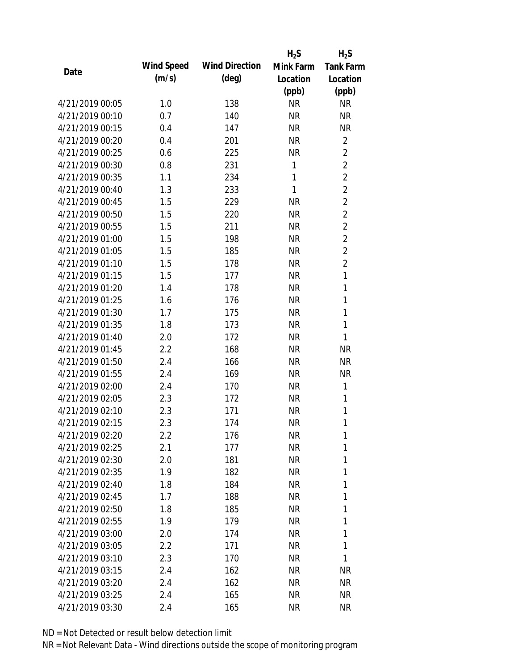|                 |            |                       | $H_2S$       | $H_2S$           |
|-----------------|------------|-----------------------|--------------|------------------|
| Date            | Wind Speed | <b>Wind Direction</b> | Mink Farm    | <b>Tank Farm</b> |
|                 | (m/s)      | $(\text{deg})$        | Location     | Location         |
|                 |            |                       | (ppb)        | (ppb)            |
| 4/21/2019 00:05 | 1.0        | 138                   | <b>NR</b>    | <b>NR</b>        |
| 4/21/2019 00:10 | 0.7        | 140                   | <b>NR</b>    | <b>NR</b>        |
| 4/21/2019 00:15 | 0.4        | 147                   | <b>NR</b>    | <b>NR</b>        |
| 4/21/2019 00:20 | 0.4        | 201                   | <b>NR</b>    | $\overline{2}$   |
| 4/21/2019 00:25 | 0.6        | 225                   | <b>NR</b>    | $\overline{2}$   |
| 4/21/2019 00:30 | 0.8        | 231                   | 1            | $\overline{2}$   |
| 4/21/2019 00:35 | 1.1        | 234                   | 1            | $\overline{2}$   |
| 4/21/2019 00:40 | 1.3        | 233                   | $\mathbf{1}$ | $\overline{2}$   |
| 4/21/2019 00:45 | 1.5        | 229                   | <b>NR</b>    | $\overline{2}$   |
| 4/21/2019 00:50 | 1.5        | 220                   | <b>NR</b>    | $\overline{2}$   |
| 4/21/2019 00:55 | 1.5        | 211                   | <b>NR</b>    | $\overline{2}$   |
| 4/21/2019 01:00 | 1.5        | 198                   | <b>NR</b>    | $\overline{2}$   |
| 4/21/2019 01:05 | 1.5        | 185                   | <b>NR</b>    | $\overline{2}$   |
| 4/21/2019 01:10 | 1.5        | 178                   | <b>NR</b>    | $\overline{2}$   |
| 4/21/2019 01:15 | 1.5        | 177                   | <b>NR</b>    | $\mathbf{1}$     |
| 4/21/2019 01:20 | 1.4        | 178                   | <b>NR</b>    | 1                |
| 4/21/2019 01:25 | 1.6        | 176                   | <b>NR</b>    | 1                |
| 4/21/2019 01:30 | 1.7        | 175                   | <b>NR</b>    | $\mathbf{1}$     |
| 4/21/2019 01:35 | 1.8        | 173                   | <b>NR</b>    | $\mathbf{1}$     |
| 4/21/2019 01:40 | 2.0        | 172                   | <b>NR</b>    | 1                |
| 4/21/2019 01:45 | 2.2        | 168                   | <b>NR</b>    | <b>NR</b>        |
| 4/21/2019 01:50 | 2.4        | 166                   | <b>NR</b>    | <b>NR</b>        |
| 4/21/2019 01:55 | 2.4        | 169                   | <b>NR</b>    | <b>NR</b>        |
| 4/21/2019 02:00 | 2.4        | 170                   | <b>NR</b>    | 1                |
| 4/21/2019 02:05 | 2.3        | 172                   | <b>NR</b>    | 1                |
| 4/21/2019 02:10 | 2.3        | 171                   | <b>NR</b>    | 1                |
| 4/21/2019 02:15 | 2.3        | 174                   | <b>NR</b>    | 1                |
| 4/21/2019 02:20 | $2.2\,$    | 176                   | <b>NR</b>    | 1                |
| 4/21/2019 02:25 | 2.1        | 177                   | NR           | 1                |
| 4/21/2019 02:30 | 2.0        | 181                   | NR           | 1                |
| 4/21/2019 02:35 | 1.9        | 182                   | NR           | 1                |
| 4/21/2019 02:40 | 1.8        | 184                   | NR           | 1                |
| 4/21/2019 02:45 | 1.7        | 188                   | NR           | 1                |
| 4/21/2019 02:50 | 1.8        | 185                   | NR           | 1                |
| 4/21/2019 02:55 | 1.9        | 179                   | NR           | 1                |
| 4/21/2019 03:00 | 2.0        | 174                   | NR           | 1                |
| 4/21/2019 03:05 | 2.2        | 171                   | NR           | 1                |
| 4/21/2019 03:10 | 2.3        | 170                   | NR           | 1                |
| 4/21/2019 03:15 | 2.4        | 162                   | NR.          | <b>NR</b>        |
| 4/21/2019 03:20 | 2.4        | 162                   | NR           | <b>NR</b>        |
| 4/21/2019 03:25 | 2.4        | 165                   | <b>NR</b>    | <b>NR</b>        |
| 4/21/2019 03:30 | 2.4        | 165                   | <b>NR</b>    | <b>NR</b>        |
|                 |            |                       |              |                  |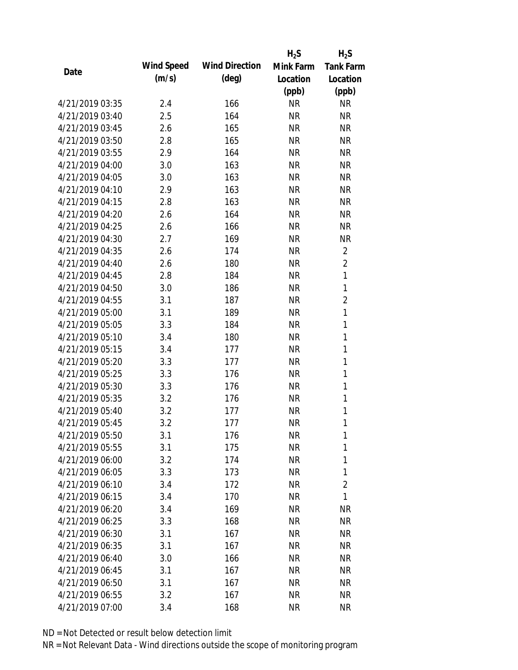|                 |            |                       | $H_2S$    | $H_2S$           |
|-----------------|------------|-----------------------|-----------|------------------|
| Date            | Wind Speed | <b>Wind Direction</b> | Mink Farm | <b>Tank Farm</b> |
|                 | (m/s)      | $(\text{deg})$        | Location  | Location         |
|                 |            |                       | (ppb)     | (ppb)            |
| 4/21/2019 03:35 | 2.4        | 166                   | <b>NR</b> | <b>NR</b>        |
| 4/21/2019 03:40 | 2.5        | 164                   | <b>NR</b> | <b>NR</b>        |
| 4/21/2019 03:45 | 2.6        | 165                   | <b>NR</b> | <b>NR</b>        |
| 4/21/2019 03:50 | 2.8        | 165                   | <b>NR</b> | <b>NR</b>        |
| 4/21/2019 03:55 | 2.9        | 164                   | <b>NR</b> | <b>NR</b>        |
| 4/21/2019 04:00 | 3.0        | 163                   | <b>NR</b> | <b>NR</b>        |
| 4/21/2019 04:05 | 3.0        | 163                   | <b>NR</b> | <b>NR</b>        |
| 4/21/2019 04:10 | 2.9        | 163                   | <b>NR</b> | <b>NR</b>        |
| 4/21/2019 04:15 | 2.8        | 163                   | <b>NR</b> | <b>NR</b>        |
| 4/21/2019 04:20 | 2.6        | 164                   | <b>NR</b> | <b>NR</b>        |
| 4/21/2019 04:25 | 2.6        | 166                   | <b>NR</b> | <b>NR</b>        |
| 4/21/2019 04:30 | 2.7        | 169                   | <b>NR</b> | <b>NR</b>        |
| 4/21/2019 04:35 | 2.6        | 174                   | <b>NR</b> | $\overline{2}$   |
| 4/21/2019 04:40 | 2.6        | 180                   | <b>NR</b> | $\overline{2}$   |
| 4/21/2019 04:45 | 2.8        | 184                   | <b>NR</b> | 1                |
| 4/21/2019 04:50 | 3.0        | 186                   | <b>NR</b> | 1                |
| 4/21/2019 04:55 | 3.1        | 187                   | <b>NR</b> | $\overline{2}$   |
| 4/21/2019 05:00 | 3.1        | 189                   | <b>NR</b> | $\mathbf{1}$     |
| 4/21/2019 05:05 | 3.3        | 184                   | <b>NR</b> | 1                |
| 4/21/2019 05:10 | 3.4        | 180                   | <b>NR</b> | 1                |
| 4/21/2019 05:15 | 3.4        | 177                   | <b>NR</b> | $\mathbf{1}$     |
| 4/21/2019 05:20 | 3.3        | 177                   | <b>NR</b> | $\mathbf{1}$     |
| 4/21/2019 05:25 | 3.3        | 176                   | <b>NR</b> | 1                |
| 4/21/2019 05:30 | 3.3        | 176                   | <b>NR</b> | 1                |
| 4/21/2019 05:35 | 3.2        | 176                   | <b>NR</b> | 1                |
| 4/21/2019 05:40 | 3.2        | 177                   | <b>NR</b> | 1                |
| 4/21/2019 05:45 | 3.2        | 177                   | <b>NR</b> | 1                |
| 4/21/2019 05:50 | 3.1        | 176                   | <b>NR</b> | 1                |
| 4/21/2019 05:55 | 3.1        | 175                   | <b>NR</b> | 1                |
| 4/21/2019 06:00 | 3.2        | 174                   | <b>NR</b> | 1                |
| 4/21/2019 06:05 | 3.3        | 173                   | <b>NR</b> | 1                |
| 4/21/2019 06:10 | 3.4        | 172                   | <b>NR</b> | $\overline{2}$   |
| 4/21/2019 06:15 | 3.4        | 170                   | <b>NR</b> | 1                |
| 4/21/2019 06:20 | 3.4        | 169                   | <b>NR</b> | <b>NR</b>        |
| 4/21/2019 06:25 | 3.3        | 168                   | <b>NR</b> | NR               |
| 4/21/2019 06:30 | 3.1        | 167                   | <b>NR</b> | <b>NR</b>        |
| 4/21/2019 06:35 | 3.1        | 167                   | <b>NR</b> | <b>NR</b>        |
| 4/21/2019 06:40 | 3.0        | 166                   | NR        | <b>NR</b>        |
| 4/21/2019 06:45 | 3.1        | 167                   | <b>NR</b> | NR               |
| 4/21/2019 06:50 | 3.1        | 167                   | <b>NR</b> | NR               |
| 4/21/2019 06:55 | 3.2        | 167                   | <b>NR</b> | <b>NR</b>        |
| 4/21/2019 07:00 | 3.4        | 168                   | <b>NR</b> | <b>NR</b>        |
|                 |            |                       |           |                  |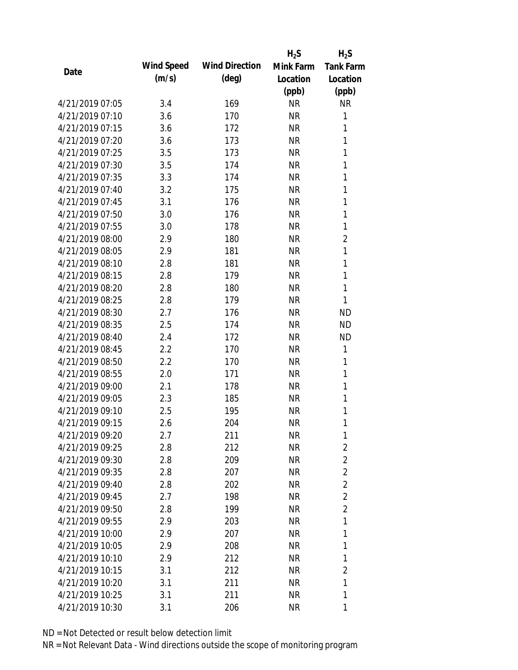|                 |            |                       | $H_2S$    | $H_2S$           |
|-----------------|------------|-----------------------|-----------|------------------|
| Date            | Wind Speed | <b>Wind Direction</b> | Mink Farm | <b>Tank Farm</b> |
|                 | (m/s)      | $(\text{deg})$        | Location  | Location         |
|                 |            |                       | (ppb)     | (ppb)            |
| 4/21/2019 07:05 | 3.4        | 169                   | <b>NR</b> | <b>NR</b>        |
| 4/21/2019 07:10 | 3.6        | 170                   | <b>NR</b> | 1                |
| 4/21/2019 07:15 | 3.6        | 172                   | <b>NR</b> | 1                |
| 4/21/2019 07:20 | 3.6        | 173                   | <b>NR</b> | 1                |
| 4/21/2019 07:25 | 3.5        | 173                   | <b>NR</b> | 1                |
| 4/21/2019 07:30 | 3.5        | 174                   | <b>NR</b> | 1                |
| 4/21/2019 07:35 | 3.3        | 174                   | <b>NR</b> | 1                |
| 4/21/2019 07:40 | 3.2        | 175                   | <b>NR</b> | 1                |
| 4/21/2019 07:45 | 3.1        | 176                   | <b>NR</b> | 1                |
| 4/21/2019 07:50 | 3.0        | 176                   | <b>NR</b> | 1                |
| 4/21/2019 07:55 | 3.0        | 178                   | <b>NR</b> | 1                |
| 4/21/2019 08:00 | 2.9        | 180                   | <b>NR</b> | $\overline{2}$   |
| 4/21/2019 08:05 | 2.9        | 181                   | <b>NR</b> | $\mathbf{1}$     |
| 4/21/2019 08:10 | 2.8        | 181                   | <b>NR</b> | 1                |
| 4/21/2019 08:15 | 2.8        | 179                   | <b>NR</b> | 1                |
| 4/21/2019 08:20 | 2.8        | 180                   | <b>NR</b> | 1                |
| 4/21/2019 08:25 | 2.8        | 179                   | <b>NR</b> | 1                |
| 4/21/2019 08:30 | 2.7        | 176                   | <b>NR</b> | <b>ND</b>        |
| 4/21/2019 08:35 | 2.5        | 174                   | <b>NR</b> | <b>ND</b>        |
| 4/21/2019 08:40 | 2.4        | 172                   | <b>NR</b> | <b>ND</b>        |
| 4/21/2019 08:45 | 2.2        | 170                   | <b>NR</b> | 1                |
| 4/21/2019 08:50 | 2.2        | 170                   | <b>NR</b> | 1                |
| 4/21/2019 08:55 | 2.0        | 171                   | <b>NR</b> | 1                |
| 4/21/2019 09:00 | 2.1        | 178                   | <b>NR</b> | 1                |
| 4/21/2019 09:05 | 2.3        | 185                   | <b>NR</b> | 1                |
| 4/21/2019 09:10 | 2.5        | 195                   | <b>NR</b> | 1                |
| 4/21/2019 09:15 | 2.6        | 204                   | <b>NR</b> | 1                |
| 4/21/2019 09:20 | 2.7        | 211                   | <b>NR</b> | 1                |
| 4/21/2019 09:25 | 2.8        | 212                   | NR        | $\overline{2}$   |
| 4/21/2019 09:30 | 2.8        | 209                   | NR        | $\overline{2}$   |
| 4/21/2019 09:35 | 2.8        | 207                   | <b>NR</b> | $\overline{2}$   |
| 4/21/2019 09:40 | 2.8        | 202                   | NR        | $\overline{2}$   |
| 4/21/2019 09:45 | 2.7        | 198                   | NR        | $\overline{2}$   |
| 4/21/2019 09:50 | 2.8        | 199                   | NR        | $\overline{2}$   |
| 4/21/2019 09:55 | 2.9        | 203                   | <b>NR</b> | 1                |
| 4/21/2019 10:00 | 2.9        | 207                   | NR        | 1                |
| 4/21/2019 10:05 | 2.9        | 208                   | NR        | 1                |
| 4/21/2019 10:10 | 2.9        | 212                   | NR        | 1                |
| 4/21/2019 10:15 | 3.1        | 212                   | NR.       | $\overline{2}$   |
| 4/21/2019 10:20 | 3.1        | 211                   | NR        | 1                |
| 4/21/2019 10:25 | 3.1        | 211                   | <b>NR</b> | 1                |
| 4/21/2019 10:30 | 3.1        | 206                   | <b>NR</b> | 1                |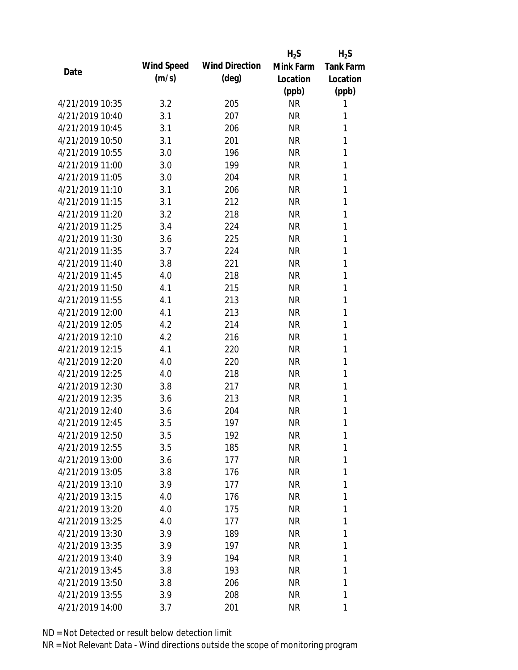|                 |            |                       | $H_2S$    | $H_2S$           |
|-----------------|------------|-----------------------|-----------|------------------|
| Date            | Wind Speed | <b>Wind Direction</b> | Mink Farm | <b>Tank Farm</b> |
|                 | (m/s)      | $(\text{deg})$        | Location  | Location         |
|                 |            |                       | (ppb)     | (ppb)            |
| 4/21/2019 10:35 | 3.2        | 205                   | <b>NR</b> | 1                |
| 4/21/2019 10:40 | 3.1        | 207                   | <b>NR</b> | 1                |
| 4/21/2019 10:45 | 3.1        | 206                   | <b>NR</b> | 1                |
| 4/21/2019 10:50 | 3.1        | 201                   | <b>NR</b> | 1                |
| 4/21/2019 10:55 | 3.0        | 196                   | <b>NR</b> | 1                |
| 4/21/2019 11:00 | 3.0        | 199                   | <b>NR</b> | 1                |
| 4/21/2019 11:05 | 3.0        | 204                   | <b>NR</b> | 1                |
| 4/21/2019 11:10 | 3.1        | 206                   | <b>NR</b> | 1                |
| 4/21/2019 11:15 | 3.1        | 212                   | <b>NR</b> | 1                |
| 4/21/2019 11:20 | 3.2        | 218                   | <b>NR</b> | 1                |
| 4/21/2019 11:25 | 3.4        | 224                   | <b>NR</b> | 1                |
| 4/21/2019 11:30 | 3.6        | 225                   | <b>NR</b> | 1                |
| 4/21/2019 11:35 | 3.7        | 224                   | <b>NR</b> | 1                |
| 4/21/2019 11:40 | 3.8        | 221                   | <b>NR</b> | 1                |
| 4/21/2019 11:45 | 4.0        | 218                   | <b>NR</b> | 1                |
| 4/21/2019 11:50 | 4.1        | 215                   | <b>NR</b> | 1                |
| 4/21/2019 11:55 | 4.1        | 213                   | <b>NR</b> | 1                |
| 4/21/2019 12:00 | 4.1        | 213                   | <b>NR</b> | 1                |
| 4/21/2019 12:05 | 4.2        | 214                   | <b>NR</b> | 1                |
| 4/21/2019 12:10 | 4.2        | 216                   | <b>NR</b> | 1                |
| 4/21/2019 12:15 | 4.1        | 220                   | <b>NR</b> | 1                |
| 4/21/2019 12:20 | 4.0        | 220                   | <b>NR</b> | 1                |
| 4/21/2019 12:25 | 4.0        | 218                   | <b>NR</b> | 1                |
| 4/21/2019 12:30 | 3.8        | 217                   | <b>NR</b> | 1                |
| 4/21/2019 12:35 | 3.6        | 213                   | <b>NR</b> | 1                |
| 4/21/2019 12:40 | 3.6        | 204                   | <b>NR</b> | 1                |
| 4/21/2019 12:45 | 3.5        | 197                   | <b>NR</b> | 1                |
| 4/21/2019 12:50 | 3.5        | 192                   | <b>NR</b> | 1                |
| 4/21/2019 12:55 | 3.5        | 185                   | <b>NR</b> | 1                |
| 4/21/2019 13:00 | 3.6        | 177                   | <b>NR</b> | 1                |
| 4/21/2019 13:05 | 3.8        | 176                   | <b>NR</b> | 1                |
| 4/21/2019 13:10 | 3.9        | 177                   | <b>NR</b> | 1                |
| 4/21/2019 13:15 | 4.0        | 176                   | <b>NR</b> | 1                |
| 4/21/2019 13:20 | 4.0        | 175                   | <b>NR</b> | 1                |
| 4/21/2019 13:25 | 4.0        | 177                   | <b>NR</b> | 1                |
| 4/21/2019 13:30 | 3.9        | 189                   | <b>NR</b> | 1                |
| 4/21/2019 13:35 | 3.9        | 197                   | <b>NR</b> | 1                |
| 4/21/2019 13:40 | 3.9        | 194                   | NR        | 1                |
| 4/21/2019 13:45 | 3.8        | 193                   | NR        | 1                |
| 4/21/2019 13:50 | 3.8        | 206                   | <b>NR</b> | 1                |
| 4/21/2019 13:55 | 3.9        | 208                   | <b>NR</b> | 1                |
| 4/21/2019 14:00 | 3.7        | 201                   | <b>NR</b> | 1                |
|                 |            |                       |           |                  |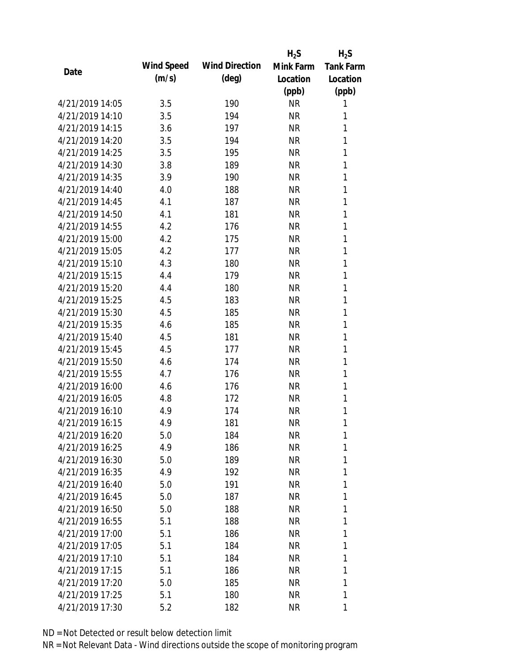|                 |            |                       | $H_2S$    | $H_2S$           |
|-----------------|------------|-----------------------|-----------|------------------|
| Date            | Wind Speed | <b>Wind Direction</b> | Mink Farm | <b>Tank Farm</b> |
|                 | (m/s)      | $(\text{deg})$        | Location  | Location         |
|                 |            |                       | (ppb)     | (ppb)            |
| 4/21/2019 14:05 | 3.5        | 190                   | <b>NR</b> | 1                |
| 4/21/2019 14:10 | 3.5        | 194                   | <b>NR</b> | 1                |
| 4/21/2019 14:15 | 3.6        | 197                   | <b>NR</b> | 1                |
| 4/21/2019 14:20 | 3.5        | 194                   | <b>NR</b> | 1                |
| 4/21/2019 14:25 | 3.5        | 195                   | <b>NR</b> | 1                |
| 4/21/2019 14:30 | 3.8        | 189                   | <b>NR</b> | 1                |
| 4/21/2019 14:35 | 3.9        | 190                   | <b>NR</b> | 1                |
| 4/21/2019 14:40 | 4.0        | 188                   | <b>NR</b> | 1                |
| 4/21/2019 14:45 | 4.1        | 187                   | <b>NR</b> | 1                |
| 4/21/2019 14:50 | 4.1        | 181                   | <b>NR</b> | 1                |
| 4/21/2019 14:55 | 4.2        | 176                   | <b>NR</b> | 1                |
| 4/21/2019 15:00 | 4.2        | 175                   | <b>NR</b> | 1                |
| 4/21/2019 15:05 | 4.2        | 177                   | <b>NR</b> | 1                |
| 4/21/2019 15:10 | 4.3        | 180                   | <b>NR</b> | 1                |
| 4/21/2019 15:15 | 4.4        | 179                   | <b>NR</b> | 1                |
| 4/21/2019 15:20 | 4.4        | 180                   | <b>NR</b> | 1                |
| 4/21/2019 15:25 | 4.5        | 183                   | <b>NR</b> | 1                |
| 4/21/2019 15:30 | 4.5        | 185                   | <b>NR</b> | 1                |
| 4/21/2019 15:35 | 4.6        | 185                   | <b>NR</b> | 1                |
| 4/21/2019 15:40 | 4.5        | 181                   | <b>NR</b> | 1                |
| 4/21/2019 15:45 | 4.5        | 177                   | <b>NR</b> | 1                |
| 4/21/2019 15:50 | 4.6        | 174                   | <b>NR</b> | 1                |
| 4/21/2019 15:55 | 4.7        | 176                   | <b>NR</b> | 1                |
| 4/21/2019 16:00 | 4.6        | 176                   | <b>NR</b> | 1                |
| 4/21/2019 16:05 | 4.8        | 172                   | <b>NR</b> | 1                |
| 4/21/2019 16:10 | 4.9        | 174                   | <b>NR</b> | 1                |
| 4/21/2019 16:15 | 4.9        | 181                   | <b>NR</b> | 1                |
| 4/21/2019 16:20 | 5.0        | 184                   | <b>NR</b> | 1                |
| 4/21/2019 16:25 | 4.9        | 186                   | NR        | 1                |
| 4/21/2019 16:30 | 5.0        | 189                   | NR        | 1                |
| 4/21/2019 16:35 | 4.9        | 192                   | NR        | 1                |
| 4/21/2019 16:40 | 5.0        | 191                   | NR        | 1                |
| 4/21/2019 16:45 | 5.0        | 187                   | NR        | 1                |
| 4/21/2019 16:50 | 5.0        | 188                   | NR        | 1                |
| 4/21/2019 16:55 | 5.1        | 188                   | NR        | 1                |
| 4/21/2019 17:00 | 5.1        | 186                   | NR        | 1                |
| 4/21/2019 17:05 | 5.1        | 184                   | NR        | 1                |
| 4/21/2019 17:10 | 5.1        | 184                   | NR        | 1                |
| 4/21/2019 17:15 | 5.1        | 186                   | NR        | 1                |
| 4/21/2019 17:20 | 5.0        | 185                   | NR        | 1                |
| 4/21/2019 17:25 | 5.1        | 180                   | <b>NR</b> | 1                |
| 4/21/2019 17:30 | 5.2        | 182                   | <b>NR</b> | 1                |
|                 |            |                       |           |                  |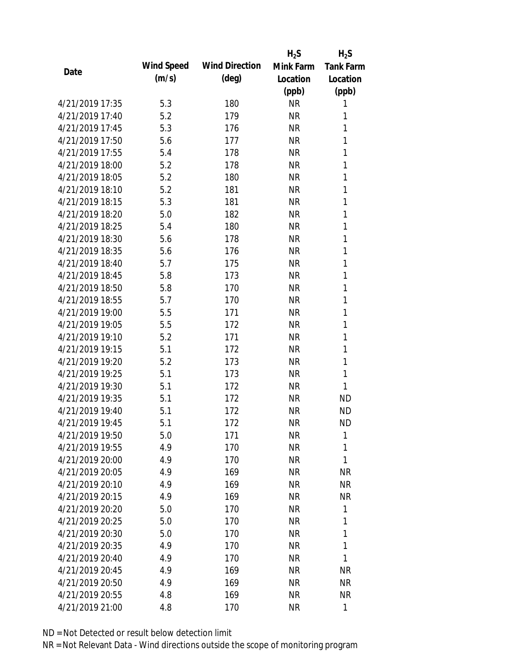|                 |            |                       | $H_2S$    | $H_2S$           |
|-----------------|------------|-----------------------|-----------|------------------|
| Date            | Wind Speed | <b>Wind Direction</b> | Mink Farm | <b>Tank Farm</b> |
|                 | (m/s)      | $(\text{deg})$        | Location  | Location         |
|                 |            |                       | (ppb)     | (ppb)            |
| 4/21/2019 17:35 | 5.3        | 180                   | <b>NR</b> | 1                |
| 4/21/2019 17:40 | 5.2        | 179                   | <b>NR</b> | 1                |
| 4/21/2019 17:45 | 5.3        | 176                   | <b>NR</b> | 1                |
| 4/21/2019 17:50 | 5.6        | 177                   | <b>NR</b> | 1                |
| 4/21/2019 17:55 | 5.4        | 178                   | <b>NR</b> | 1                |
| 4/21/2019 18:00 | 5.2        | 178                   | <b>NR</b> | 1                |
| 4/21/2019 18:05 | 5.2        | 180                   | <b>NR</b> | 1                |
| 4/21/2019 18:10 | 5.2        | 181                   | <b>NR</b> | 1                |
| 4/21/2019 18:15 | 5.3        | 181                   | <b>NR</b> | 1                |
| 4/21/2019 18:20 | 5.0        | 182                   | <b>NR</b> | 1                |
| 4/21/2019 18:25 | 5.4        | 180                   | <b>NR</b> | 1                |
| 4/21/2019 18:30 | 5.6        | 178                   | <b>NR</b> | 1                |
| 4/21/2019 18:35 | 5.6        | 176                   | <b>NR</b> | 1                |
| 4/21/2019 18:40 | 5.7        | 175                   | <b>NR</b> | 1                |
| 4/21/2019 18:45 | 5.8        | 173                   | <b>NR</b> | 1                |
| 4/21/2019 18:50 | 5.8        | 170                   | <b>NR</b> | 1                |
| 4/21/2019 18:55 | 5.7        | 170                   | <b>NR</b> | 1                |
| 4/21/2019 19:00 | 5.5        | 171                   | <b>NR</b> | 1                |
| 4/21/2019 19:05 | 5.5        | 172                   | <b>NR</b> | 1                |
| 4/21/2019 19:10 | 5.2        | 171                   | <b>NR</b> | 1                |
| 4/21/2019 19:15 | 5.1        | 172                   | <b>NR</b> | 1                |
| 4/21/2019 19:20 | 5.2        | 173                   | <b>NR</b> | 1                |
| 4/21/2019 19:25 | 5.1        | 173                   | <b>NR</b> | 1                |
| 4/21/2019 19:30 | 5.1        | 172                   | <b>NR</b> | 1                |
| 4/21/2019 19:35 | 5.1        | 172                   | <b>NR</b> | <b>ND</b>        |
| 4/21/2019 19:40 | 5.1        | 172                   | <b>NR</b> | <b>ND</b>        |
| 4/21/2019 19:45 | 5.1        | 172                   | <b>NR</b> | <b>ND</b>        |
| 4/21/2019 19:50 | 5.0        | 171                   | <b>NR</b> | 1                |
| 4/21/2019 19:55 | 4.9        | 170                   | <b>NR</b> | 1                |
| 4/21/2019 20:00 | 4.9        | 170                   | <b>NR</b> | 1                |
| 4/21/2019 20:05 | 4.9        | 169                   | <b>NR</b> | <b>NR</b>        |
| 4/21/2019 20:10 | 4.9        | 169                   | <b>NR</b> | <b>NR</b>        |
| 4/21/2019 20:15 | 4.9        | 169                   | <b>NR</b> | <b>NR</b>        |
| 4/21/2019 20:20 | 5.0        | 170                   | <b>NR</b> | 1                |
| 4/21/2019 20:25 | 5.0        | 170                   | <b>NR</b> | 1                |
| 4/21/2019 20:30 | 5.0        | 170                   | <b>NR</b> | 1                |
| 4/21/2019 20:35 | 4.9        | 170                   | <b>NR</b> | 1                |
| 4/21/2019 20:40 | 4.9        | 170                   | NR        | 1                |
| 4/21/2019 20:45 | 4.9        | 169                   | <b>NR</b> | <b>NR</b>        |
| 4/21/2019 20:50 | 4.9        | 169                   | <b>NR</b> | <b>NR</b>        |
| 4/21/2019 20:55 | 4.8        | 169                   | <b>NR</b> | <b>NR</b>        |
| 4/21/2019 21:00 | 4.8        | 170                   | <b>NR</b> | 1                |
|                 |            |                       |           |                  |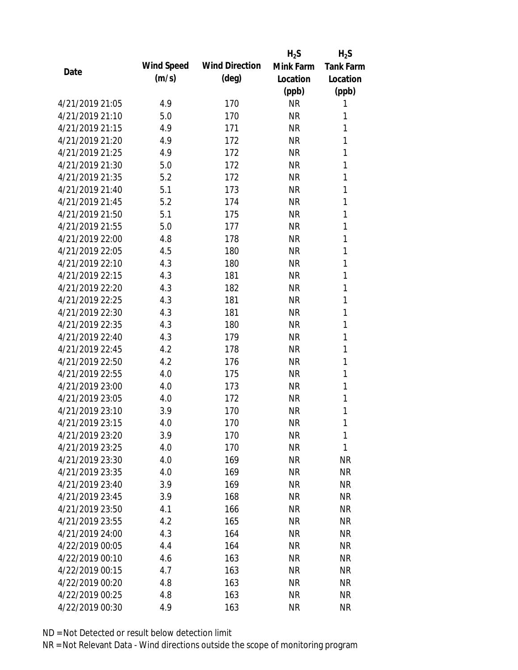|                 |            |                       | $H_2S$    | $H_2S$           |
|-----------------|------------|-----------------------|-----------|------------------|
| Date            | Wind Speed | <b>Wind Direction</b> | Mink Farm | <b>Tank Farm</b> |
|                 | (m/s)      | $(\text{deg})$        | Location  | Location         |
|                 |            |                       | (ppb)     | (ppb)            |
| 4/21/2019 21:05 | 4.9        | 170                   | <b>NR</b> | 1                |
| 4/21/2019 21:10 | 5.0        | 170                   | <b>NR</b> | 1                |
| 4/21/2019 21:15 | 4.9        | 171                   | <b>NR</b> | 1                |
| 4/21/2019 21:20 | 4.9        | 172                   | <b>NR</b> | 1                |
| 4/21/2019 21:25 | 4.9        | 172                   | <b>NR</b> | 1                |
| 4/21/2019 21:30 | 5.0        | 172                   | <b>NR</b> | 1                |
| 4/21/2019 21:35 | 5.2        | 172                   | <b>NR</b> | 1                |
| 4/21/2019 21:40 | 5.1        | 173                   | <b>NR</b> | 1                |
| 4/21/2019 21:45 | 5.2        | 174                   | <b>NR</b> | 1                |
| 4/21/2019 21:50 | 5.1        | 175                   | <b>NR</b> | 1                |
| 4/21/2019 21:55 | 5.0        | 177                   | <b>NR</b> | 1                |
| 4/21/2019 22:00 | 4.8        | 178                   | <b>NR</b> | 1                |
| 4/21/2019 22:05 | 4.5        | 180                   | <b>NR</b> | 1                |
| 4/21/2019 22:10 | 4.3        | 180                   | <b>NR</b> | 1                |
| 4/21/2019 22:15 | 4.3        | 181                   | <b>NR</b> | 1                |
| 4/21/2019 22:20 | 4.3        | 182                   | <b>NR</b> | 1                |
| 4/21/2019 22:25 | 4.3        | 181                   | <b>NR</b> | 1                |
| 4/21/2019 22:30 | 4.3        | 181                   | <b>NR</b> | 1                |
| 4/21/2019 22:35 | 4.3        | 180                   | <b>NR</b> | 1                |
| 4/21/2019 22:40 | 4.3        | 179                   | <b>NR</b> | 1                |
| 4/21/2019 22:45 | 4.2        | 178                   | <b>NR</b> | 1                |
| 4/21/2019 22:50 | 4.2        | 176                   | <b>NR</b> | 1                |
| 4/21/2019 22:55 | 4.0        | 175                   | <b>NR</b> | 1                |
| 4/21/2019 23:00 | 4.0        | 173                   | <b>NR</b> | 1                |
| 4/21/2019 23:05 | 4.0        | 172                   | <b>NR</b> | 1                |
| 4/21/2019 23:10 | 3.9        | 170                   | <b>NR</b> | 1                |
| 4/21/2019 23:15 | 4.0        | 170                   | <b>NR</b> | 1                |
| 4/21/2019 23:20 | 3.9        | 170                   | <b>NR</b> | 1                |
| 4/21/2019 23:25 | 4.0        | 170                   | <b>NR</b> | 1                |
| 4/21/2019 23:30 | 4.0        | 169                   | <b>NR</b> | <b>NR</b>        |
| 4/21/2019 23:35 | 4.0        | 169                   | <b>NR</b> | <b>NR</b>        |
| 4/21/2019 23:40 | 3.9        | 169                   | <b>NR</b> | <b>NR</b>        |
| 4/21/2019 23:45 | 3.9        | 168                   | <b>NR</b> | <b>NR</b>        |
| 4/21/2019 23:50 | 4.1        | 166                   | <b>NR</b> | <b>NR</b>        |
| 4/21/2019 23:55 | 4.2        | 165                   | <b>NR</b> | <b>NR</b>        |
| 4/21/2019 24:00 | 4.3        | 164                   | <b>NR</b> | <b>NR</b>        |
| 4/22/2019 00:05 | 4.4        | 164                   | <b>NR</b> | <b>NR</b>        |
| 4/22/2019 00:10 | 4.6        | 163                   | <b>NR</b> | <b>NR</b>        |
| 4/22/2019 00:15 | 4.7        | 163                   | <b>NR</b> | <b>NR</b>        |
| 4/22/2019 00:20 | 4.8        | 163                   | <b>NR</b> | <b>NR</b>        |
| 4/22/2019 00:25 | 4.8        | 163                   | <b>NR</b> | <b>NR</b>        |
| 4/22/2019 00:30 | 4.9        | 163                   | <b>NR</b> | <b>NR</b>        |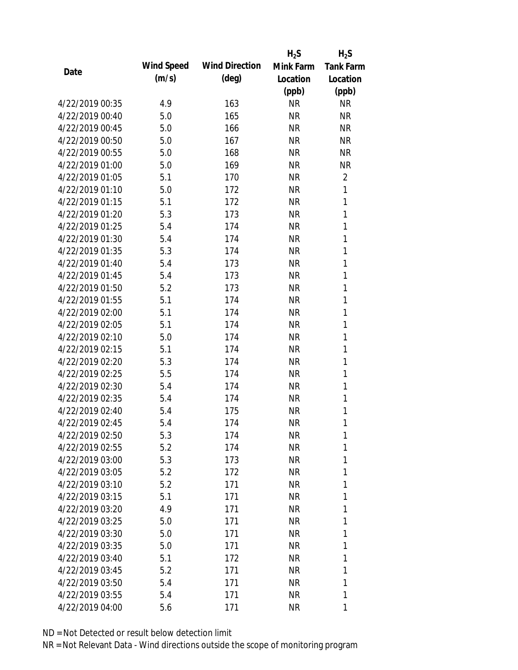|                 |            |                       | $H_2S$    | $H_2S$           |
|-----------------|------------|-----------------------|-----------|------------------|
| Date            | Wind Speed | <b>Wind Direction</b> | Mink Farm | <b>Tank Farm</b> |
|                 | (m/s)      | $(\text{deg})$        | Location  | Location         |
|                 |            |                       | (ppb)     | (ppb)            |
| 4/22/2019 00:35 | 4.9        | 163                   | <b>NR</b> | <b>NR</b>        |
| 4/22/2019 00:40 | 5.0        | 165                   | <b>NR</b> | <b>NR</b>        |
| 4/22/2019 00:45 | 5.0        | 166                   | <b>NR</b> | <b>NR</b>        |
| 4/22/2019 00:50 | 5.0        | 167                   | <b>NR</b> | <b>NR</b>        |
| 4/22/2019 00:55 | 5.0        | 168                   | <b>NR</b> | <b>NR</b>        |
| 4/22/2019 01:00 | 5.0        | 169                   | <b>NR</b> | <b>NR</b>        |
| 4/22/2019 01:05 | 5.1        | 170                   | <b>NR</b> | $\overline{2}$   |
| 4/22/2019 01:10 | 5.0        | 172                   | <b>NR</b> | 1                |
| 4/22/2019 01:15 | 5.1        | 172                   | <b>NR</b> | 1                |
| 4/22/2019 01:20 | 5.3        | 173                   | <b>NR</b> | 1                |
| 4/22/2019 01:25 | 5.4        | 174                   | <b>NR</b> | 1                |
| 4/22/2019 01:30 | 5.4        | 174                   | <b>NR</b> | $\mathbf{1}$     |
| 4/22/2019 01:35 | 5.3        | 174                   | <b>NR</b> | 1                |
| 4/22/2019 01:40 | 5.4        | 173                   | <b>NR</b> | 1                |
| 4/22/2019 01:45 | 5.4        | 173                   | <b>NR</b> | 1                |
| 4/22/2019 01:50 | 5.2        | 173                   | <b>NR</b> | 1                |
| 4/22/2019 01:55 | 5.1        | 174                   | <b>NR</b> | 1                |
| 4/22/2019 02:00 | 5.1        | 174                   | <b>NR</b> | 1                |
| 4/22/2019 02:05 | 5.1        | 174                   | <b>NR</b> | $\mathbf{1}$     |
| 4/22/2019 02:10 | 5.0        | 174                   | <b>NR</b> | 1                |
| 4/22/2019 02:15 | 5.1        | 174                   | <b>NR</b> | 1                |
| 4/22/2019 02:20 | 5.3        | 174                   | <b>NR</b> | 1                |
| 4/22/2019 02:25 | 5.5        | 174                   | <b>NR</b> | 1                |
| 4/22/2019 02:30 | 5.4        | 174                   | <b>NR</b> | 1                |
| 4/22/2019 02:35 | 5.4        | 174                   | <b>NR</b> | 1                |
| 4/22/2019 02:40 | 5.4        | 175                   | <b>NR</b> | 1                |
| 4/22/2019 02:45 | 5.4        | 174                   | <b>NR</b> | 1                |
| 4/22/2019 02:50 | 5.3        | 174                   | <b>NR</b> | 1                |
| 4/22/2019 02:55 | 5.2        | 174                   | NR        | 1                |
| 4/22/2019 03:00 | 5.3        | 173                   | NR        | 1                |
| 4/22/2019 03:05 | 5.2        | 172                   | <b>NR</b> | 1                |
| 4/22/2019 03:10 | 5.2        | 171                   | NR        | 1                |
| 4/22/2019 03:15 | 5.1        | 171                   | <b>NR</b> | 1                |
| 4/22/2019 03:20 | 4.9        | 171                   | NR        | 1                |
| 4/22/2019 03:25 | 5.0        | 171                   | NR        | 1                |
| 4/22/2019 03:30 | 5.0        | 171                   | <b>NR</b> | 1                |
| 4/22/2019 03:35 | 5.0        | 171                   | <b>NR</b> | 1                |
| 4/22/2019 03:40 | 5.1        | 172                   | NR        | 1                |
| 4/22/2019 03:45 | 5.2        | 171                   | NR        | 1                |
| 4/22/2019 03:50 | 5.4        | 171                   | NR        | 1                |
| 4/22/2019 03:55 | 5.4        | 171                   | <b>NR</b> | 1                |
| 4/22/2019 04:00 | 5.6        | 171                   | <b>NR</b> | 1                |
|                 |            |                       |           |                  |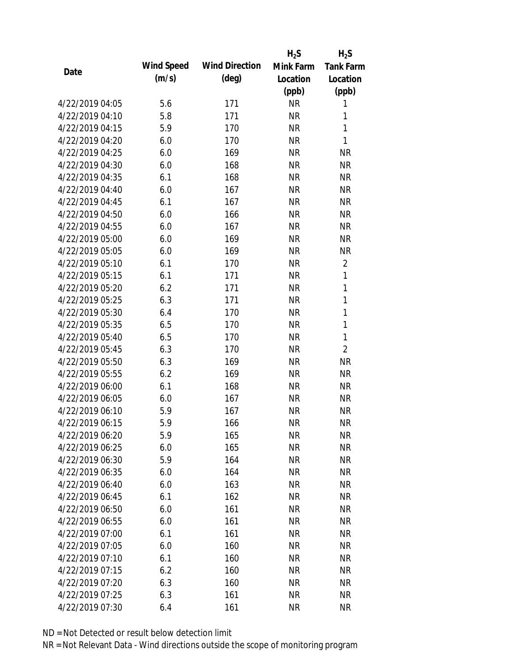|                 |            |                       | $H_2S$    | $H_2S$           |
|-----------------|------------|-----------------------|-----------|------------------|
| Date            | Wind Speed | <b>Wind Direction</b> | Mink Farm | <b>Tank Farm</b> |
|                 | (m/s)      | $(\text{deg})$        | Location  | Location         |
|                 |            |                       | (ppb)     | (ppb)            |
| 4/22/2019 04:05 | 5.6        | 171                   | <b>NR</b> | 1                |
| 4/22/2019 04:10 | 5.8        | 171                   | <b>NR</b> | 1                |
| 4/22/2019 04:15 | 5.9        | 170                   | <b>NR</b> | 1                |
| 4/22/2019 04:20 | 6.0        | 170                   | <b>NR</b> | 1                |
| 4/22/2019 04:25 | 6.0        | 169                   | <b>NR</b> | <b>NR</b>        |
| 4/22/2019 04:30 | 6.0        | 168                   | <b>NR</b> | <b>NR</b>        |
| 4/22/2019 04:35 | 6.1        | 168                   | <b>NR</b> | <b>NR</b>        |
| 4/22/2019 04:40 | 6.0        | 167                   | <b>NR</b> | <b>NR</b>        |
| 4/22/2019 04:45 | 6.1        | 167                   | <b>NR</b> | <b>NR</b>        |
| 4/22/2019 04:50 | 6.0        | 166                   | <b>NR</b> | <b>NR</b>        |
| 4/22/2019 04:55 | 6.0        | 167                   | <b>NR</b> | <b>NR</b>        |
| 4/22/2019 05:00 | 6.0        | 169                   | <b>NR</b> | <b>NR</b>        |
| 4/22/2019 05:05 | 6.0        | 169                   | <b>NR</b> | <b>NR</b>        |
| 4/22/2019 05:10 | 6.1        | 170                   | <b>NR</b> | $\overline{2}$   |
| 4/22/2019 05:15 | 6.1        | 171                   | <b>NR</b> | 1                |
| 4/22/2019 05:20 | 6.2        | 171                   | <b>NR</b> | 1                |
| 4/22/2019 05:25 | 6.3        | 171                   | <b>NR</b> | 1                |
| 4/22/2019 05:30 | 6.4        | 170                   | <b>NR</b> | 1                |
| 4/22/2019 05:35 | 6.5        | 170                   | <b>NR</b> | 1                |
| 4/22/2019 05:40 | 6.5        | 170                   | <b>NR</b> | 1                |
| 4/22/2019 05:45 | 6.3        | 170                   | <b>NR</b> | $\overline{2}$   |
| 4/22/2019 05:50 | 6.3        | 169                   | <b>NR</b> | <b>NR</b>        |
| 4/22/2019 05:55 | 6.2        | 169                   | <b>NR</b> | <b>NR</b>        |
| 4/22/2019 06:00 | 6.1        | 168                   | <b>NR</b> | <b>NR</b>        |
| 4/22/2019 06:05 | 6.0        | 167                   | <b>NR</b> | <b>NR</b>        |
| 4/22/2019 06:10 | 5.9        | 167                   | <b>NR</b> | <b>NR</b>        |
| 4/22/2019 06:15 | 5.9        | 166                   | <b>NR</b> | <b>NR</b>        |
| 4/22/2019 06:20 | 5.9        | 165                   | <b>NR</b> | <b>NR</b>        |
| 4/22/2019 06:25 | 6.0        | 165                   | <b>NR</b> | <b>NR</b>        |
| 4/22/2019 06:30 | 5.9        | 164                   | NR        | <b>NR</b>        |
| 4/22/2019 06:35 | 6.0        | 164                   | <b>NR</b> | <b>NR</b>        |
| 4/22/2019 06:40 | 6.0        | 163                   | <b>NR</b> | <b>NR</b>        |
| 4/22/2019 06:45 | 6.1        | 162                   | <b>NR</b> | <b>NR</b>        |
| 4/22/2019 06:50 | 6.0        | 161                   | <b>NR</b> | <b>NR</b>        |
| 4/22/2019 06:55 | 6.0        | 161                   | <b>NR</b> | <b>NR</b>        |
| 4/22/2019 07:00 | 6.1        | 161                   | <b>NR</b> | <b>NR</b>        |
| 4/22/2019 07:05 | 6.0        | 160                   | <b>NR</b> | <b>NR</b>        |
| 4/22/2019 07:10 | 6.1        | 160                   | NR        | <b>NR</b>        |
| 4/22/2019 07:15 | 6.2        | 160                   | <b>NR</b> | <b>NR</b>        |
| 4/22/2019 07:20 | 6.3        | 160                   | <b>NR</b> | <b>NR</b>        |
| 4/22/2019 07:25 | 6.3        | 161                   | <b>NR</b> | <b>NR</b>        |
| 4/22/2019 07:30 | 6.4        | 161                   | <b>NR</b> | <b>NR</b>        |
|                 |            |                       |           |                  |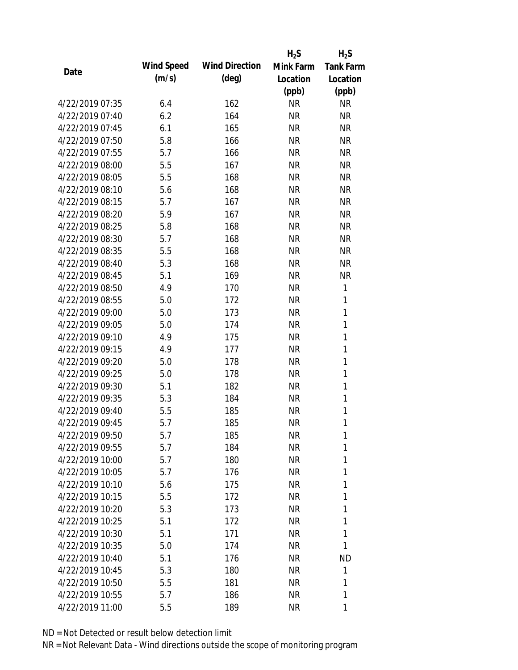|                 |            |                       | $H_2S$    | $H_2S$           |
|-----------------|------------|-----------------------|-----------|------------------|
| Date            | Wind Speed | <b>Wind Direction</b> | Mink Farm | <b>Tank Farm</b> |
|                 | (m/s)      | $(\text{deg})$        | Location  | Location         |
|                 |            |                       | (ppb)     | (ppb)            |
| 4/22/2019 07:35 | 6.4        | 162                   | <b>NR</b> | <b>NR</b>        |
| 4/22/2019 07:40 | 6.2        | 164                   | <b>NR</b> | <b>NR</b>        |
| 4/22/2019 07:45 | 6.1        | 165                   | <b>NR</b> | <b>NR</b>        |
| 4/22/2019 07:50 | 5.8        | 166                   | <b>NR</b> | <b>NR</b>        |
| 4/22/2019 07:55 | 5.7        | 166                   | <b>NR</b> | <b>NR</b>        |
| 4/22/2019 08:00 | 5.5        | 167                   | <b>NR</b> | <b>NR</b>        |
| 4/22/2019 08:05 | 5.5        | 168                   | <b>NR</b> | <b>NR</b>        |
| 4/22/2019 08:10 | 5.6        | 168                   | <b>NR</b> | <b>NR</b>        |
| 4/22/2019 08:15 | 5.7        | 167                   | <b>NR</b> | <b>NR</b>        |
| 4/22/2019 08:20 | 5.9        | 167                   | <b>NR</b> | <b>NR</b>        |
| 4/22/2019 08:25 | 5.8        | 168                   | <b>NR</b> | <b>NR</b>        |
| 4/22/2019 08:30 | 5.7        | 168                   | <b>NR</b> | <b>NR</b>        |
| 4/22/2019 08:35 | 5.5        | 168                   | <b>NR</b> | <b>NR</b>        |
| 4/22/2019 08:40 | 5.3        | 168                   | <b>NR</b> | <b>NR</b>        |
| 4/22/2019 08:45 | 5.1        | 169                   | <b>NR</b> | <b>NR</b>        |
| 4/22/2019 08:50 | 4.9        | 170                   | <b>NR</b> | 1                |
| 4/22/2019 08:55 | 5.0        | 172                   | <b>NR</b> | 1                |
| 4/22/2019 09:00 | 5.0        | 173                   | <b>NR</b> | $\mathbf{1}$     |
| 4/22/2019 09:05 | 5.0        | 174                   | <b>NR</b> | $\mathbf{1}$     |
| 4/22/2019 09:10 | 4.9        | 175                   | <b>NR</b> | 1                |
| 4/22/2019 09:15 | 4.9        | 177                   | <b>NR</b> | $\mathbf{1}$     |
| 4/22/2019 09:20 | 5.0        | 178                   | <b>NR</b> | $\mathbf{1}$     |
| 4/22/2019 09:25 | 5.0        | 178                   | <b>NR</b> | 1                |
| 4/22/2019 09:30 | 5.1        | 182                   | <b>NR</b> | $\mathbf{1}$     |
| 4/22/2019 09:35 | 5.3        | 184                   | <b>NR</b> | 1                |
| 4/22/2019 09:40 | 5.5        | 185                   | <b>NR</b> | $\mathbf{1}$     |
| 4/22/2019 09:45 | 5.7        | 185                   | <b>NR</b> | 1                |
| 4/22/2019 09:50 | 5.7        | 185                   | <b>NR</b> | 1                |
| 4/22/2019 09:55 | 5.7        | 184                   | NR        | 1                |
| 4/22/2019 10:00 | 5.7        | 180                   | NR        | 1                |
| 4/22/2019 10:05 | 5.7        | 176                   | <b>NR</b> | 1                |
| 4/22/2019 10:10 | 5.6        | 175                   | NR        | 1                |
| 4/22/2019 10:15 | 5.5        | 172                   | NR        | 1                |
| 4/22/2019 10:20 | 5.3        | 173                   | NR        | 1                |
| 4/22/2019 10:25 | 5.1        | 172                   | NR        | 1                |
| 4/22/2019 10:30 | 5.1        | 171                   | <b>NR</b> | 1                |
| 4/22/2019 10:35 | 5.0        | 174                   | NR        | 1                |
| 4/22/2019 10:40 | 5.1        | 176                   | NR        | <b>ND</b>        |
| 4/22/2019 10:45 | 5.3        | 180                   | NR.       | 1                |
| 4/22/2019 10:50 | 5.5        | 181                   | NR        | 1                |
| 4/22/2019 10:55 | 5.7        | 186                   | <b>NR</b> | 1                |
| 4/22/2019 11:00 | 5.5        | 189                   | <b>NR</b> | 1                |
|                 |            |                       |           |                  |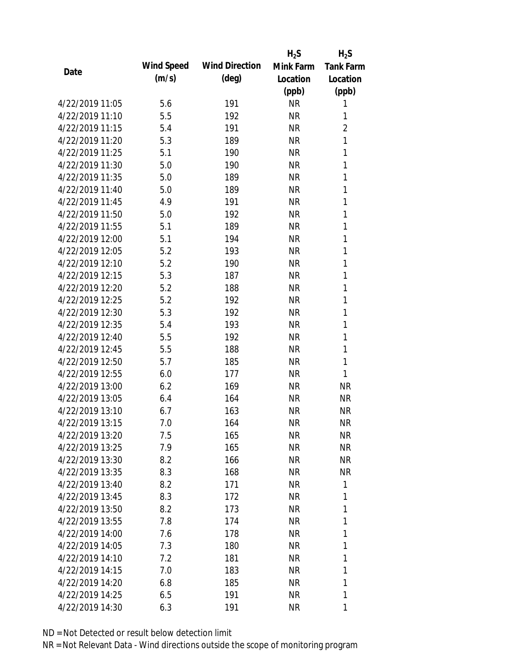|                 |            |                       | $H_2S$    | $H_2S$           |
|-----------------|------------|-----------------------|-----------|------------------|
| Date            | Wind Speed | <b>Wind Direction</b> | Mink Farm | <b>Tank Farm</b> |
|                 | (m/s)      | $(\text{deg})$        | Location  | Location         |
|                 |            |                       | (ppb)     | (ppb)            |
| 4/22/2019 11:05 | 5.6        | 191                   | <b>NR</b> | 1                |
| 4/22/2019 11:10 | 5.5        | 192                   | <b>NR</b> | 1                |
| 4/22/2019 11:15 | 5.4        | 191                   | <b>NR</b> | $\overline{2}$   |
| 4/22/2019 11:20 | 5.3        | 189                   | <b>NR</b> | 1                |
| 4/22/2019 11:25 | 5.1        | 190                   | <b>NR</b> | 1                |
| 4/22/2019 11:30 | 5.0        | 190                   | <b>NR</b> | 1                |
| 4/22/2019 11:35 | 5.0        | 189                   | <b>NR</b> | 1                |
| 4/22/2019 11:40 | 5.0        | 189                   | <b>NR</b> | 1                |
| 4/22/2019 11:45 | 4.9        | 191                   | <b>NR</b> | 1                |
| 4/22/2019 11:50 | 5.0        | 192                   | <b>NR</b> | 1                |
| 4/22/2019 11:55 | 5.1        | 189                   | <b>NR</b> | 1                |
| 4/22/2019 12:00 | 5.1        | 194                   | <b>NR</b> | 1                |
| 4/22/2019 12:05 | 5.2        | 193                   | <b>NR</b> | 1                |
| 4/22/2019 12:10 | 5.2        | 190                   | <b>NR</b> | 1                |
| 4/22/2019 12:15 | 5.3        | 187                   | <b>NR</b> | 1                |
| 4/22/2019 12:20 | 5.2        | 188                   | <b>NR</b> | 1                |
| 4/22/2019 12:25 | 5.2        | 192                   | <b>NR</b> | 1                |
| 4/22/2019 12:30 | 5.3        | 192                   | <b>NR</b> | 1                |
| 4/22/2019 12:35 | 5.4        | 193                   | <b>NR</b> | 1                |
| 4/22/2019 12:40 | 5.5        | 192                   | <b>NR</b> | 1                |
| 4/22/2019 12:45 | 5.5        | 188                   | <b>NR</b> | 1                |
| 4/22/2019 12:50 | 5.7        | 185                   | <b>NR</b> | 1                |
| 4/22/2019 12:55 | 6.0        | 177                   | <b>NR</b> | 1                |
| 4/22/2019 13:00 | 6.2        | 169                   | <b>NR</b> | <b>NR</b>        |
| 4/22/2019 13:05 | 6.4        | 164                   | <b>NR</b> | <b>NR</b>        |
| 4/22/2019 13:10 | 6.7        | 163                   | <b>NR</b> | <b>NR</b>        |
| 4/22/2019 13:15 | 7.0        | 164                   | <b>NR</b> | <b>NR</b>        |
| 4/22/2019 13:20 | 7.5        | 165                   | <b>NR</b> | <b>NR</b>        |
| 4/22/2019 13:25 | 7.9        | 165                   | <b>NR</b> | NR               |
| 4/22/2019 13:30 | 8.2        | 166                   | NR        | NR               |
| 4/22/2019 13:35 | 8.3        | 168                   | <b>NR</b> | <b>NR</b>        |
| 4/22/2019 13:40 | 8.2        | 171                   | <b>NR</b> | 1                |
| 4/22/2019 13:45 | 8.3        | 172                   | <b>NR</b> | 1                |
| 4/22/2019 13:50 | 8.2        | 173                   | <b>NR</b> | 1                |
| 4/22/2019 13:55 | 7.8        | 174                   | <b>NR</b> | 1                |
| 4/22/2019 14:00 | 7.6        | 178                   | <b>NR</b> | 1                |
| 4/22/2019 14:05 | 7.3        | 180                   | NR        | 1                |
| 4/22/2019 14:10 | 7.2        | 181                   | NR        | 1                |
| 4/22/2019 14:15 | 7.0        | 183                   | <b>NR</b> | 1                |
| 4/22/2019 14:20 | 6.8        | 185                   | <b>NR</b> | 1                |
| 4/22/2019 14:25 | 6.5        | 191                   | <b>NR</b> | 1                |
| 4/22/2019 14:30 |            |                       | <b>NR</b> | 1                |
|                 | 6.3        | 191                   |           |                  |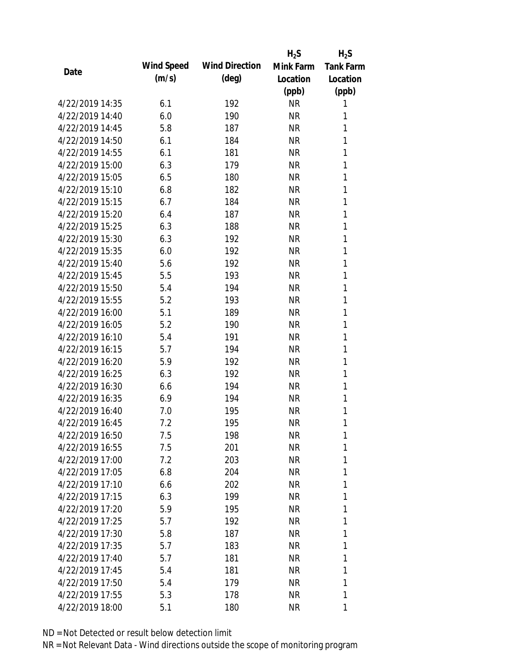|                 |            |                       | $H_2S$    | $H_2S$           |
|-----------------|------------|-----------------------|-----------|------------------|
| Date            | Wind Speed | <b>Wind Direction</b> | Mink Farm | <b>Tank Farm</b> |
|                 | (m/s)      | $(\text{deg})$        | Location  | Location         |
|                 |            |                       | (ppb)     | (ppb)            |
| 4/22/2019 14:35 | 6.1        | 192                   | <b>NR</b> | 1                |
| 4/22/2019 14:40 | 6.0        | 190                   | <b>NR</b> | 1                |
| 4/22/2019 14:45 | 5.8        | 187                   | <b>NR</b> | 1                |
| 4/22/2019 14:50 | 6.1        | 184                   | <b>NR</b> | 1                |
| 4/22/2019 14:55 | 6.1        | 181                   | <b>NR</b> | 1                |
| 4/22/2019 15:00 | 6.3        | 179                   | <b>NR</b> | 1                |
| 4/22/2019 15:05 | 6.5        | 180                   | <b>NR</b> | 1                |
| 4/22/2019 15:10 | 6.8        | 182                   | <b>NR</b> | 1                |
| 4/22/2019 15:15 | 6.7        | 184                   | <b>NR</b> | 1                |
| 4/22/2019 15:20 | 6.4        | 187                   | <b>NR</b> | 1                |
| 4/22/2019 15:25 | 6.3        | 188                   | <b>NR</b> | 1                |
| 4/22/2019 15:30 | 6.3        | 192                   | <b>NR</b> | 1                |
| 4/22/2019 15:35 | 6.0        | 192                   | <b>NR</b> | 1                |
| 4/22/2019 15:40 | 5.6        | 192                   | <b>NR</b> | 1                |
| 4/22/2019 15:45 | 5.5        | 193                   | <b>NR</b> | 1                |
| 4/22/2019 15:50 | 5.4        | 194                   | <b>NR</b> | 1                |
| 4/22/2019 15:55 | 5.2        | 193                   | <b>NR</b> | 1                |
| 4/22/2019 16:00 | 5.1        | 189                   | <b>NR</b> | 1                |
| 4/22/2019 16:05 | 5.2        | 190                   | <b>NR</b> | 1                |
| 4/22/2019 16:10 | 5.4        | 191                   | <b>NR</b> | 1                |
| 4/22/2019 16:15 | 5.7        | 194                   | <b>NR</b> | 1                |
| 4/22/2019 16:20 | 5.9        | 192                   | <b>NR</b> | 1                |
| 4/22/2019 16:25 | 6.3        | 192                   | <b>NR</b> | 1                |
| 4/22/2019 16:30 | 6.6        | 194                   | <b>NR</b> | 1                |
| 4/22/2019 16:35 | 6.9        | 194                   | <b>NR</b> | 1                |
| 4/22/2019 16:40 | 7.0        | 195                   | <b>NR</b> | 1                |
| 4/22/2019 16:45 | 7.2        | 195                   | <b>NR</b> | 1                |
| 4/22/2019 16:50 | 7.5        | 198                   | <b>NR</b> | 1                |
| 4/22/2019 16:55 | 7.5        | 201                   | NR        | 1                |
| 4/22/2019 17:00 | 7.2        | 203                   | NR        | 1                |
| 4/22/2019 17:05 | 6.8        | 204                   | <b>NR</b> | 1                |
| 4/22/2019 17:10 | 6.6        | 202                   | NR        | 1                |
| 4/22/2019 17:15 | 6.3        | 199                   | <b>NR</b> | 1                |
| 4/22/2019 17:20 | 5.9        | 195                   | NR        | 1                |
| 4/22/2019 17:25 | 5.7        | 192                   | NR        | 1                |
| 4/22/2019 17:30 | 5.8        | 187                   | NR        | 1                |
| 4/22/2019 17:35 | 5.7        | 183                   | NR        | 1                |
| 4/22/2019 17:40 | 5.7        | 181                   | NR        | 1                |
| 4/22/2019 17:45 | 5.4        | 181                   | NR        | 1                |
| 4/22/2019 17:50 | 5.4        | 179                   | NR        | 1                |
| 4/22/2019 17:55 | 5.3        | 178                   | <b>NR</b> | 1                |
| 4/22/2019 18:00 | 5.1        | 180                   | <b>NR</b> | 1                |
|                 |            |                       |           |                  |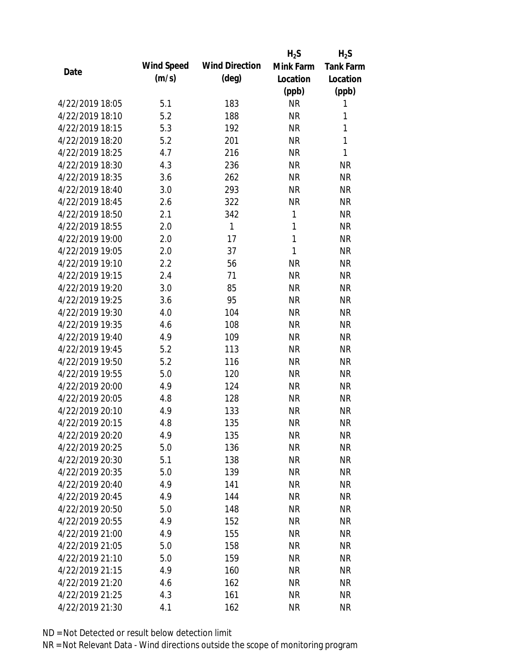|                 |            |                       | $H_2S$       | $H_2S$           |
|-----------------|------------|-----------------------|--------------|------------------|
| Date            | Wind Speed | <b>Wind Direction</b> | Mink Farm    | <b>Tank Farm</b> |
|                 | (m/s)      | $(\text{deg})$        | Location     | Location         |
|                 |            |                       | (ppb)        | (ppb)            |
| 4/22/2019 18:05 | 5.1        | 183                   | <b>NR</b>    | 1                |
| 4/22/2019 18:10 | 5.2        | 188                   | <b>NR</b>    | 1                |
| 4/22/2019 18:15 | 5.3        | 192                   | <b>NR</b>    | $\mathbf{1}$     |
| 4/22/2019 18:20 | 5.2        | 201                   | <b>NR</b>    | 1                |
| 4/22/2019 18:25 | 4.7        | 216                   | <b>NR</b>    | $\mathbf{1}$     |
| 4/22/2019 18:30 | 4.3        | 236                   | <b>NR</b>    | <b>NR</b>        |
| 4/22/2019 18:35 | 3.6        | 262                   | <b>NR</b>    | <b>NR</b>        |
| 4/22/2019 18:40 | 3.0        | 293                   | <b>NR</b>    | <b>NR</b>        |
| 4/22/2019 18:45 | 2.6        | 322                   | <b>NR</b>    | <b>NR</b>        |
| 4/22/2019 18:50 | 2.1        | 342                   | 1            | <b>NR</b>        |
| 4/22/2019 18:55 | 2.0        | 1                     | 1            | <b>NR</b>        |
| 4/22/2019 19:00 | 2.0        | 17                    | $\mathbf{1}$ | <b>NR</b>        |
| 4/22/2019 19:05 | 2.0        | 37                    | $\mathbf{1}$ | <b>NR</b>        |
| 4/22/2019 19:10 | 2.2        | 56                    | <b>NR</b>    | <b>NR</b>        |
| 4/22/2019 19:15 | 2.4        | 71                    | <b>NR</b>    | <b>NR</b>        |
| 4/22/2019 19:20 | 3.0        | 85                    | <b>NR</b>    | <b>NR</b>        |
| 4/22/2019 19:25 | 3.6        | 95                    | <b>NR</b>    | <b>NR</b>        |
| 4/22/2019 19:30 | 4.0        | 104                   | <b>NR</b>    | <b>NR</b>        |
| 4/22/2019 19:35 | 4.6        | 108                   | <b>NR</b>    | <b>NR</b>        |
| 4/22/2019 19:40 | 4.9        | 109                   | <b>NR</b>    | <b>NR</b>        |
| 4/22/2019 19:45 | 5.2        | 113                   | <b>NR</b>    | <b>NR</b>        |
| 4/22/2019 19:50 | 5.2        | 116                   | <b>NR</b>    | <b>NR</b>        |
| 4/22/2019 19:55 | 5.0        | 120                   | <b>NR</b>    | <b>NR</b>        |
| 4/22/2019 20:00 | 4.9        | 124                   | <b>NR</b>    | <b>NR</b>        |
| 4/22/2019 20:05 | 4.8        | 128                   | <b>NR</b>    | <b>NR</b>        |
| 4/22/2019 20:10 | 4.9        | 133                   | <b>NR</b>    | <b>NR</b>        |
| 4/22/2019 20:15 | 4.8        | 135                   | <b>NR</b>    | <b>NR</b>        |
| 4/22/2019 20:20 | 4.9        | 135                   | <b>NR</b>    | <b>NR</b>        |
| 4/22/2019 20:25 | 5.0        | 136                   | <b>NR</b>    | <b>NR</b>        |
| 4/22/2019 20:30 | 5.1        | 138                   | <b>NR</b>    | <b>NR</b>        |
| 4/22/2019 20:35 | 5.0        | 139                   | <b>NR</b>    | <b>NR</b>        |
| 4/22/2019 20:40 | 4.9        | 141                   | <b>NR</b>    | <b>NR</b>        |
| 4/22/2019 20:45 | 4.9        | 144                   | <b>NR</b>    | <b>NR</b>        |
| 4/22/2019 20:50 | 5.0        | 148                   | <b>NR</b>    | <b>NR</b>        |
| 4/22/2019 20:55 | 4.9        | 152                   | <b>NR</b>    | <b>NR</b>        |
| 4/22/2019 21:00 | 4.9        | 155                   | <b>NR</b>    | <b>NR</b>        |
| 4/22/2019 21:05 | 5.0        | 158                   | <b>NR</b>    | <b>NR</b>        |
| 4/22/2019 21:10 | 5.0        | 159                   | NR           | <b>NR</b>        |
| 4/22/2019 21:15 | 4.9        | 160                   | <b>NR</b>    | <b>NR</b>        |
| 4/22/2019 21:20 | 4.6        | 162                   | <b>NR</b>    | <b>NR</b>        |
| 4/22/2019 21:25 | 4.3        | 161                   | <b>NR</b>    | <b>NR</b>        |
| 4/22/2019 21:30 | 4.1        | 162                   | <b>NR</b>    | <b>NR</b>        |
|                 |            |                       |              |                  |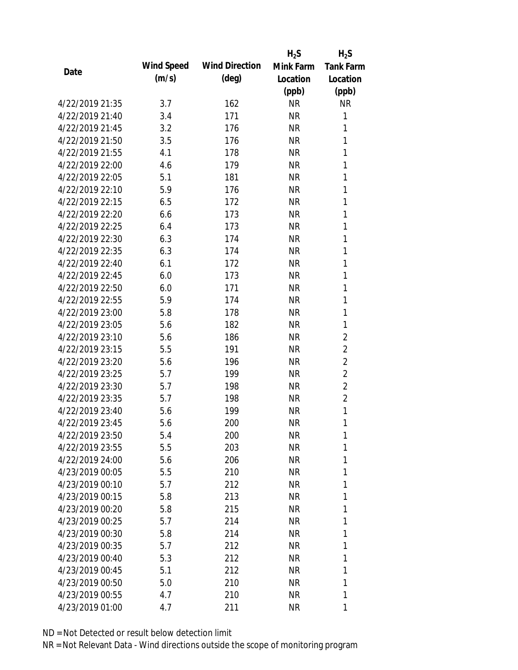|                 |            |                       | $H_2S$    | $H_2S$           |
|-----------------|------------|-----------------------|-----------|------------------|
| Date            | Wind Speed | <b>Wind Direction</b> | Mink Farm | <b>Tank Farm</b> |
|                 | (m/s)      | $(\text{deg})$        | Location  | Location         |
|                 |            |                       | (ppb)     | (ppb)            |
| 4/22/2019 21:35 | 3.7        | 162                   | <b>NR</b> | <b>NR</b>        |
| 4/22/2019 21:40 | 3.4        | 171                   | <b>NR</b> | 1                |
| 4/22/2019 21:45 | 3.2        | 176                   | <b>NR</b> | 1                |
| 4/22/2019 21:50 | 3.5        | 176                   | <b>NR</b> | 1                |
| 4/22/2019 21:55 | 4.1        | 178                   | <b>NR</b> | 1                |
| 4/22/2019 22:00 | 4.6        | 179                   | <b>NR</b> | 1                |
| 4/22/2019 22:05 | 5.1        | 181                   | <b>NR</b> | 1                |
| 4/22/2019 22:10 | 5.9        | 176                   | <b>NR</b> | 1                |
| 4/22/2019 22:15 | 6.5        | 172                   | <b>NR</b> | 1                |
| 4/22/2019 22:20 | 6.6        | 173                   | <b>NR</b> | 1                |
| 4/22/2019 22:25 | 6.4        | 173                   | <b>NR</b> | 1                |
| 4/22/2019 22:30 | 6.3        | 174                   | <b>NR</b> | 1                |
| 4/22/2019 22:35 | 6.3        | 174                   | <b>NR</b> | 1                |
| 4/22/2019 22:40 | 6.1        | 172                   | <b>NR</b> | 1                |
| 4/22/2019 22:45 | 6.0        | 173                   | <b>NR</b> | 1                |
| 4/22/2019 22:50 | 6.0        | 171                   | <b>NR</b> | 1                |
| 4/22/2019 22:55 | 5.9        | 174                   | <b>NR</b> | 1                |
| 4/22/2019 23:00 | 5.8        | 178                   | <b>NR</b> | 1                |
| 4/22/2019 23:05 | 5.6        | 182                   | <b>NR</b> | $\mathbf{1}$     |
| 4/22/2019 23:10 | 5.6        | 186                   | <b>NR</b> | $\overline{2}$   |
| 4/22/2019 23:15 | 5.5        | 191                   | <b>NR</b> | $\overline{2}$   |
| 4/22/2019 23:20 | 5.6        | 196                   | <b>NR</b> | $\overline{2}$   |
| 4/22/2019 23:25 | 5.7        | 199                   | <b>NR</b> | $\overline{2}$   |
| 4/22/2019 23:30 | 5.7        | 198                   | <b>NR</b> | $\overline{2}$   |
| 4/22/2019 23:35 | 5.7        | 198                   | <b>NR</b> | $\overline{2}$   |
| 4/22/2019 23:40 | 5.6        | 199                   | <b>NR</b> | $\mathbf{1}$     |
| 4/22/2019 23:45 | 5.6        | 200                   | <b>NR</b> | 1                |
| 4/22/2019 23:50 | 5.4        | 200                   | <b>NR</b> | 1                |
| 4/22/2019 23:55 | 5.5        | 203                   | NR        | 1                |
| 4/22/2019 24:00 | 5.6        | 206                   | NR        | 1                |
| 4/23/2019 00:05 | 5.5        | 210                   | NR        | 1                |
| 4/23/2019 00:10 | 5.7        | 212                   | NR        | 1                |
| 4/23/2019 00:15 | 5.8        | 213                   | NR        | 1                |
| 4/23/2019 00:20 | 5.8        | 215                   | NR        | 1                |
| 4/23/2019 00:25 | 5.7        | 214                   | NR        | 1                |
| 4/23/2019 00:30 | 5.8        | 214                   | NR        | 1                |
| 4/23/2019 00:35 | 5.7        | 212                   | NR        | 1                |
| 4/23/2019 00:40 | 5.3        | 212                   | NR        | 1                |
| 4/23/2019 00:45 | 5.1        | 212                   | NR        | 1                |
| 4/23/2019 00:50 | 5.0        | 210                   | NR        | 1                |
| 4/23/2019 00:55 | 4.7        | 210                   | <b>NR</b> | 1                |
| 4/23/2019 01:00 | 4.7        | 211                   | <b>NR</b> | 1                |
|                 |            |                       |           |                  |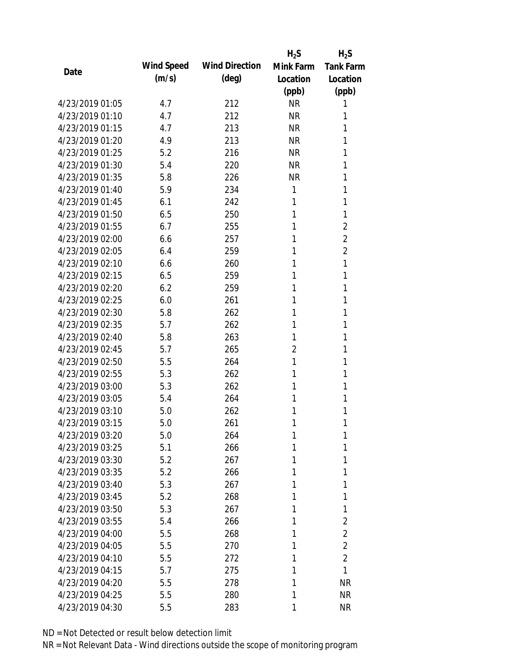|                 |            |                       | $H_2S$         | $H_2S$           |
|-----------------|------------|-----------------------|----------------|------------------|
| Date            | Wind Speed | <b>Wind Direction</b> | Mink Farm      | <b>Tank Farm</b> |
|                 | (m/s)      | $(\text{deg})$        | Location       | Location         |
|                 |            |                       | (ppb)          | (ppb)            |
| 4/23/2019 01:05 | 4.7        | 212                   | <b>NR</b>      | 1                |
| 4/23/2019 01:10 | 4.7        | 212                   | <b>NR</b>      | 1                |
| 4/23/2019 01:15 | 4.7        | 213                   | <b>NR</b>      | 1                |
| 4/23/2019 01:20 | 4.9        | 213                   | <b>NR</b>      | 1                |
| 4/23/2019 01:25 | 5.2        | 216                   | <b>NR</b>      | 1                |
| 4/23/2019 01:30 | 5.4        | 220                   | <b>NR</b>      | 1                |
| 4/23/2019 01:35 | 5.8        | 226                   | <b>NR</b>      | 1                |
| 4/23/2019 01:40 | 5.9        | 234                   | $\mathbf{1}$   | 1                |
| 4/23/2019 01:45 | 6.1        | 242                   | 1              | 1                |
| 4/23/2019 01:50 | 6.5        | 250                   | 1              | 1                |
| 4/23/2019 01:55 | 6.7        | 255                   | 1              | 2                |
| 4/23/2019 02:00 | 6.6        | 257                   | 1              | $\overline{2}$   |
| 4/23/2019 02:05 | 6.4        | 259                   | 1              | $\overline{2}$   |
| 4/23/2019 02:10 | 6.6        | 260                   | 1              | 1                |
| 4/23/2019 02:15 | 6.5        | 259                   | 1              | 1                |
| 4/23/2019 02:20 | 6.2        | 259                   | 1              | 1                |
| 4/23/2019 02:25 | 6.0        | 261                   | 1              | 1                |
| 4/23/2019 02:30 | 5.8        | 262                   | 1              | 1                |
| 4/23/2019 02:35 | 5.7        | 262                   | 1              | 1                |
| 4/23/2019 02:40 | 5.8        | 263                   | 1              | 1                |
| 4/23/2019 02:45 | 5.7        | 265                   | $\overline{2}$ | 1                |
| 4/23/2019 02:50 | 5.5        | 264                   | 1              | 1                |
| 4/23/2019 02:55 | 5.3        | 262                   | 1              | 1                |
| 4/23/2019 03:00 | 5.3        | 262                   | 1              | 1                |
| 4/23/2019 03:05 | 5.4        | 264                   | 1              | 1                |
| 4/23/2019 03:10 | 5.0        | 262                   | 1              | 1                |
| 4/23/2019 03:15 | 5.0        | 261                   | 1              | 1                |
| 4/23/2019 03:20 | 5.0        | 264                   | 1              | 1                |
| 4/23/2019 03:25 | 5.1        | 266                   | 1              | 1                |
| 4/23/2019 03:30 | 5.2        | 267                   | 1              | 1                |
| 4/23/2019 03:35 | 5.2        | 266                   | 1              | 1                |
| 4/23/2019 03:40 | 5.3        | 267                   | 1              | 1                |
| 4/23/2019 03:45 | 5.2        | 268                   | 1              | 1                |
| 4/23/2019 03:50 | 5.3        | 267                   | 1              | 1                |
| 4/23/2019 03:55 | 5.4        | 266                   | 1              | $\overline{2}$   |
| 4/23/2019 04:00 | 5.5        | 268                   | 1              | $\overline{2}$   |
| 4/23/2019 04:05 | 5.5        | 270                   | 1              | $\overline{2}$   |
| 4/23/2019 04:10 | 5.5        | 272                   | 1              | $\overline{2}$   |
| 4/23/2019 04:15 | 5.7        | 275                   | 1              | 1                |
| 4/23/2019 04:20 | 5.5        | 278                   | 1              | <b>NR</b>        |
| 4/23/2019 04:25 | 5.5        | 280                   | 1              | <b>NR</b>        |
| 4/23/2019 04:30 | 5.5        | 283                   | 1              | <b>NR</b>        |
|                 |            |                       |                |                  |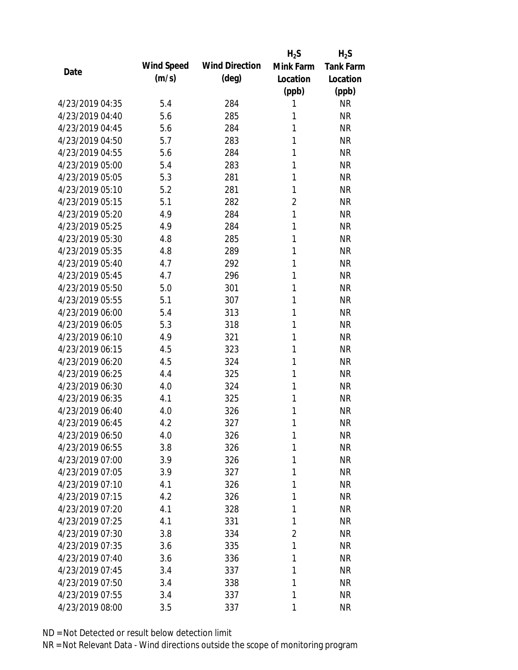|                 |            |                       | $H_2S$         | $H_2S$           |
|-----------------|------------|-----------------------|----------------|------------------|
| Date            | Wind Speed | <b>Wind Direction</b> | Mink Farm      | <b>Tank Farm</b> |
|                 | (m/s)      | $(\text{deg})$        | Location       | Location         |
|                 |            |                       | (ppb)          | (ppb)            |
| 4/23/2019 04:35 | 5.4        | 284                   | 1              | <b>NR</b>        |
| 4/23/2019 04:40 | 5.6        | 285                   | 1              | <b>NR</b>        |
| 4/23/2019 04:45 | 5.6        | 284                   | 1              | <b>NR</b>        |
| 4/23/2019 04:50 | 5.7        | 283                   | 1              | <b>NR</b>        |
| 4/23/2019 04:55 | 5.6        | 284                   | 1              | <b>NR</b>        |
| 4/23/2019 05:00 | 5.4        | 283                   | 1              | <b>NR</b>        |
| 4/23/2019 05:05 | 5.3        | 281                   | 1              | <b>NR</b>        |
| 4/23/2019 05:10 | 5.2        | 281                   | 1              | <b>NR</b>        |
| 4/23/2019 05:15 | 5.1        | 282                   | $\overline{2}$ | <b>NR</b>        |
| 4/23/2019 05:20 | 4.9        | 284                   | 1              | <b>NR</b>        |
| 4/23/2019 05:25 | 4.9        | 284                   | 1              | <b>NR</b>        |
| 4/23/2019 05:30 | 4.8        | 285                   | 1              | <b>NR</b>        |
| 4/23/2019 05:35 | 4.8        | 289                   | 1              | <b>NR</b>        |
| 4/23/2019 05:40 | 4.7        | 292                   | 1              | <b>NR</b>        |
| 4/23/2019 05:45 | 4.7        | 296                   | 1              | <b>NR</b>        |
| 4/23/2019 05:50 | 5.0        | 301                   | 1              | <b>NR</b>        |
| 4/23/2019 05:55 | 5.1        | 307                   | 1              | <b>NR</b>        |
| 4/23/2019 06:00 | 5.4        | 313                   | 1              | <b>NR</b>        |
| 4/23/2019 06:05 | 5.3        | 318                   | 1              | <b>NR</b>        |
| 4/23/2019 06:10 | 4.9        | 321                   | 1              | <b>NR</b>        |
| 4/23/2019 06:15 | 4.5        | 323                   | 1              | <b>NR</b>        |
| 4/23/2019 06:20 | 4.5        | 324                   | 1              | <b>NR</b>        |
| 4/23/2019 06:25 | 4.4        | 325                   | 1              | <b>NR</b>        |
| 4/23/2019 06:30 | 4.0        | 324                   | 1              | <b>NR</b>        |
| 4/23/2019 06:35 | 4.1        | 325                   | 1              | <b>NR</b>        |
| 4/23/2019 06:40 | 4.0        | 326                   | 1              | <b>NR</b>        |
| 4/23/2019 06:45 | 4.2        | 327                   | 1              | <b>NR</b>        |
| 4/23/2019 06:50 | 4.0        | 326                   | $\mathbf{1}$   | <b>NR</b>        |
| 4/23/2019 06:55 | 3.8        | 326                   | 1              | <b>NR</b>        |
| 4/23/2019 07:00 | 3.9        | 326                   | 1              | <b>NR</b>        |
| 4/23/2019 07:05 | 3.9        | 327                   | 1              | <b>NR</b>        |
| 4/23/2019 07:10 | 4.1        | 326                   | 1              | <b>NR</b>        |
| 4/23/2019 07:15 | 4.2        | 326                   | 1              | <b>NR</b>        |
| 4/23/2019 07:20 | 4.1        | 328                   | 1              | <b>NR</b>        |
| 4/23/2019 07:25 | 4.1        | 331                   | $\mathbf{1}$   | <b>NR</b>        |
| 4/23/2019 07:30 | 3.8        | 334                   | $\overline{2}$ | <b>NR</b>        |
| 4/23/2019 07:35 | 3.6        | 335                   | 1              | <b>NR</b>        |
| 4/23/2019 07:40 | 3.6        | 336                   | 1              | <b>NR</b>        |
| 4/23/2019 07:45 | 3.4        | 337                   | 1              | <b>NR</b>        |
| 4/23/2019 07:50 | 3.4        | 338                   | 1              | <b>NR</b>        |
| 4/23/2019 07:55 | 3.4        | 337                   | 1              | <b>NR</b>        |
| 4/23/2019 08:00 | 3.5        | 337                   | 1              | <b>NR</b>        |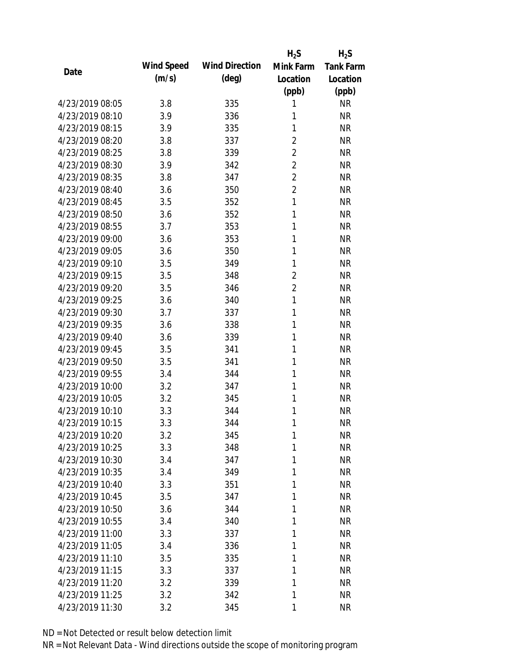|                 |            |                       | $H_2S$         | $H_2S$           |
|-----------------|------------|-----------------------|----------------|------------------|
| Date            | Wind Speed | <b>Wind Direction</b> | Mink Farm      | <b>Tank Farm</b> |
|                 | (m/s)      | $(\text{deg})$        | Location       | Location         |
|                 |            |                       | (ppb)          | (ppb)            |
| 4/23/2019 08:05 | 3.8        | 335                   | 1              | <b>NR</b>        |
| 4/23/2019 08:10 | 3.9        | 336                   | 1              | <b>NR</b>        |
| 4/23/2019 08:15 | 3.9        | 335                   | 1              | <b>NR</b>        |
| 4/23/2019 08:20 | 3.8        | 337                   | $\overline{2}$ | <b>NR</b>        |
| 4/23/2019 08:25 | 3.8        | 339                   | $\overline{2}$ | <b>NR</b>        |
| 4/23/2019 08:30 | 3.9        | 342                   | $\overline{2}$ | <b>NR</b>        |
| 4/23/2019 08:35 | 3.8        | 347                   | $\overline{2}$ | <b>NR</b>        |
| 4/23/2019 08:40 | 3.6        | 350                   | $\overline{2}$ | <b>NR</b>        |
| 4/23/2019 08:45 | 3.5        | 352                   | 1              | <b>NR</b>        |
| 4/23/2019 08:50 | 3.6        | 352                   | 1              | <b>NR</b>        |
| 4/23/2019 08:55 | 3.7        | 353                   | 1              | <b>NR</b>        |
| 4/23/2019 09:00 | 3.6        | 353                   | 1              | <b>NR</b>        |
| 4/23/2019 09:05 | 3.6        | 350                   | 1              | <b>NR</b>        |
| 4/23/2019 09:10 | 3.5        | 349                   | 1              | <b>NR</b>        |
| 4/23/2019 09:15 | 3.5        | 348                   | $\overline{2}$ | <b>NR</b>        |
| 4/23/2019 09:20 | 3.5        | 346                   | $\overline{2}$ | <b>NR</b>        |
| 4/23/2019 09:25 | 3.6        | 340                   | $\mathbf{1}$   | <b>NR</b>        |
| 4/23/2019 09:30 | 3.7        | 337                   | 1              | <b>NR</b>        |
| 4/23/2019 09:35 | 3.6        | 338                   | 1              | <b>NR</b>        |
| 4/23/2019 09:40 | 3.6        | 339                   | 1              | <b>NR</b>        |
| 4/23/2019 09:45 | 3.5        | 341                   | 1              | <b>NR</b>        |
| 4/23/2019 09:50 | 3.5        | 341                   | 1              | <b>NR</b>        |
| 4/23/2019 09:55 | 3.4        | 344                   | 1              | <b>NR</b>        |
| 4/23/2019 10:00 | 3.2        | 347                   | 1              | <b>NR</b>        |
| 4/23/2019 10:05 | 3.2        | 345                   | 1              | <b>NR</b>        |
| 4/23/2019 10:10 | 3.3        | 344                   | 1              | <b>NR</b>        |
| 4/23/2019 10:15 | 3.3        | 344                   | 1              | <b>NR</b>        |
| 4/23/2019 10:20 | 3.2        | 345                   | $\mathbf{1}$   | <b>NR</b>        |
| 4/23/2019 10:25 | 3.3        | 348                   | 1              | <b>NR</b>        |
| 4/23/2019 10:30 | 3.4        | 347                   | 1              | <b>NR</b>        |
| 4/23/2019 10:35 | 3.4        | 349                   | 1              | <b>NR</b>        |
| 4/23/2019 10:40 | 3.3        | 351                   | 1              | <b>NR</b>        |
| 4/23/2019 10:45 | 3.5        | 347                   | 1              | <b>NR</b>        |
| 4/23/2019 10:50 | 3.6        | 344                   | 1              | <b>NR</b>        |
| 4/23/2019 10:55 | 3.4        | 340                   | 1              | <b>NR</b>        |
| 4/23/2019 11:00 | 3.3        | 337                   | 1              | <b>NR</b>        |
| 4/23/2019 11:05 | 3.4        | 336                   | 1              | <b>NR</b>        |
| 4/23/2019 11:10 | 3.5        | 335                   | 1              | <b>NR</b>        |
| 4/23/2019 11:15 | 3.3        | 337                   | 1              | <b>NR</b>        |
| 4/23/2019 11:20 | 3.2        | 339                   | 1              | <b>NR</b>        |
| 4/23/2019 11:25 | 3.2        | 342                   | 1              | <b>NR</b>        |
| 4/23/2019 11:30 | 3.2        | 345                   | 1              | <b>NR</b>        |
|                 |            |                       |                |                  |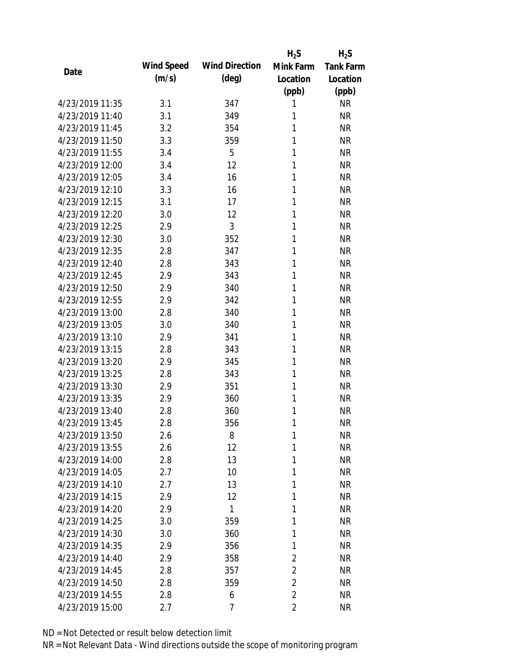|                 |            |                       | $H_2S$         | $H_2S$           |
|-----------------|------------|-----------------------|----------------|------------------|
| Date            | Wind Speed | <b>Wind Direction</b> | Mink Farm      | <b>Tank Farm</b> |
|                 | (m/s)      | $(\text{deg})$        | Location       | Location         |
|                 |            |                       | (ppb)          | (ppb)            |
| 4/23/2019 11:35 | 3.1        | 347                   | 1              | <b>NR</b>        |
| 4/23/2019 11:40 | 3.1        | 349                   | 1              | <b>NR</b>        |
| 4/23/2019 11:45 | 3.2        | 354                   | 1              | <b>NR</b>        |
| 4/23/2019 11:50 | 3.3        | 359                   | 1              | <b>NR</b>        |
| 4/23/2019 11:55 | 3.4        | 5                     | 1              | <b>NR</b>        |
| 4/23/2019 12:00 | 3.4        | 12                    | 1              | <b>NR</b>        |
| 4/23/2019 12:05 | 3.4        | 16                    | 1              | <b>NR</b>        |
| 4/23/2019 12:10 | 3.3        | 16                    | 1              | <b>NR</b>        |
| 4/23/2019 12:15 | 3.1        | 17                    | 1              | <b>NR</b>        |
| 4/23/2019 12:20 | 3.0        | 12                    | 1              | <b>NR</b>        |
| 4/23/2019 12:25 | 2.9        | 3                     | 1              | <b>NR</b>        |
| 4/23/2019 12:30 | 3.0        | 352                   | 1              | <b>NR</b>        |
| 4/23/2019 12:35 | 2.8        | 347                   | 1              | <b>NR</b>        |
| 4/23/2019 12:40 | 2.8        | 343                   | 1              | <b>NR</b>        |
| 4/23/2019 12:45 | 2.9        | 343                   | 1              | <b>NR</b>        |
| 4/23/2019 12:50 | 2.9        | 340                   | 1              | <b>NR</b>        |
| 4/23/2019 12:55 | 2.9        | 342                   | 1              | <b>NR</b>        |
| 4/23/2019 13:00 | 2.8        | 340                   | 1              | <b>NR</b>        |
| 4/23/2019 13:05 | 3.0        | 340                   | 1              | <b>NR</b>        |
| 4/23/2019 13:10 | 2.9        | 341                   | 1              | <b>NR</b>        |
| 4/23/2019 13:15 | 2.8        | 343                   | 1              | <b>NR</b>        |
| 4/23/2019 13:20 | 2.9        | 345                   | 1              | <b>NR</b>        |
| 4/23/2019 13:25 | 2.8        | 343                   | 1              | <b>NR</b>        |
| 4/23/2019 13:30 | 2.9        | 351                   | 1              | <b>NR</b>        |
| 4/23/2019 13:35 | 2.9        | 360                   | 1              | <b>NR</b>        |
| 4/23/2019 13:40 | 2.8        | 360                   | 1              | <b>NR</b>        |
| 4/23/2019 13:45 | 2.8        | 356                   | 1              | <b>NR</b>        |
| 4/23/2019 13:50 | 2.6        | 8                     | $\mathbf{1}$   | <b>NR</b>        |
| 4/23/2019 13:55 | 2.6        | 12                    | 1              | <b>NR</b>        |
| 4/23/2019 14:00 | 2.8        | 13                    | 1              | <b>NR</b>        |
| 4/23/2019 14:05 | 2.7        | 10                    | 1              | <b>NR</b>        |
| 4/23/2019 14:10 | 2.7        | 13                    | 1              | <b>NR</b>        |
| 4/23/2019 14:15 | 2.9        | 12                    | 1              | <b>NR</b>        |
| 4/23/2019 14:20 | 2.9        | 1                     | 1              | <b>NR</b>        |
| 4/23/2019 14:25 | 3.0        | 359                   | 1              | <b>NR</b>        |
| 4/23/2019 14:30 | 3.0        | 360                   | 1              | <b>NR</b>        |
| 4/23/2019 14:35 | 2.9        | 356                   | 1              | <b>NR</b>        |
| 4/23/2019 14:40 | 2.9        | 358                   | 2              | <b>NR</b>        |
| 4/23/2019 14:45 | 2.8        | 357                   | $\overline{2}$ | <b>NR</b>        |
| 4/23/2019 14:50 | 2.8        | 359                   | 2              | <b>NR</b>        |
| 4/23/2019 14:55 | 2.8        | 6                     | $\overline{2}$ | <b>NR</b>        |
| 4/23/2019 15:00 | 2.7        | 7                     | $\overline{2}$ | <b>NR</b>        |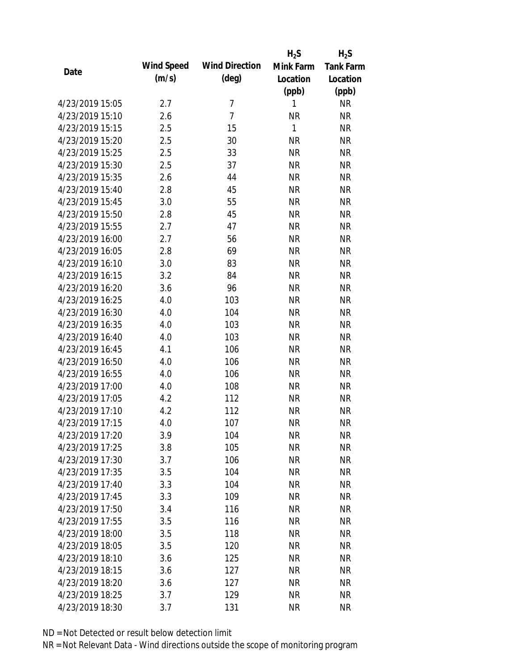|                 |            |                       | $H_2S$       | $H_2S$           |
|-----------------|------------|-----------------------|--------------|------------------|
| Date            | Wind Speed | <b>Wind Direction</b> | Mink Farm    | <b>Tank Farm</b> |
|                 | (m/s)      | $(\text{deg})$        | Location     | Location         |
|                 |            |                       | (ppb)        | (ppb)            |
| 4/23/2019 15:05 | 2.7        | $\overline{7}$        | 1            | NR               |
| 4/23/2019 15:10 | 2.6        | $\overline{7}$        | <b>NR</b>    | <b>NR</b>        |
| 4/23/2019 15:15 | 2.5        | 15                    | $\mathbf{1}$ | <b>NR</b>        |
| 4/23/2019 15:20 | 2.5        | 30                    | <b>NR</b>    | <b>NR</b>        |
| 4/23/2019 15:25 | 2.5        | 33                    | <b>NR</b>    | <b>NR</b>        |
| 4/23/2019 15:30 | 2.5        | 37                    | <b>NR</b>    | <b>NR</b>        |
| 4/23/2019 15:35 | 2.6        | 44                    | <b>NR</b>    | <b>NR</b>        |
| 4/23/2019 15:40 | 2.8        | 45                    | <b>NR</b>    | <b>NR</b>        |
| 4/23/2019 15:45 | 3.0        | 55                    | <b>NR</b>    | <b>NR</b>        |
| 4/23/2019 15:50 | 2.8        | 45                    | <b>NR</b>    | <b>NR</b>        |
| 4/23/2019 15:55 | 2.7        | 47                    | <b>NR</b>    | <b>NR</b>        |
| 4/23/2019 16:00 | 2.7        | 56                    | <b>NR</b>    | <b>NR</b>        |
| 4/23/2019 16:05 | 2.8        | 69                    | <b>NR</b>    | <b>NR</b>        |
| 4/23/2019 16:10 | 3.0        | 83                    | <b>NR</b>    | <b>NR</b>        |
| 4/23/2019 16:15 | 3.2        | 84                    | <b>NR</b>    | <b>NR</b>        |
| 4/23/2019 16:20 | 3.6        | 96                    | <b>NR</b>    | <b>NR</b>        |
| 4/23/2019 16:25 | 4.0        | 103                   | <b>NR</b>    | <b>NR</b>        |
| 4/23/2019 16:30 | 4.0        | 104                   | <b>NR</b>    | <b>NR</b>        |
| 4/23/2019 16:35 | 4.0        | 103                   | <b>NR</b>    | <b>NR</b>        |
| 4/23/2019 16:40 | 4.0        | 103                   | <b>NR</b>    | <b>NR</b>        |
| 4/23/2019 16:45 | 4.1        | 106                   | <b>NR</b>    | <b>NR</b>        |
| 4/23/2019 16:50 | 4.0        | 106                   | <b>NR</b>    | <b>NR</b>        |
| 4/23/2019 16:55 | 4.0        | 106                   | <b>NR</b>    | <b>NR</b>        |
| 4/23/2019 17:00 | 4.0        | 108                   | <b>NR</b>    | <b>NR</b>        |
| 4/23/2019 17:05 | 4.2        | 112                   | <b>NR</b>    | <b>NR</b>        |
| 4/23/2019 17:10 | 4.2        | 112                   | <b>NR</b>    | <b>NR</b>        |
| 4/23/2019 17:15 | 4.0        | 107                   | <b>NR</b>    | <b>NR</b>        |
| 4/23/2019 17:20 | 3.9        | 104                   | <b>NR</b>    | <b>NR</b>        |
| 4/23/2019 17:25 | 3.8        | 105                   | <b>NR</b>    | <b>NR</b>        |
| 4/23/2019 17:30 | 3.7        | 106                   | <b>NR</b>    | <b>NR</b>        |
| 4/23/2019 17:35 | 3.5        | 104                   | <b>NR</b>    | <b>NR</b>        |
| 4/23/2019 17:40 | 3.3        | 104                   | <b>NR</b>    | <b>NR</b>        |
| 4/23/2019 17:45 | 3.3        | 109                   | <b>NR</b>    | <b>NR</b>        |
| 4/23/2019 17:50 | 3.4        | 116                   | <b>NR</b>    | <b>NR</b>        |
| 4/23/2019 17:55 | 3.5        | 116                   | <b>NR</b>    | <b>NR</b>        |
| 4/23/2019 18:00 | 3.5        | 118                   | <b>NR</b>    | <b>NR</b>        |
| 4/23/2019 18:05 | 3.5        | 120                   | <b>NR</b>    | <b>NR</b>        |
| 4/23/2019 18:10 | 3.6        | 125                   | NR           | <b>NR</b>        |
| 4/23/2019 18:15 | 3.6        | 127                   | <b>NR</b>    | <b>NR</b>        |
| 4/23/2019 18:20 | 3.6        | 127                   | <b>NR</b>    | <b>NR</b>        |
| 4/23/2019 18:25 | 3.7        | 129                   | <b>NR</b>    | <b>NR</b>        |
| 4/23/2019 18:30 | 3.7        | 131                   | <b>NR</b>    | <b>NR</b>        |
|                 |            |                       |              |                  |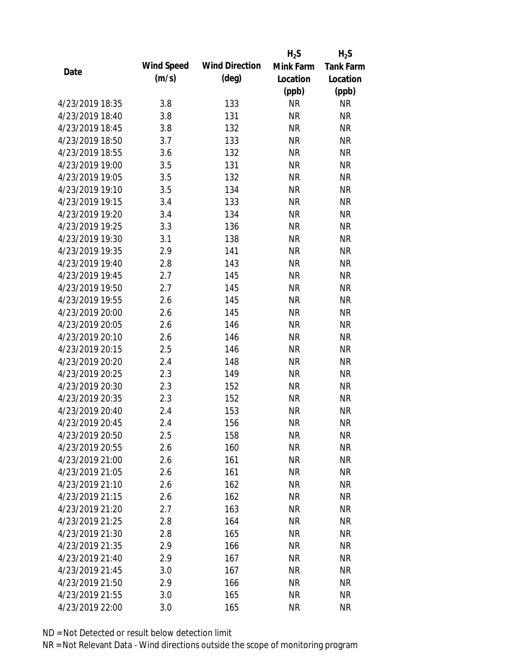|                 |            |                       | $H_2S$    | $H_2S$           |
|-----------------|------------|-----------------------|-----------|------------------|
|                 | Wind Speed | <b>Wind Direction</b> | Mink Farm | <b>Tank Farm</b> |
| Date            | (m/s)      | $(\text{deg})$        | Location  | Location         |
|                 |            |                       | (ppb)     | (ppb)            |
| 4/23/2019 18:35 | 3.8        | 133                   | <b>NR</b> | <b>NR</b>        |
| 4/23/2019 18:40 | 3.8        | 131                   | <b>NR</b> | <b>NR</b>        |
| 4/23/2019 18:45 | 3.8        | 132                   | <b>NR</b> | <b>NR</b>        |
| 4/23/2019 18:50 | 3.7        | 133                   | <b>NR</b> | <b>NR</b>        |
| 4/23/2019 18:55 | 3.6        | 132                   | <b>NR</b> | <b>NR</b>        |
| 4/23/2019 19:00 | 3.5        | 131                   | <b>NR</b> | <b>NR</b>        |
| 4/23/2019 19:05 | 3.5        | 132                   | <b>NR</b> | <b>NR</b>        |
| 4/23/2019 19:10 | 3.5        | 134                   | <b>NR</b> | <b>NR</b>        |
| 4/23/2019 19:15 | 3.4        | 133                   | <b>NR</b> | <b>NR</b>        |
| 4/23/2019 19:20 | 3.4        | 134                   | <b>NR</b> | <b>NR</b>        |
| 4/23/2019 19:25 | 3.3        | 136                   | <b>NR</b> | <b>NR</b>        |
| 4/23/2019 19:30 | 3.1        | 138                   | <b>NR</b> | <b>NR</b>        |
| 4/23/2019 19:35 | 2.9        | 141                   | <b>NR</b> | <b>NR</b>        |
| 4/23/2019 19:40 | 2.8        | 143                   | <b>NR</b> | <b>NR</b>        |
| 4/23/2019 19:45 | 2.7        | 145                   | <b>NR</b> | <b>NR</b>        |
| 4/23/2019 19:50 | 2.7        | 145                   | <b>NR</b> | <b>NR</b>        |
| 4/23/2019 19:55 | 2.6        | 145                   | <b>NR</b> | <b>NR</b>        |
| 4/23/2019 20:00 | 2.6        | 145                   | <b>NR</b> | <b>NR</b>        |
| 4/23/2019 20:05 | 2.6        | 146                   | <b>NR</b> | <b>NR</b>        |
| 4/23/2019 20:10 | 2.6        | 146                   | <b>NR</b> | <b>NR</b>        |
| 4/23/2019 20:15 | 2.5        | 146                   | <b>NR</b> | <b>NR</b>        |
| 4/23/2019 20:20 | 2.4        | 148                   | <b>NR</b> | <b>NR</b>        |
| 4/23/2019 20:25 | 2.3        | 149                   | <b>NR</b> | <b>NR</b>        |
| 4/23/2019 20:30 | 2.3        | 152                   | <b>NR</b> | <b>NR</b>        |
| 4/23/2019 20:35 | 2.3        | 152                   | <b>NR</b> | <b>NR</b>        |
| 4/23/2019 20:40 | 2.4        | 153                   | <b>NR</b> | <b>NR</b>        |
| 4/23/2019 20:45 | 2.4        | 156                   | <b>NR</b> | <b>NR</b>        |
| 4/23/2019 20:50 | 2.5        | 158                   | <b>NR</b> | <b>NR</b>        |
| 4/23/2019 20:55 | 2.6        | 160                   | <b>NR</b> | <b>NR</b>        |
| 4/23/2019 21:00 | 2.6        | 161                   | <b>NR</b> | <b>NR</b>        |
| 4/23/2019 21:05 | 2.6        | 161                   | <b>NR</b> | <b>NR</b>        |
| 4/23/2019 21:10 | 2.6        | 162                   | <b>NR</b> | <b>NR</b>        |
| 4/23/2019 21:15 | 2.6        | 162                   | <b>NR</b> | <b>NR</b>        |
| 4/23/2019 21:20 | 2.7        | 163                   | <b>NR</b> | <b>NR</b>        |
| 4/23/2019 21:25 | 2.8        | 164                   | <b>NR</b> | <b>NR</b>        |
| 4/23/2019 21:30 | 2.8        | 165                   | <b>NR</b> | <b>NR</b>        |
| 4/23/2019 21:35 | 2.9        | 166                   | <b>NR</b> | <b>NR</b>        |
| 4/23/2019 21:40 | 2.9        | 167                   | <b>NR</b> | NR               |
| 4/23/2019 21:45 | 3.0        | 167                   | <b>NR</b> | NR               |
| 4/23/2019 21:50 | 2.9        | 166                   | <b>NR</b> | NR               |
| 4/23/2019 21:55 | 3.0        | 165                   | <b>NR</b> | <b>NR</b>        |
| 4/23/2019 22:00 | 3.0        | 165                   | <b>NR</b> | <b>NR</b>        |
|                 |            |                       |           |                  |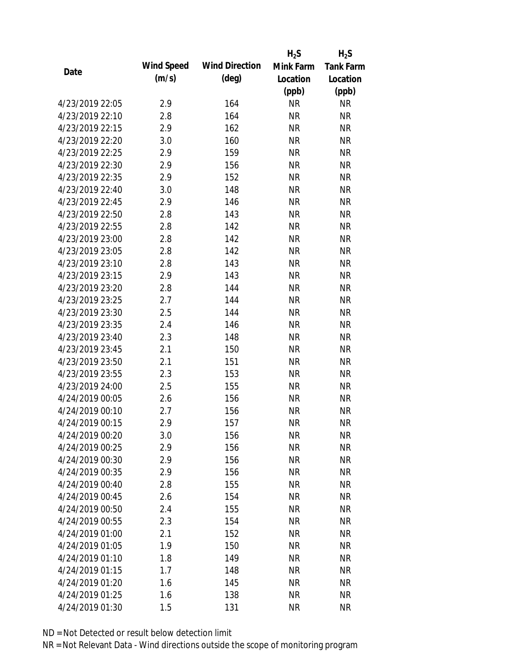|                 |            |                       | $H_2S$    | $H_2S$           |
|-----------------|------------|-----------------------|-----------|------------------|
| Date            | Wind Speed | <b>Wind Direction</b> | Mink Farm | <b>Tank Farm</b> |
|                 | (m/s)      | $(\text{deg})$        | Location  | Location         |
|                 |            |                       | (ppb)     | (ppb)            |
| 4/23/2019 22:05 | 2.9        | 164                   | <b>NR</b> | NR               |
| 4/23/2019 22:10 | 2.8        | 164                   | <b>NR</b> | <b>NR</b>        |
| 4/23/2019 22:15 | 2.9        | 162                   | <b>NR</b> | <b>NR</b>        |
| 4/23/2019 22:20 | 3.0        | 160                   | <b>NR</b> | <b>NR</b>        |
| 4/23/2019 22:25 | 2.9        | 159                   | <b>NR</b> | <b>NR</b>        |
| 4/23/2019 22:30 | 2.9        | 156                   | <b>NR</b> | <b>NR</b>        |
| 4/23/2019 22:35 | 2.9        | 152                   | <b>NR</b> | <b>NR</b>        |
| 4/23/2019 22:40 | 3.0        | 148                   | <b>NR</b> | <b>NR</b>        |
| 4/23/2019 22:45 | 2.9        | 146                   | <b>NR</b> | <b>NR</b>        |
| 4/23/2019 22:50 | 2.8        | 143                   | <b>NR</b> | <b>NR</b>        |
| 4/23/2019 22:55 | 2.8        | 142                   | <b>NR</b> | <b>NR</b>        |
| 4/23/2019 23:00 | 2.8        | 142                   | <b>NR</b> | <b>NR</b>        |
| 4/23/2019 23:05 | 2.8        | 142                   | <b>NR</b> | <b>NR</b>        |
| 4/23/2019 23:10 | 2.8        | 143                   | <b>NR</b> | <b>NR</b>        |
| 4/23/2019 23:15 | 2.9        | 143                   | <b>NR</b> | <b>NR</b>        |
| 4/23/2019 23:20 | 2.8        | 144                   | <b>NR</b> | <b>NR</b>        |
| 4/23/2019 23:25 | 2.7        | 144                   | <b>NR</b> | <b>NR</b>        |
| 4/23/2019 23:30 | 2.5        | 144                   | <b>NR</b> | <b>NR</b>        |
| 4/23/2019 23:35 | 2.4        | 146                   | <b>NR</b> | <b>NR</b>        |
| 4/23/2019 23:40 | 2.3        | 148                   | <b>NR</b> | <b>NR</b>        |
| 4/23/2019 23:45 | 2.1        | 150                   | <b>NR</b> | <b>NR</b>        |
| 4/23/2019 23:50 | 2.1        | 151                   | <b>NR</b> | <b>NR</b>        |
| 4/23/2019 23:55 | 2.3        | 153                   | <b>NR</b> | <b>NR</b>        |
| 4/23/2019 24:00 | 2.5        | 155                   | <b>NR</b> | <b>NR</b>        |
| 4/24/2019 00:05 | 2.6        | 156                   | <b>NR</b> | <b>NR</b>        |
| 4/24/2019 00:10 | 2.7        | 156                   | <b>NR</b> | <b>NR</b>        |
| 4/24/2019 00:15 | 2.9        | 157                   | <b>NR</b> | <b>NR</b>        |
| 4/24/2019 00:20 | 3.0        | 156                   | <b>NR</b> | <b>NR</b>        |
| 4/24/2019 00:25 | 2.9        | 156                   | <b>NR</b> | <b>NR</b>        |
| 4/24/2019 00:30 | 2.9        | 156                   | <b>NR</b> | <b>NR</b>        |
| 4/24/2019 00:35 | 2.9        | 156                   | <b>NR</b> | <b>NR</b>        |
| 4/24/2019 00:40 | 2.8        | 155                   | <b>NR</b> | <b>NR</b>        |
| 4/24/2019 00:45 | 2.6        | 154                   | <b>NR</b> | <b>NR</b>        |
| 4/24/2019 00:50 | 2.4        | 155                   | <b>NR</b> | <b>NR</b>        |
| 4/24/2019 00:55 | 2.3        | 154                   | <b>NR</b> | <b>NR</b>        |
| 4/24/2019 01:00 | 2.1        | 152                   | <b>NR</b> | <b>NR</b>        |
| 4/24/2019 01:05 | 1.9        | 150                   | <b>NR</b> | <b>NR</b>        |
| 4/24/2019 01:10 | 1.8        | 149                   | NR        | <b>NR</b>        |
| 4/24/2019 01:15 | 1.7        | 148                   | <b>NR</b> | <b>NR</b>        |
| 4/24/2019 01:20 | 1.6        | 145                   | <b>NR</b> | <b>NR</b>        |
| 4/24/2019 01:25 | 1.6        | 138                   | <b>NR</b> | <b>NR</b>        |
| 4/24/2019 01:30 | 1.5        | 131                   | <b>NR</b> | <b>NR</b>        |
|                 |            |                       |           |                  |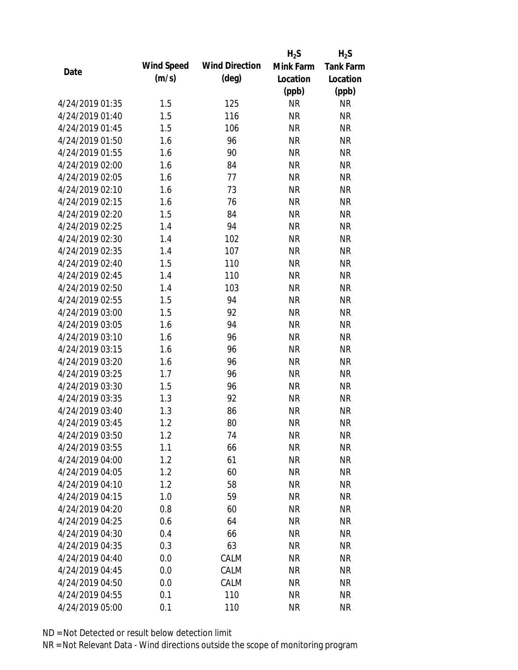|                 |            |                       | $H_2S$    | $H_2S$           |
|-----------------|------------|-----------------------|-----------|------------------|
| Date            | Wind Speed | <b>Wind Direction</b> | Mink Farm | <b>Tank Farm</b> |
|                 | (m/s)      | $(\text{deg})$        | Location  | Location         |
|                 |            |                       | (ppb)     | (ppb)            |
| 4/24/2019 01:35 | 1.5        | 125                   | <b>NR</b> | <b>NR</b>        |
| 4/24/2019 01:40 | 1.5        | 116                   | <b>NR</b> | <b>NR</b>        |
| 4/24/2019 01:45 | 1.5        | 106                   | <b>NR</b> | <b>NR</b>        |
| 4/24/2019 01:50 | 1.6        | 96                    | <b>NR</b> | <b>NR</b>        |
| 4/24/2019 01:55 | 1.6        | 90                    | <b>NR</b> | <b>NR</b>        |
| 4/24/2019 02:00 | 1.6        | 84                    | <b>NR</b> | <b>NR</b>        |
| 4/24/2019 02:05 | 1.6        | 77                    | <b>NR</b> | <b>NR</b>        |
| 4/24/2019 02:10 | 1.6        | 73                    | <b>NR</b> | <b>NR</b>        |
| 4/24/2019 02:15 | 1.6        | 76                    | <b>NR</b> | <b>NR</b>        |
| 4/24/2019 02:20 | 1.5        | 84                    | <b>NR</b> | <b>NR</b>        |
| 4/24/2019 02:25 | 1.4        | 94                    | <b>NR</b> | <b>NR</b>        |
| 4/24/2019 02:30 | 1.4        | 102                   | <b>NR</b> | <b>NR</b>        |
| 4/24/2019 02:35 | 1.4        | 107                   | <b>NR</b> | <b>NR</b>        |
| 4/24/2019 02:40 | 1.5        | 110                   | <b>NR</b> | <b>NR</b>        |
| 4/24/2019 02:45 | 1.4        | 110                   | <b>NR</b> | <b>NR</b>        |
| 4/24/2019 02:50 | 1.4        | 103                   | <b>NR</b> | <b>NR</b>        |
| 4/24/2019 02:55 | 1.5        | 94                    | <b>NR</b> | <b>NR</b>        |
| 4/24/2019 03:00 | 1.5        | 92                    | <b>NR</b> | <b>NR</b>        |
| 4/24/2019 03:05 | 1.6        | 94                    | <b>NR</b> | <b>NR</b>        |
| 4/24/2019 03:10 | 1.6        | 96                    | <b>NR</b> | <b>NR</b>        |
| 4/24/2019 03:15 | 1.6        | 96                    | <b>NR</b> | <b>NR</b>        |
| 4/24/2019 03:20 | 1.6        | 96                    | <b>NR</b> | <b>NR</b>        |
| 4/24/2019 03:25 | 1.7        | 96                    | <b>NR</b> | <b>NR</b>        |
| 4/24/2019 03:30 | 1.5        | 96                    | <b>NR</b> | <b>NR</b>        |
| 4/24/2019 03:35 | 1.3        | 92                    | <b>NR</b> | <b>NR</b>        |
| 4/24/2019 03:40 | 1.3        | 86                    | <b>NR</b> | <b>NR</b>        |
| 4/24/2019 03:45 | 1.2        | 80                    | <b>NR</b> | <b>NR</b>        |
| 4/24/2019 03:50 | 1.2        | 74                    | <b>NR</b> | <b>NR</b>        |
| 4/24/2019 03:55 | 1.1        | 66                    | <b>NR</b> | <b>NR</b>        |
| 4/24/2019 04:00 | 1.2        | 61                    | <b>NR</b> | <b>NR</b>        |
| 4/24/2019 04:05 | 1.2        | 60                    | <b>NR</b> | <b>NR</b>        |
| 4/24/2019 04:10 | 1.2        | 58                    | <b>NR</b> | <b>NR</b>        |
| 4/24/2019 04:15 | 1.0        | 59                    | <b>NR</b> | <b>NR</b>        |
| 4/24/2019 04:20 | 0.8        | 60                    | <b>NR</b> | <b>NR</b>        |
| 4/24/2019 04:25 | 0.6        | 64                    | <b>NR</b> | NR               |
| 4/24/2019 04:30 | 0.4        | 66                    | <b>NR</b> | <b>NR</b>        |
| 4/24/2019 04:35 | 0.3        | 63                    | <b>NR</b> | <b>NR</b>        |
| 4/24/2019 04:40 | 0.0        | CALM                  | NR        | <b>NR</b>        |
| 4/24/2019 04:45 | 0.0        | CALM                  | <b>NR</b> | <b>NR</b>        |
| 4/24/2019 04:50 | 0.0        | CALM                  | <b>NR</b> | NR               |
| 4/24/2019 04:55 | 0.1        | 110                   | <b>NR</b> | <b>NR</b>        |
| 4/24/2019 05:00 | 0.1        | 110                   | <b>NR</b> | <b>NR</b>        |
|                 |            |                       |           |                  |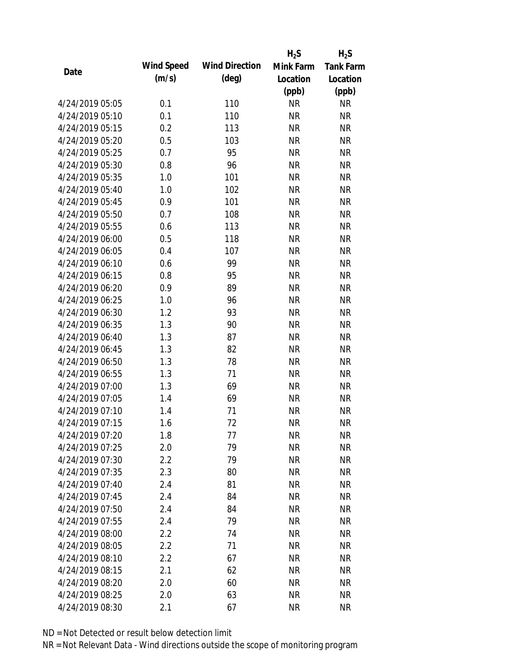|                 |            |                       | $H_2S$    | $H_2S$           |
|-----------------|------------|-----------------------|-----------|------------------|
| Date            | Wind Speed | <b>Wind Direction</b> | Mink Farm | <b>Tank Farm</b> |
|                 | (m/s)      | $(\text{deg})$        | Location  | Location         |
|                 |            |                       | (ppb)     | (ppb)            |
| 4/24/2019 05:05 | 0.1        | 110                   | <b>NR</b> | <b>NR</b>        |
| 4/24/2019 05:10 | 0.1        | 110                   | <b>NR</b> | <b>NR</b>        |
| 4/24/2019 05:15 | 0.2        | 113                   | <b>NR</b> | <b>NR</b>        |
| 4/24/2019 05:20 | 0.5        | 103                   | <b>NR</b> | <b>NR</b>        |
| 4/24/2019 05:25 | 0.7        | 95                    | <b>NR</b> | <b>NR</b>        |
| 4/24/2019 05:30 | 0.8        | 96                    | <b>NR</b> | <b>NR</b>        |
| 4/24/2019 05:35 | 1.0        | 101                   | <b>NR</b> | <b>NR</b>        |
| 4/24/2019 05:40 | 1.0        | 102                   | <b>NR</b> | <b>NR</b>        |
| 4/24/2019 05:45 | 0.9        | 101                   | <b>NR</b> | <b>NR</b>        |
| 4/24/2019 05:50 | 0.7        | 108                   | <b>NR</b> | <b>NR</b>        |
| 4/24/2019 05:55 | 0.6        | 113                   | <b>NR</b> | <b>NR</b>        |
| 4/24/2019 06:00 | 0.5        | 118                   | <b>NR</b> | <b>NR</b>        |
| 4/24/2019 06:05 | 0.4        | 107                   | <b>NR</b> | <b>NR</b>        |
| 4/24/2019 06:10 | 0.6        | 99                    | <b>NR</b> | <b>NR</b>        |
| 4/24/2019 06:15 | 0.8        | 95                    | <b>NR</b> | <b>NR</b>        |
| 4/24/2019 06:20 | 0.9        | 89                    | <b>NR</b> | <b>NR</b>        |
| 4/24/2019 06:25 | 1.0        | 96                    | <b>NR</b> | <b>NR</b>        |
| 4/24/2019 06:30 | 1.2        | 93                    | <b>NR</b> | <b>NR</b>        |
| 4/24/2019 06:35 | 1.3        | 90                    | <b>NR</b> | <b>NR</b>        |
| 4/24/2019 06:40 | 1.3        | 87                    | <b>NR</b> | <b>NR</b>        |
| 4/24/2019 06:45 | 1.3        | 82                    | <b>NR</b> | <b>NR</b>        |
| 4/24/2019 06:50 | 1.3        | 78                    | <b>NR</b> | <b>NR</b>        |
| 4/24/2019 06:55 | 1.3        | 71                    | <b>NR</b> | <b>NR</b>        |
| 4/24/2019 07:00 | 1.3        | 69                    | <b>NR</b> | <b>NR</b>        |
| 4/24/2019 07:05 | 1.4        | 69                    | <b>NR</b> | <b>NR</b>        |
| 4/24/2019 07:10 | 1.4        | 71                    | <b>NR</b> | <b>NR</b>        |
| 4/24/2019 07:15 | 1.6        | 72                    | <b>NR</b> | <b>NR</b>        |
| 4/24/2019 07:20 | 1.8        | 77                    | <b>NR</b> | <b>NR</b>        |
| 4/24/2019 07:25 | 2.0        | 79                    | <b>NR</b> | <b>NR</b>        |
| 4/24/2019 07:30 | 2.2        | 79                    | <b>NR</b> | <b>NR</b>        |
| 4/24/2019 07:35 | 2.3        | 80                    | <b>NR</b> | <b>NR</b>        |
| 4/24/2019 07:40 | 2.4        | 81                    | <b>NR</b> | <b>NR</b>        |
| 4/24/2019 07:45 | 2.4        | 84                    | <b>NR</b> | <b>NR</b>        |
| 4/24/2019 07:50 | 2.4        | 84                    | <b>NR</b> | <b>NR</b>        |
| 4/24/2019 07:55 | 2.4        | 79                    | <b>NR</b> | <b>NR</b>        |
| 4/24/2019 08:00 | 2.2        | 74                    | <b>NR</b> | <b>NR</b>        |
| 4/24/2019 08:05 | 2.2        | 71                    | <b>NR</b> | <b>NR</b>        |
| 4/24/2019 08:10 | 2.2        | 67                    | <b>NR</b> | <b>NR</b>        |
| 4/24/2019 08:15 | 2.1        | 62                    | <b>NR</b> | <b>NR</b>        |
| 4/24/2019 08:20 | 2.0        | 60                    | <b>NR</b> | <b>NR</b>        |
| 4/24/2019 08:25 | 2.0        | 63                    | <b>NR</b> | <b>NR</b>        |
| 4/24/2019 08:30 | 2.1        | 67                    | <b>NR</b> | <b>NR</b>        |
|                 |            |                       |           |                  |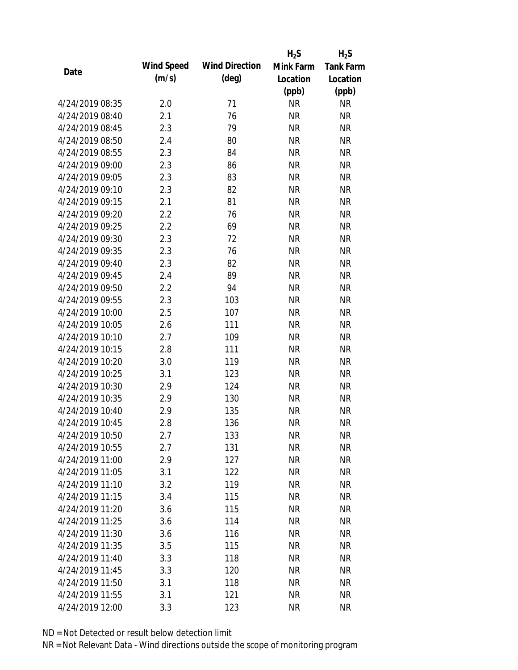|                 |            |                       | $H_2S$    | $H_2S$           |
|-----------------|------------|-----------------------|-----------|------------------|
|                 | Wind Speed | <b>Wind Direction</b> | Mink Farm | <b>Tank Farm</b> |
| Date            | (m/s)      | $(\text{deg})$        | Location  | Location         |
|                 |            |                       | (ppb)     | (ppb)            |
| 4/24/2019 08:35 | 2.0        | 71                    | <b>NR</b> | <b>NR</b>        |
| 4/24/2019 08:40 | 2.1        | 76                    | <b>NR</b> | <b>NR</b>        |
| 4/24/2019 08:45 | 2.3        | 79                    | <b>NR</b> | <b>NR</b>        |
| 4/24/2019 08:50 | 2.4        | 80                    | <b>NR</b> | <b>NR</b>        |
| 4/24/2019 08:55 | 2.3        | 84                    | <b>NR</b> | <b>NR</b>        |
| 4/24/2019 09:00 | 2.3        | 86                    | <b>NR</b> | <b>NR</b>        |
| 4/24/2019 09:05 | 2.3        | 83                    | <b>NR</b> | <b>NR</b>        |
| 4/24/2019 09:10 | 2.3        | 82                    | <b>NR</b> | <b>NR</b>        |
| 4/24/2019 09:15 | 2.1        | 81                    | <b>NR</b> | <b>NR</b>        |
| 4/24/2019 09:20 | 2.2        | 76                    | <b>NR</b> | <b>NR</b>        |
| 4/24/2019 09:25 | 2.2        | 69                    | <b>NR</b> | <b>NR</b>        |
| 4/24/2019 09:30 | 2.3        | 72                    | <b>NR</b> | <b>NR</b>        |
| 4/24/2019 09:35 | 2.3        | 76                    | <b>NR</b> | <b>NR</b>        |
| 4/24/2019 09:40 | 2.3        | 82                    | <b>NR</b> | <b>NR</b>        |
| 4/24/2019 09:45 | 2.4        | 89                    | <b>NR</b> | <b>NR</b>        |
| 4/24/2019 09:50 | 2.2        | 94                    | <b>NR</b> | <b>NR</b>        |
| 4/24/2019 09:55 | 2.3        | 103                   | <b>NR</b> | <b>NR</b>        |
| 4/24/2019 10:00 | 2.5        | 107                   | <b>NR</b> | <b>NR</b>        |
| 4/24/2019 10:05 | 2.6        | 111                   | <b>NR</b> | <b>NR</b>        |
| 4/24/2019 10:10 | 2.7        | 109                   | <b>NR</b> | <b>NR</b>        |
| 4/24/2019 10:15 | 2.8        | 111                   | <b>NR</b> | <b>NR</b>        |
| 4/24/2019 10:20 | 3.0        | 119                   | <b>NR</b> | <b>NR</b>        |
| 4/24/2019 10:25 | 3.1        | 123                   | <b>NR</b> | <b>NR</b>        |
| 4/24/2019 10:30 | 2.9        | 124                   | <b>NR</b> | <b>NR</b>        |
| 4/24/2019 10:35 | 2.9        | 130                   | <b>NR</b> | <b>NR</b>        |
| 4/24/2019 10:40 | 2.9        | 135                   | <b>NR</b> | <b>NR</b>        |
| 4/24/2019 10:45 | 2.8        | 136                   | <b>NR</b> | <b>NR</b>        |
| 4/24/2019 10:50 | 2.7        | 133                   | <b>NR</b> | <b>NR</b>        |
| 4/24/2019 10:55 | 2.7        | 131                   | <b>NR</b> | <b>NR</b>        |
| 4/24/2019 11:00 | 2.9        | 127                   | <b>NR</b> | <b>NR</b>        |
| 4/24/2019 11:05 | 3.1        | 122                   | <b>NR</b> | <b>NR</b>        |
| 4/24/2019 11:10 | 3.2        | 119                   | <b>NR</b> | <b>NR</b>        |
| 4/24/2019 11:15 | 3.4        | 115                   | <b>NR</b> | <b>NR</b>        |
| 4/24/2019 11:20 | 3.6        | 115                   | <b>NR</b> | <b>NR</b>        |
| 4/24/2019 11:25 | 3.6        | 114                   | <b>NR</b> | <b>NR</b>        |
| 4/24/2019 11:30 | 3.6        | 116                   | <b>NR</b> | <b>NR</b>        |
| 4/24/2019 11:35 | 3.5        | 115                   | <b>NR</b> | <b>NR</b>        |
| 4/24/2019 11:40 | 3.3        | 118                   | <b>NR</b> | <b>NR</b>        |
| 4/24/2019 11:45 | 3.3        | 120                   | <b>NR</b> | NR               |
| 4/24/2019 11:50 | 3.1        | 118                   | <b>NR</b> | NR               |
| 4/24/2019 11:55 | 3.1        | 121                   | <b>NR</b> | <b>NR</b>        |
| 4/24/2019 12:00 | 3.3        | 123                   | <b>NR</b> | <b>NR</b>        |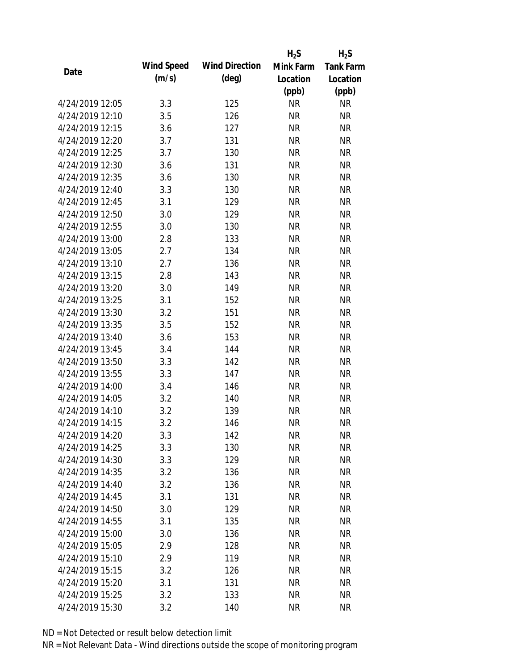|                 |            |                       | $H_2S$    | $H_2S$           |
|-----------------|------------|-----------------------|-----------|------------------|
|                 | Wind Speed | <b>Wind Direction</b> | Mink Farm | <b>Tank Farm</b> |
| Date            | (m/s)      | $(\text{deg})$        | Location  | Location         |
|                 |            |                       | (ppb)     | (ppb)            |
| 4/24/2019 12:05 | 3.3        | 125                   | <b>NR</b> | <b>NR</b>        |
| 4/24/2019 12:10 | 3.5        | 126                   | <b>NR</b> | <b>NR</b>        |
| 4/24/2019 12:15 | 3.6        | 127                   | <b>NR</b> | <b>NR</b>        |
| 4/24/2019 12:20 | 3.7        | 131                   | <b>NR</b> | <b>NR</b>        |
| 4/24/2019 12:25 | 3.7        | 130                   | <b>NR</b> | <b>NR</b>        |
| 4/24/2019 12:30 | 3.6        | 131                   | <b>NR</b> | <b>NR</b>        |
| 4/24/2019 12:35 | 3.6        | 130                   | <b>NR</b> | <b>NR</b>        |
| 4/24/2019 12:40 | 3.3        | 130                   | <b>NR</b> | <b>NR</b>        |
| 4/24/2019 12:45 | 3.1        | 129                   | <b>NR</b> | <b>NR</b>        |
| 4/24/2019 12:50 | 3.0        | 129                   | <b>NR</b> | <b>NR</b>        |
| 4/24/2019 12:55 | 3.0        | 130                   | <b>NR</b> | <b>NR</b>        |
| 4/24/2019 13:00 | 2.8        | 133                   | <b>NR</b> | <b>NR</b>        |
| 4/24/2019 13:05 | 2.7        | 134                   | <b>NR</b> | <b>NR</b>        |
| 4/24/2019 13:10 | 2.7        | 136                   | <b>NR</b> | <b>NR</b>        |
| 4/24/2019 13:15 | 2.8        | 143                   | <b>NR</b> | <b>NR</b>        |
| 4/24/2019 13:20 | 3.0        | 149                   | <b>NR</b> | <b>NR</b>        |
| 4/24/2019 13:25 | 3.1        | 152                   | <b>NR</b> | <b>NR</b>        |
| 4/24/2019 13:30 | 3.2        | 151                   | <b>NR</b> | <b>NR</b>        |
| 4/24/2019 13:35 | 3.5        | 152                   | <b>NR</b> | <b>NR</b>        |
| 4/24/2019 13:40 | 3.6        | 153                   | <b>NR</b> | <b>NR</b>        |
| 4/24/2019 13:45 | 3.4        | 144                   | <b>NR</b> | <b>NR</b>        |
| 4/24/2019 13:50 | 3.3        | 142                   | <b>NR</b> | <b>NR</b>        |
| 4/24/2019 13:55 | 3.3        | 147                   | <b>NR</b> | <b>NR</b>        |
| 4/24/2019 14:00 | 3.4        | 146                   | <b>NR</b> | <b>NR</b>        |
| 4/24/2019 14:05 | 3.2        | 140                   | <b>NR</b> | <b>NR</b>        |
| 4/24/2019 14:10 | 3.2        | 139                   | <b>NR</b> | <b>NR</b>        |
| 4/24/2019 14:15 | 3.2        | 146                   | <b>NR</b> | <b>NR</b>        |
| 4/24/2019 14:20 | 3.3        | 142                   | <b>NR</b> | <b>NR</b>        |
| 4/24/2019 14:25 | 3.3        | 130                   | <b>NR</b> | <b>NR</b>        |
| 4/24/2019 14:30 | 3.3        | 129                   | <b>NR</b> | <b>NR</b>        |
| 4/24/2019 14:35 | 3.2        | 136                   | <b>NR</b> | <b>NR</b>        |
| 4/24/2019 14:40 | 3.2        | 136                   | <b>NR</b> | <b>NR</b>        |
| 4/24/2019 14:45 | 3.1        | 131                   | <b>NR</b> | <b>NR</b>        |
| 4/24/2019 14:50 | 3.0        | 129                   | <b>NR</b> | <b>NR</b>        |
| 4/24/2019 14:55 | 3.1        | 135                   | <b>NR</b> | <b>NR</b>        |
| 4/24/2019 15:00 | 3.0        | 136                   | <b>NR</b> | <b>NR</b>        |
| 4/24/2019 15:05 | 2.9        | 128                   | <b>NR</b> | <b>NR</b>        |
| 4/24/2019 15:10 | 2.9        | 119                   | <b>NR</b> | <b>NR</b>        |
| 4/24/2019 15:15 | 3.2        | 126                   | <b>NR</b> | NR               |
| 4/24/2019 15:20 | 3.1        | 131                   | <b>NR</b> | NR               |
| 4/24/2019 15:25 | 3.2        | 133                   | <b>NR</b> | <b>NR</b>        |
| 4/24/2019 15:30 | 3.2        | 140                   | <b>NR</b> | <b>NR</b>        |
|                 |            |                       |           |                  |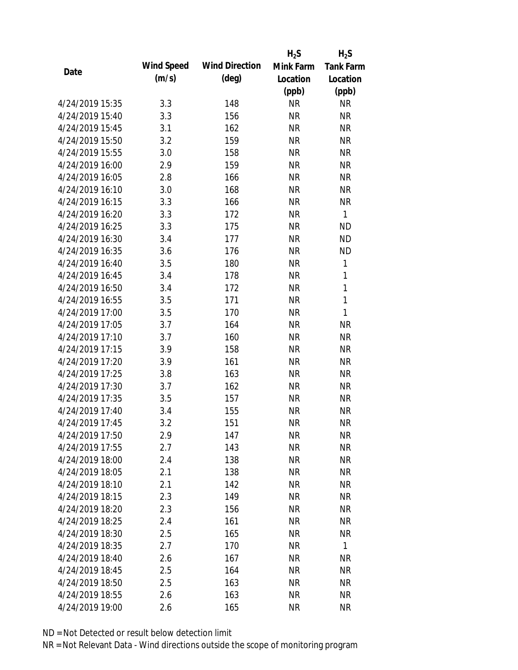|                 |            |                       | $H_2S$    | $H_2S$           |
|-----------------|------------|-----------------------|-----------|------------------|
| Date            | Wind Speed | <b>Wind Direction</b> | Mink Farm | <b>Tank Farm</b> |
|                 | (m/s)      | $(\text{deg})$        | Location  | Location         |
|                 |            |                       | (ppb)     | (ppb)            |
| 4/24/2019 15:35 | 3.3        | 148                   | <b>NR</b> | <b>NR</b>        |
| 4/24/2019 15:40 | 3.3        | 156                   | <b>NR</b> | <b>NR</b>        |
| 4/24/2019 15:45 | 3.1        | 162                   | <b>NR</b> | <b>NR</b>        |
| 4/24/2019 15:50 | 3.2        | 159                   | <b>NR</b> | <b>NR</b>        |
| 4/24/2019 15:55 | 3.0        | 158                   | <b>NR</b> | <b>NR</b>        |
| 4/24/2019 16:00 | 2.9        | 159                   | <b>NR</b> | <b>NR</b>        |
| 4/24/2019 16:05 | 2.8        | 166                   | <b>NR</b> | <b>NR</b>        |
| 4/24/2019 16:10 | 3.0        | 168                   | <b>NR</b> | <b>NR</b>        |
| 4/24/2019 16:15 | 3.3        | 166                   | <b>NR</b> | <b>NR</b>        |
| 4/24/2019 16:20 | 3.3        | 172                   | <b>NR</b> | $\mathbf{1}$     |
| 4/24/2019 16:25 | 3.3        | 175                   | <b>NR</b> | <b>ND</b>        |
| 4/24/2019 16:30 | 3.4        | 177                   | <b>NR</b> | <b>ND</b>        |
| 4/24/2019 16:35 | 3.6        | 176                   | <b>NR</b> | <b>ND</b>        |
| 4/24/2019 16:40 | 3.5        | 180                   | <b>NR</b> | 1                |
| 4/24/2019 16:45 | 3.4        | 178                   | <b>NR</b> | $\mathbf{1}$     |
| 4/24/2019 16:50 | 3.4        | 172                   | <b>NR</b> | 1                |
| 4/24/2019 16:55 | 3.5        | 171                   | <b>NR</b> | $\mathbf{1}$     |
| 4/24/2019 17:00 | 3.5        | 170                   | <b>NR</b> | 1                |
| 4/24/2019 17:05 | 3.7        | 164                   | <b>NR</b> | <b>NR</b>        |
| 4/24/2019 17:10 | 3.7        | 160                   | <b>NR</b> | <b>NR</b>        |
| 4/24/2019 17:15 | 3.9        | 158                   | <b>NR</b> | <b>NR</b>        |
| 4/24/2019 17:20 | 3.9        | 161                   | <b>NR</b> | <b>NR</b>        |
| 4/24/2019 17:25 | 3.8        | 163                   | <b>NR</b> | <b>NR</b>        |
| 4/24/2019 17:30 | 3.7        | 162                   | <b>NR</b> | <b>NR</b>        |
| 4/24/2019 17:35 | 3.5        | 157                   | <b>NR</b> | <b>NR</b>        |
| 4/24/2019 17:40 | 3.4        | 155                   | <b>NR</b> | <b>NR</b>        |
| 4/24/2019 17:45 | 3.2        | 151                   | <b>NR</b> | <b>NR</b>        |
| 4/24/2019 17:50 | 2.9        | 147                   | <b>NR</b> | <b>NR</b>        |
| 4/24/2019 17:55 | 2.7        | 143                   | <b>NR</b> | <b>NR</b>        |
| 4/24/2019 18:00 | 2.4        | 138                   | <b>NR</b> | <b>NR</b>        |
| 4/24/2019 18:05 | 2.1        | 138                   | <b>NR</b> | <b>NR</b>        |
| 4/24/2019 18:10 | 2.1        | 142                   | <b>NR</b> | <b>NR</b>        |
| 4/24/2019 18:15 | 2.3        | 149                   | <b>NR</b> | <b>NR</b>        |
| 4/24/2019 18:20 | 2.3        | 156                   | <b>NR</b> | <b>NR</b>        |
| 4/24/2019 18:25 | 2.4        | 161                   | <b>NR</b> | <b>NR</b>        |
| 4/24/2019 18:30 |            | 165                   | <b>NR</b> | <b>NR</b>        |
| 4/24/2019 18:35 | 2.5<br>2.7 |                       | <b>NR</b> | $\mathbf{1}$     |
|                 |            | 170                   |           |                  |
| 4/24/2019 18:40 | 2.6        | 167                   | <b>NR</b> | <b>NR</b>        |
| 4/24/2019 18:45 | 2.5        | 164                   | <b>NR</b> | NR               |
| 4/24/2019 18:50 | 2.5        | 163                   | <b>NR</b> | NR               |
| 4/24/2019 18:55 | 2.6        | 163                   | <b>NR</b> | <b>NR</b>        |
| 4/24/2019 19:00 | 2.6        | 165                   | <b>NR</b> | <b>NR</b>        |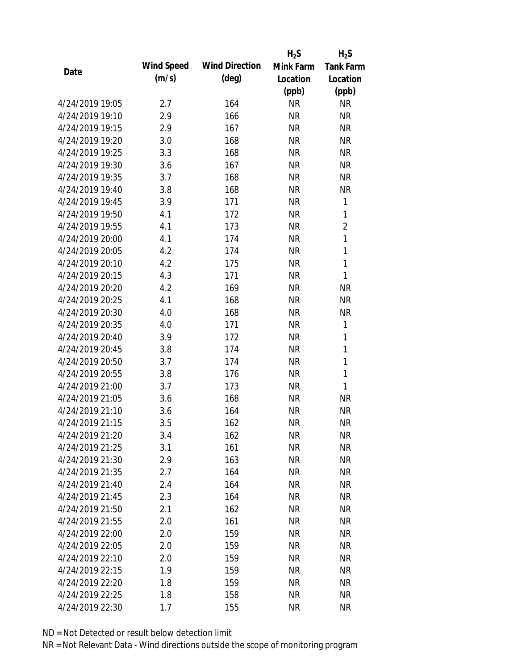|                 |            |                       | $H_2S$    | $H_2S$           |
|-----------------|------------|-----------------------|-----------|------------------|
| Date            | Wind Speed | <b>Wind Direction</b> | Mink Farm | <b>Tank Farm</b> |
|                 | (m/s)      | $(\text{deg})$        | Location  | Location         |
|                 |            |                       | (ppb)     | (ppb)            |
| 4/24/2019 19:05 | 2.7        | 164                   | <b>NR</b> | <b>NR</b>        |
| 4/24/2019 19:10 | 2.9        | 166                   | <b>NR</b> | <b>NR</b>        |
| 4/24/2019 19:15 | 2.9        | 167                   | <b>NR</b> | <b>NR</b>        |
| 4/24/2019 19:20 | 3.0        | 168                   | <b>NR</b> | <b>NR</b>        |
| 4/24/2019 19:25 | 3.3        | 168                   | <b>NR</b> | <b>NR</b>        |
| 4/24/2019 19:30 | 3.6        | 167                   | <b>NR</b> | <b>NR</b>        |
| 4/24/2019 19:35 | 3.7        | 168                   | <b>NR</b> | <b>NR</b>        |
| 4/24/2019 19:40 | 3.8        | 168                   | <b>NR</b> | <b>NR</b>        |
| 4/24/2019 19:45 | 3.9        | 171                   | <b>NR</b> | 1                |
| 4/24/2019 19:50 | 4.1        | 172                   | <b>NR</b> | $\mathbf{1}$     |
| 4/24/2019 19:55 | 4.1        | 173                   | <b>NR</b> | $\overline{2}$   |
| 4/24/2019 20:00 | 4.1        | 174                   | <b>NR</b> | 1                |
| 4/24/2019 20:05 | 4.2        | 174                   | <b>NR</b> | 1                |
| 4/24/2019 20:10 | 4.2        | 175                   | <b>NR</b> | $\mathbf{1}$     |
| 4/24/2019 20:15 | 4.3        | 171                   | <b>NR</b> | $\mathbf{1}$     |
| 4/24/2019 20:20 | 4.2        | 169                   | <b>NR</b> | <b>NR</b>        |
| 4/24/2019 20:25 | 4.1        | 168                   | <b>NR</b> | <b>NR</b>        |
| 4/24/2019 20:30 | 4.0        | 168                   | <b>NR</b> | <b>NR</b>        |
| 4/24/2019 20:35 | 4.0        | 171                   | <b>NR</b> | 1                |
| 4/24/2019 20:40 | 3.9        | 172                   | <b>NR</b> | 1                |
| 4/24/2019 20:45 | 3.8        | 174                   | <b>NR</b> | $\mathbf{1}$     |
| 4/24/2019 20:50 | 3.7        | 174                   | <b>NR</b> | $\mathbf{1}$     |
| 4/24/2019 20:55 | 3.8        | 176                   | <b>NR</b> | 1                |
| 4/24/2019 21:00 | 3.7        | 173                   | <b>NR</b> | 1                |
| 4/24/2019 21:05 | 3.6        | 168                   | <b>NR</b> | <b>NR</b>        |
| 4/24/2019 21:10 | 3.6        | 164                   | <b>NR</b> | <b>NR</b>        |
| 4/24/2019 21:15 | 3.5        | 162                   | <b>NR</b> | <b>NR</b>        |
| 4/24/2019 21:20 | 3.4        | 162                   | <b>NR</b> | <b>NR</b>        |
| 4/24/2019 21:25 | 3.1        | 161                   | <b>NR</b> | <b>NR</b>        |
| 4/24/2019 21:30 | 2.9        | 163                   | <b>NR</b> | <b>NR</b>        |
| 4/24/2019 21:35 | 2.7        | 164                   | <b>NR</b> | <b>NR</b>        |
| 4/24/2019 21:40 | 2.4        | 164                   | <b>NR</b> | <b>NR</b>        |
| 4/24/2019 21:45 | 2.3        | 164                   | <b>NR</b> | <b>NR</b>        |
| 4/24/2019 21:50 | 2.1        | 162                   | <b>NR</b> | <b>NR</b>        |
| 4/24/2019 21:55 | 2.0        | 161                   | <b>NR</b> | <b>NR</b>        |
| 4/24/2019 22:00 | 2.0        | 159                   | <b>NR</b> | <b>NR</b>        |
| 4/24/2019 22:05 | 2.0        | 159                   | <b>NR</b> | <b>NR</b>        |
| 4/24/2019 22:10 | 2.0        | 159                   | NR        | <b>NR</b>        |
| 4/24/2019 22:15 | 1.9        | 159                   | <b>NR</b> | <b>NR</b>        |
| 4/24/2019 22:20 | 1.8        | 159                   | <b>NR</b> | <b>NR</b>        |
| 4/24/2019 22:25 | 1.8        | 158                   | <b>NR</b> | <b>NR</b>        |
| 4/24/2019 22:30 | 1.7        | 155                   | <b>NR</b> | <b>NR</b>        |
|                 |            |                       |           |                  |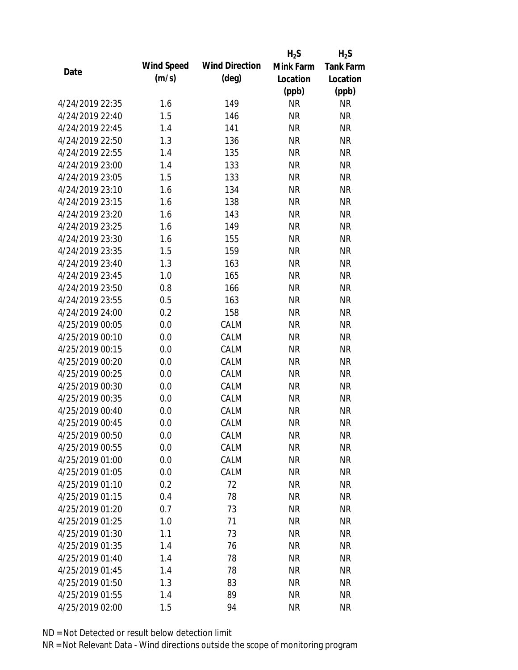|                 |            |                       | $H_2S$    | $H_2S$           |
|-----------------|------------|-----------------------|-----------|------------------|
| Date            | Wind Speed | <b>Wind Direction</b> | Mink Farm | <b>Tank Farm</b> |
|                 | (m/s)      | $(\text{deg})$        | Location  | Location         |
|                 |            |                       | (ppb)     | (ppb)            |
| 4/24/2019 22:35 | 1.6        | 149                   | <b>NR</b> | <b>NR</b>        |
| 4/24/2019 22:40 | 1.5        | 146                   | <b>NR</b> | <b>NR</b>        |
| 4/24/2019 22:45 | 1.4        | 141                   | <b>NR</b> | <b>NR</b>        |
| 4/24/2019 22:50 | 1.3        | 136                   | <b>NR</b> | <b>NR</b>        |
| 4/24/2019 22:55 | 1.4        | 135                   | <b>NR</b> | <b>NR</b>        |
| 4/24/2019 23:00 | 1.4        | 133                   | <b>NR</b> | <b>NR</b>        |
| 4/24/2019 23:05 | 1.5        | 133                   | <b>NR</b> | <b>NR</b>        |
| 4/24/2019 23:10 | 1.6        | 134                   | <b>NR</b> | <b>NR</b>        |
| 4/24/2019 23:15 | 1.6        | 138                   | <b>NR</b> | <b>NR</b>        |
| 4/24/2019 23:20 | 1.6        | 143                   | <b>NR</b> | <b>NR</b>        |
| 4/24/2019 23:25 | 1.6        | 149                   | <b>NR</b> | <b>NR</b>        |
| 4/24/2019 23:30 | 1.6        | 155                   | <b>NR</b> | <b>NR</b>        |
| 4/24/2019 23:35 | 1.5        | 159                   | <b>NR</b> | <b>NR</b>        |
| 4/24/2019 23:40 | 1.3        | 163                   | <b>NR</b> | <b>NR</b>        |
| 4/24/2019 23:45 | 1.0        | 165                   | <b>NR</b> | <b>NR</b>        |
| 4/24/2019 23:50 | 0.8        | 166                   | <b>NR</b> | <b>NR</b>        |
| 4/24/2019 23:55 | 0.5        | 163                   | <b>NR</b> | <b>NR</b>        |
| 4/24/2019 24:00 | 0.2        | 158                   | <b>NR</b> | <b>NR</b>        |
| 4/25/2019 00:05 | 0.0        | CALM                  | <b>NR</b> | <b>NR</b>        |
| 4/25/2019 00:10 | 0.0        | CALM                  | <b>NR</b> | <b>NR</b>        |
| 4/25/2019 00:15 | 0.0        | CALM                  | <b>NR</b> | <b>NR</b>        |
| 4/25/2019 00:20 | 0.0        | CALM                  | <b>NR</b> | <b>NR</b>        |
| 4/25/2019 00:25 | 0.0        | CALM                  | <b>NR</b> | <b>NR</b>        |
| 4/25/2019 00:30 | 0.0        | CALM                  | <b>NR</b> | <b>NR</b>        |
| 4/25/2019 00:35 | 0.0        | CALM                  | <b>NR</b> | <b>NR</b>        |
| 4/25/2019 00:40 | 0.0        | CALM                  | <b>NR</b> | <b>NR</b>        |
| 4/25/2019 00:45 | 0.0        | CALM                  | <b>NR</b> | <b>NR</b>        |
| 4/25/2019 00:50 | 0.0        | CALM                  | <b>NR</b> | <b>NR</b>        |
| 4/25/2019 00:55 | 0.0        | CALM                  | <b>NR</b> | <b>NR</b>        |
| 4/25/2019 01:00 | 0.0        | CALM                  | <b>NR</b> | <b>NR</b>        |
| 4/25/2019 01:05 | 0.0        | CALM                  | <b>NR</b> | <b>NR</b>        |
| 4/25/2019 01:10 | 0.2        | 72                    | <b>NR</b> | <b>NR</b>        |
| 4/25/2019 01:15 | 0.4        | 78                    | <b>NR</b> | <b>NR</b>        |
| 4/25/2019 01:20 | 0.7        | 73                    | <b>NR</b> | <b>NR</b>        |
| 4/25/2019 01:25 | 1.0        | 71                    | <b>NR</b> | <b>NR</b>        |
| 4/25/2019 01:30 | 1.1        | 73                    | <b>NR</b> | <b>NR</b>        |
| 4/25/2019 01:35 | 1.4        | 76                    | <b>NR</b> | <b>NR</b>        |
| 4/25/2019 01:40 | 1.4        | 78                    | NR        | <b>NR</b>        |
| 4/25/2019 01:45 | 1.4        | 78                    | <b>NR</b> | <b>NR</b>        |
| 4/25/2019 01:50 | 1.3        | 83                    | <b>NR</b> | <b>NR</b>        |
| 4/25/2019 01:55 | 1.4        | 89                    | <b>NR</b> | <b>NR</b>        |
| 4/25/2019 02:00 | 1.5        | 94                    | <b>NR</b> | <b>NR</b>        |
|                 |            |                       |           |                  |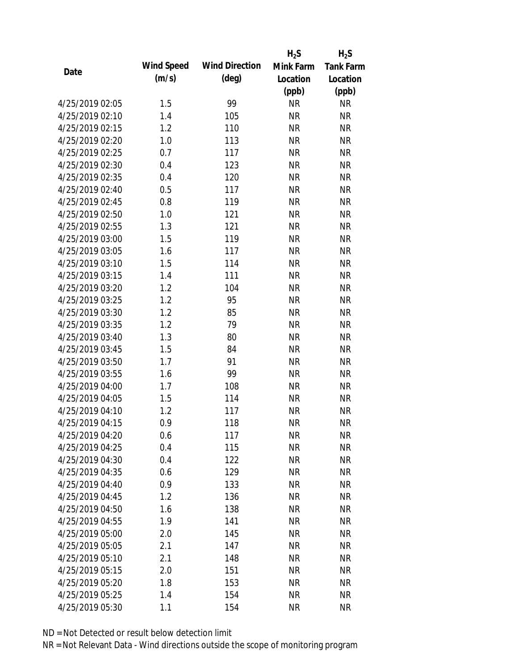|                 |            |                       | $H_2S$    | $H_2S$           |
|-----------------|------------|-----------------------|-----------|------------------|
| Date            | Wind Speed | <b>Wind Direction</b> | Mink Farm | <b>Tank Farm</b> |
|                 | (m/s)      | $(\text{deg})$        | Location  | Location         |
|                 |            |                       | (ppb)     | (ppb)            |
| 4/25/2019 02:05 | 1.5        | 99                    | <b>NR</b> | NR               |
| 4/25/2019 02:10 | 1.4        | 105                   | <b>NR</b> | <b>NR</b>        |
| 4/25/2019 02:15 | 1.2        | 110                   | <b>NR</b> | <b>NR</b>        |
| 4/25/2019 02:20 | 1.0        | 113                   | <b>NR</b> | <b>NR</b>        |
| 4/25/2019 02:25 | 0.7        | 117                   | <b>NR</b> | <b>NR</b>        |
| 4/25/2019 02:30 | 0.4        | 123                   | <b>NR</b> | <b>NR</b>        |
| 4/25/2019 02:35 | 0.4        | 120                   | <b>NR</b> | <b>NR</b>        |
| 4/25/2019 02:40 | 0.5        | 117                   | <b>NR</b> | <b>NR</b>        |
| 4/25/2019 02:45 | 0.8        | 119                   | <b>NR</b> | <b>NR</b>        |
| 4/25/2019 02:50 | 1.0        | 121                   | <b>NR</b> | <b>NR</b>        |
| 4/25/2019 02:55 | 1.3        | 121                   | <b>NR</b> | <b>NR</b>        |
| 4/25/2019 03:00 | 1.5        | 119                   | <b>NR</b> | <b>NR</b>        |
| 4/25/2019 03:05 | 1.6        | 117                   | <b>NR</b> | <b>NR</b>        |
| 4/25/2019 03:10 | 1.5        | 114                   | <b>NR</b> | <b>NR</b>        |
| 4/25/2019 03:15 | 1.4        | 111                   | <b>NR</b> | <b>NR</b>        |
| 4/25/2019 03:20 | 1.2        | 104                   | <b>NR</b> | <b>NR</b>        |
| 4/25/2019 03:25 | 1.2        | 95                    | <b>NR</b> | <b>NR</b>        |
| 4/25/2019 03:30 | 1.2        | 85                    | <b>NR</b> | <b>NR</b>        |
| 4/25/2019 03:35 | 1.2        | 79                    | <b>NR</b> | <b>NR</b>        |
| 4/25/2019 03:40 | 1.3        | 80                    | <b>NR</b> | <b>NR</b>        |
| 4/25/2019 03:45 | 1.5        | 84                    | <b>NR</b> | <b>NR</b>        |
| 4/25/2019 03:50 | 1.7        | 91                    | <b>NR</b> | <b>NR</b>        |
| 4/25/2019 03:55 | 1.6        | 99                    | <b>NR</b> | <b>NR</b>        |
| 4/25/2019 04:00 | 1.7        | 108                   | <b>NR</b> | <b>NR</b>        |
| 4/25/2019 04:05 | 1.5        | 114                   | <b>NR</b> | <b>NR</b>        |
| 4/25/2019 04:10 | 1.2        | 117                   | <b>NR</b> | <b>NR</b>        |
| 4/25/2019 04:15 | 0.9        | 118                   | <b>NR</b> | <b>NR</b>        |
| 4/25/2019 04:20 | 0.6        | 117                   | <b>NR</b> | <b>NR</b>        |
| 4/25/2019 04:25 | 0.4        | 115                   | <b>NR</b> | <b>NR</b>        |
| 4/25/2019 04:30 | 0.4        | 122                   | <b>NR</b> | <b>NR</b>        |
| 4/25/2019 04:35 | 0.6        | 129                   | <b>NR</b> | <b>NR</b>        |
| 4/25/2019 04:40 | 0.9        | 133                   | <b>NR</b> | <b>NR</b>        |
| 4/25/2019 04:45 | 1.2        | 136                   | <b>NR</b> | <b>NR</b>        |
| 4/25/2019 04:50 | 1.6        | 138                   | <b>NR</b> | <b>NR</b>        |
| 4/25/2019 04:55 | 1.9        | 141                   | <b>NR</b> | <b>NR</b>        |
| 4/25/2019 05:00 | 2.0        | 145                   | <b>NR</b> | <b>NR</b>        |
| 4/25/2019 05:05 | 2.1        | 147                   | <b>NR</b> | <b>NR</b>        |
| 4/25/2019 05:10 | 2.1        | 148                   | NR        | <b>NR</b>        |
| 4/25/2019 05:15 | 2.0        | 151                   | <b>NR</b> | <b>NR</b>        |
| 4/25/2019 05:20 | 1.8        | 153                   | <b>NR</b> | <b>NR</b>        |
| 4/25/2019 05:25 | 1.4        | 154                   | <b>NR</b> | <b>NR</b>        |
| 4/25/2019 05:30 | 1.1        | 154                   | <b>NR</b> | <b>NR</b>        |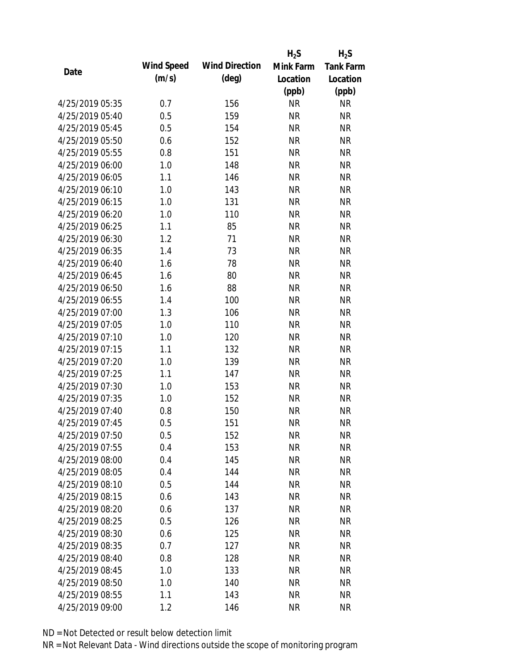|                 |            |                       | $H_2S$    | $H_2S$           |
|-----------------|------------|-----------------------|-----------|------------------|
| Date            | Wind Speed | <b>Wind Direction</b> | Mink Farm | <b>Tank Farm</b> |
|                 | (m/s)      | $(\text{deg})$        | Location  | Location         |
|                 |            |                       | (ppb)     | (ppb)            |
| 4/25/2019 05:35 | 0.7        | 156                   | <b>NR</b> | NR               |
| 4/25/2019 05:40 | 0.5        | 159                   | <b>NR</b> | <b>NR</b>        |
| 4/25/2019 05:45 | 0.5        | 154                   | <b>NR</b> | <b>NR</b>        |
| 4/25/2019 05:50 | 0.6        | 152                   | <b>NR</b> | <b>NR</b>        |
| 4/25/2019 05:55 | 0.8        | 151                   | <b>NR</b> | <b>NR</b>        |
| 4/25/2019 06:00 | 1.0        | 148                   | <b>NR</b> | <b>NR</b>        |
| 4/25/2019 06:05 | 1.1        | 146                   | <b>NR</b> | <b>NR</b>        |
| 4/25/2019 06:10 | 1.0        | 143                   | <b>NR</b> | <b>NR</b>        |
| 4/25/2019 06:15 | 1.0        | 131                   | <b>NR</b> | <b>NR</b>        |
| 4/25/2019 06:20 | 1.0        | 110                   | <b>NR</b> | <b>NR</b>        |
| 4/25/2019 06:25 | 1.1        | 85                    | <b>NR</b> | <b>NR</b>        |
| 4/25/2019 06:30 | 1.2        | 71                    | <b>NR</b> | <b>NR</b>        |
| 4/25/2019 06:35 | 1.4        | 73                    | <b>NR</b> | <b>NR</b>        |
| 4/25/2019 06:40 | 1.6        | 78                    | <b>NR</b> | <b>NR</b>        |
| 4/25/2019 06:45 | 1.6        | 80                    | <b>NR</b> | <b>NR</b>        |
| 4/25/2019 06:50 | 1.6        | 88                    | <b>NR</b> | <b>NR</b>        |
| 4/25/2019 06:55 | 1.4        | 100                   | <b>NR</b> | <b>NR</b>        |
| 4/25/2019 07:00 | 1.3        | 106                   | <b>NR</b> | <b>NR</b>        |
| 4/25/2019 07:05 | 1.0        | 110                   | <b>NR</b> | <b>NR</b>        |
| 4/25/2019 07:10 | 1.0        | 120                   | <b>NR</b> | <b>NR</b>        |
| 4/25/2019 07:15 | 1.1        | 132                   | <b>NR</b> | <b>NR</b>        |
| 4/25/2019 07:20 | 1.0        | 139                   | <b>NR</b> | <b>NR</b>        |
| 4/25/2019 07:25 | 1.1        | 147                   | <b>NR</b> | <b>NR</b>        |
| 4/25/2019 07:30 | 1.0        | 153                   | <b>NR</b> | <b>NR</b>        |
| 4/25/2019 07:35 | 1.0        | 152                   | <b>NR</b> | <b>NR</b>        |
| 4/25/2019 07:40 | 0.8        | 150                   | <b>NR</b> | <b>NR</b>        |
| 4/25/2019 07:45 | 0.5        | 151                   | <b>NR</b> | <b>NR</b>        |
| 4/25/2019 07:50 | 0.5        | 152                   | <b>NR</b> | <b>NR</b>        |
| 4/25/2019 07:55 | 0.4        | 153                   | <b>NR</b> | <b>NR</b>        |
| 4/25/2019 08:00 | 0.4        | 145                   | <b>NR</b> | <b>NR</b>        |
| 4/25/2019 08:05 | 0.4        | 144                   | <b>NR</b> | <b>NR</b>        |
| 4/25/2019 08:10 | 0.5        | 144                   | <b>NR</b> | <b>NR</b>        |
| 4/25/2019 08:15 | 0.6        | 143                   | <b>NR</b> | <b>NR</b>        |
| 4/25/2019 08:20 | 0.6        | 137                   | <b>NR</b> | <b>NR</b>        |
| 4/25/2019 08:25 | 0.5        | 126                   | <b>NR</b> | <b>NR</b>        |
| 4/25/2019 08:30 | 0.6        | 125                   | <b>NR</b> | <b>NR</b>        |
| 4/25/2019 08:35 | 0.7        | 127                   | <b>NR</b> | <b>NR</b>        |
| 4/25/2019 08:40 | 0.8        | 128                   | NR        | <b>NR</b>        |
| 4/25/2019 08:45 | 1.0        | 133                   | <b>NR</b> | <b>NR</b>        |
| 4/25/2019 08:50 | 1.0        | 140                   | <b>NR</b> | NR               |
| 4/25/2019 08:55 | 1.1        | 143                   | <b>NR</b> | <b>NR</b>        |
| 4/25/2019 09:00 | 1.2        | 146                   | <b>NR</b> | <b>NR</b>        |
|                 |            |                       |           |                  |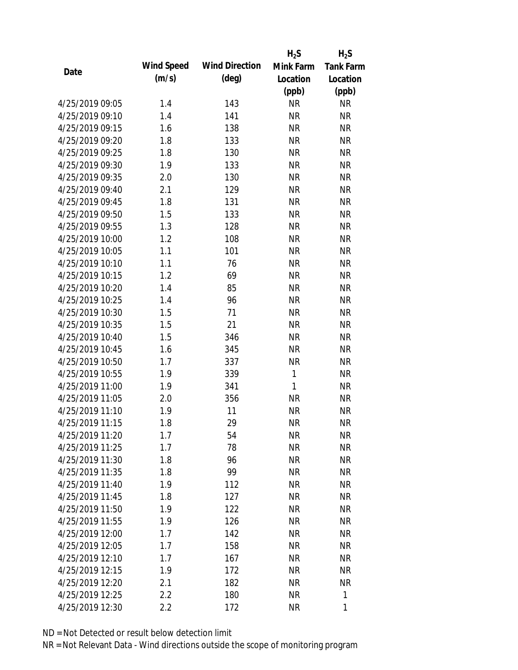|                 |            |                       | $H_2S$       | $H_2S$           |
|-----------------|------------|-----------------------|--------------|------------------|
| Date            | Wind Speed | <b>Wind Direction</b> | Mink Farm    | <b>Tank Farm</b> |
|                 | (m/s)      | $(\text{deg})$        | Location     | Location         |
|                 |            |                       | (ppb)        | (ppb)            |
| 4/25/2019 09:05 | 1.4        | 143                   | <b>NR</b>    | <b>NR</b>        |
| 4/25/2019 09:10 | 1.4        | 141                   | <b>NR</b>    | <b>NR</b>        |
| 4/25/2019 09:15 | 1.6        | 138                   | <b>NR</b>    | <b>NR</b>        |
| 4/25/2019 09:20 | 1.8        | 133                   | <b>NR</b>    | <b>NR</b>        |
| 4/25/2019 09:25 | 1.8        | 130                   | <b>NR</b>    | <b>NR</b>        |
| 4/25/2019 09:30 | 1.9        | 133                   | <b>NR</b>    | <b>NR</b>        |
| 4/25/2019 09:35 | 2.0        | 130                   | <b>NR</b>    | <b>NR</b>        |
| 4/25/2019 09:40 | 2.1        | 129                   | <b>NR</b>    | <b>NR</b>        |
| 4/25/2019 09:45 | 1.8        | 131                   | <b>NR</b>    | <b>NR</b>        |
| 4/25/2019 09:50 | 1.5        | 133                   | <b>NR</b>    | <b>NR</b>        |
| 4/25/2019 09:55 | 1.3        | 128                   | <b>NR</b>    | <b>NR</b>        |
| 4/25/2019 10:00 | 1.2        | 108                   | <b>NR</b>    | <b>NR</b>        |
| 4/25/2019 10:05 | 1.1        | 101                   | <b>NR</b>    | <b>NR</b>        |
| 4/25/2019 10:10 | 1.1        | 76                    | <b>NR</b>    | <b>NR</b>        |
| 4/25/2019 10:15 | 1.2        | 69                    | <b>NR</b>    | <b>NR</b>        |
| 4/25/2019 10:20 | 1.4        | 85                    | <b>NR</b>    | <b>NR</b>        |
| 4/25/2019 10:25 | 1.4        | 96                    | <b>NR</b>    | <b>NR</b>        |
| 4/25/2019 10:30 | 1.5        | 71                    | <b>NR</b>    | <b>NR</b>        |
| 4/25/2019 10:35 | 1.5        | 21                    | <b>NR</b>    | <b>NR</b>        |
| 4/25/2019 10:40 | 1.5        | 346                   | <b>NR</b>    | <b>NR</b>        |
| 4/25/2019 10:45 | 1.6        | 345                   | <b>NR</b>    | <b>NR</b>        |
| 4/25/2019 10:50 | 1.7        | 337                   | <b>NR</b>    | <b>NR</b>        |
| 4/25/2019 10:55 | 1.9        | 339                   | $\mathbf{1}$ | <b>NR</b>        |
| 4/25/2019 11:00 | 1.9        | 341                   | $\mathbf{1}$ | <b>NR</b>        |
| 4/25/2019 11:05 | 2.0        | 356                   | <b>NR</b>    | <b>NR</b>        |
| 4/25/2019 11:10 | 1.9        | 11                    | <b>NR</b>    | <b>NR</b>        |
| 4/25/2019 11:15 | 1.8        | 29                    | <b>NR</b>    | <b>NR</b>        |
| 4/25/2019 11:20 | 1.7        | 54                    | <b>NR</b>    | <b>NR</b>        |
| 4/25/2019 11:25 | 1.7        | 78                    | <b>NR</b>    | <b>NR</b>        |
| 4/25/2019 11:30 | 1.8        | 96                    | <b>NR</b>    | <b>NR</b>        |
| 4/25/2019 11:35 | 1.8        | 99                    | <b>NR</b>    | <b>NR</b>        |
| 4/25/2019 11:40 | 1.9        | 112                   | <b>NR</b>    | NR               |
| 4/25/2019 11:45 | 1.8        | 127                   | <b>NR</b>    | <b>NR</b>        |
| 4/25/2019 11:50 | 1.9        | 122                   | <b>NR</b>    | <b>NR</b>        |
| 4/25/2019 11:55 | 1.9        | 126                   | <b>NR</b>    | <b>NR</b>        |
| 4/25/2019 12:00 | 1.7        | 142                   | <b>NR</b>    | <b>NR</b>        |
| 4/25/2019 12:05 | 1.7        | 158                   | <b>NR</b>    | <b>NR</b>        |
| 4/25/2019 12:10 | 1.7        | 167                   | <b>NR</b>    | <b>NR</b>        |
| 4/25/2019 12:15 | 1.9        | 172                   | <b>NR</b>    | <b>NR</b>        |
| 4/25/2019 12:20 | 2.1        | 182                   | <b>NR</b>    | <b>NR</b>        |
| 4/25/2019 12:25 | 2.2        | 180                   | <b>NR</b>    | 1                |
| 4/25/2019 12:30 | 2.2        | 172                   | <b>NR</b>    | 1                |
|                 |            |                       |              |                  |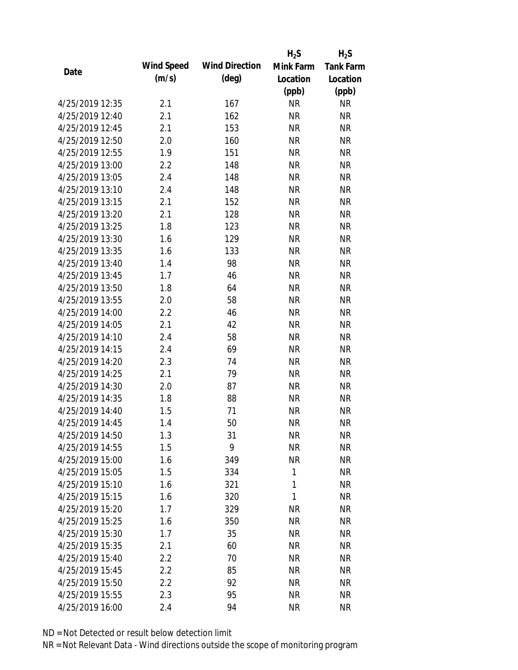|                 |            |                       | $H_2S$       | $H_2S$           |
|-----------------|------------|-----------------------|--------------|------------------|
| Date            | Wind Speed | <b>Wind Direction</b> | Mink Farm    | <b>Tank Farm</b> |
|                 | (m/s)      | $(\text{deg})$        | Location     | Location         |
|                 |            |                       | (ppb)        | (ppb)            |
| 4/25/2019 12:35 | 2.1        | 167                   | <b>NR</b>    | <b>NR</b>        |
| 4/25/2019 12:40 | 2.1        | 162                   | <b>NR</b>    | <b>NR</b>        |
| 4/25/2019 12:45 | 2.1        | 153                   | <b>NR</b>    | <b>NR</b>        |
| 4/25/2019 12:50 | 2.0        | 160                   | <b>NR</b>    | <b>NR</b>        |
| 4/25/2019 12:55 | 1.9        | 151                   | <b>NR</b>    | <b>NR</b>        |
| 4/25/2019 13:00 | 2.2        | 148                   | <b>NR</b>    | <b>NR</b>        |
| 4/25/2019 13:05 | 2.4        | 148                   | <b>NR</b>    | <b>NR</b>        |
| 4/25/2019 13:10 | 2.4        | 148                   | <b>NR</b>    | <b>NR</b>        |
| 4/25/2019 13:15 | 2.1        | 152                   | <b>NR</b>    | <b>NR</b>        |
| 4/25/2019 13:20 | 2.1        | 128                   | <b>NR</b>    | <b>NR</b>        |
| 4/25/2019 13:25 | 1.8        | 123                   | <b>NR</b>    | <b>NR</b>        |
| 4/25/2019 13:30 | 1.6        | 129                   | <b>NR</b>    | <b>NR</b>        |
| 4/25/2019 13:35 | 1.6        | 133                   | <b>NR</b>    | <b>NR</b>        |
| 4/25/2019 13:40 | 1.4        | 98                    | <b>NR</b>    | <b>NR</b>        |
| 4/25/2019 13:45 | 1.7        | 46                    | <b>NR</b>    | <b>NR</b>        |
| 4/25/2019 13:50 | 1.8        | 64                    | <b>NR</b>    | <b>NR</b>        |
| 4/25/2019 13:55 | 2.0        | 58                    | <b>NR</b>    | <b>NR</b>        |
| 4/25/2019 14:00 | 2.2        | 46                    | <b>NR</b>    | <b>NR</b>        |
| 4/25/2019 14:05 | 2.1        | 42                    | <b>NR</b>    | <b>NR</b>        |
| 4/25/2019 14:10 | 2.4        | 58                    | <b>NR</b>    | <b>NR</b>        |
| 4/25/2019 14:15 | 2.4        | 69                    | <b>NR</b>    | <b>NR</b>        |
| 4/25/2019 14:20 | 2.3        | 74                    | <b>NR</b>    | <b>NR</b>        |
| 4/25/2019 14:25 | 2.1        | 79                    | <b>NR</b>    | <b>NR</b>        |
| 4/25/2019 14:30 | 2.0        | 87                    | <b>NR</b>    | <b>NR</b>        |
| 4/25/2019 14:35 | 1.8        | 88                    | <b>NR</b>    | <b>NR</b>        |
| 4/25/2019 14:40 | 1.5        | 71                    | <b>NR</b>    | <b>NR</b>        |
| 4/25/2019 14:45 | 1.4        | 50                    | <b>NR</b>    | <b>NR</b>        |
| 4/25/2019 14:50 | 1.3        | 31                    | <b>NR</b>    | <b>NR</b>        |
| 4/25/2019 14:55 | 1.5        | 9                     | <b>NR</b>    | <b>NR</b>        |
| 4/25/2019 15:00 | 1.6        | 349                   | <b>NR</b>    | <b>NR</b>        |
| 4/25/2019 15:05 | 1.5        | 334                   | $\mathbf{1}$ | <b>NR</b>        |
| 4/25/2019 15:10 | 1.6        | 321                   | 1            | <b>NR</b>        |
| 4/25/2019 15:15 | 1.6        | 320                   | 1            | <b>NR</b>        |
| 4/25/2019 15:20 | 1.7        | 329                   | <b>NR</b>    | <b>NR</b>        |
| 4/25/2019 15:25 | 1.6        | 350                   | <b>NR</b>    | <b>NR</b>        |
| 4/25/2019 15:30 | 1.7        | 35                    | <b>NR</b>    | <b>NR</b>        |
| 4/25/2019 15:35 | 2.1        | 60                    | <b>NR</b>    | <b>NR</b>        |
| 4/25/2019 15:40 | 2.2        | 70                    | <b>NR</b>    | <b>NR</b>        |
| 4/25/2019 15:45 | 2.2        | 85                    | <b>NR</b>    | <b>NR</b>        |
| 4/25/2019 15:50 | 2.2        | 92                    | <b>NR</b>    | <b>NR</b>        |
| 4/25/2019 15:55 | 2.3        | 95                    | <b>NR</b>    | <b>NR</b>        |
| 4/25/2019 16:00 | 2.4        | 94                    | <b>NR</b>    | <b>NR</b>        |
|                 |            |                       |              |                  |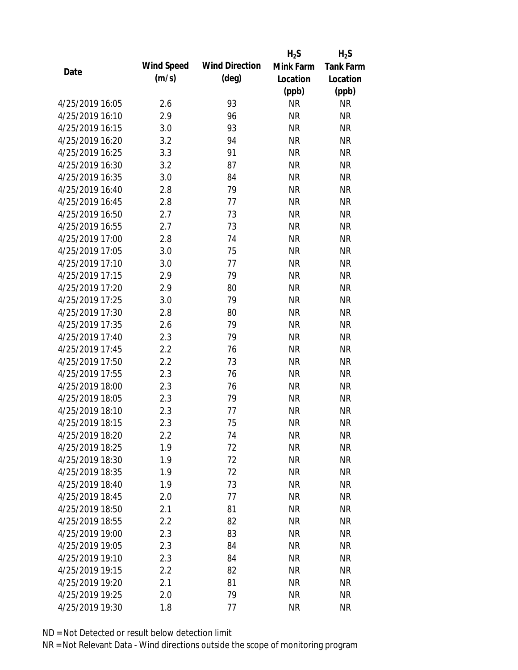|                 |            |                       | $H_2S$    | $H_2S$           |
|-----------------|------------|-----------------------|-----------|------------------|
| Date            | Wind Speed | <b>Wind Direction</b> | Mink Farm | <b>Tank Farm</b> |
|                 | (m/s)      | $(\text{deg})$        | Location  | Location         |
|                 |            |                       | (ppb)     | (ppb)            |
| 4/25/2019 16:05 | 2.6        | 93                    | <b>NR</b> | <b>NR</b>        |
| 4/25/2019 16:10 | 2.9        | 96                    | <b>NR</b> | <b>NR</b>        |
| 4/25/2019 16:15 | 3.0        | 93                    | <b>NR</b> | <b>NR</b>        |
| 4/25/2019 16:20 | 3.2        | 94                    | <b>NR</b> | <b>NR</b>        |
| 4/25/2019 16:25 | 3.3        | 91                    | <b>NR</b> | <b>NR</b>        |
| 4/25/2019 16:30 | 3.2        | 87                    | <b>NR</b> | <b>NR</b>        |
| 4/25/2019 16:35 | 3.0        | 84                    | <b>NR</b> | <b>NR</b>        |
| 4/25/2019 16:40 | 2.8        | 79                    | <b>NR</b> | <b>NR</b>        |
| 4/25/2019 16:45 | 2.8        | 77                    | <b>NR</b> | <b>NR</b>        |
| 4/25/2019 16:50 | 2.7        | 73                    | <b>NR</b> | <b>NR</b>        |
| 4/25/2019 16:55 | 2.7        | 73                    | <b>NR</b> | <b>NR</b>        |
| 4/25/2019 17:00 | 2.8        | 74                    | <b>NR</b> | <b>NR</b>        |
| 4/25/2019 17:05 | 3.0        | 75                    | <b>NR</b> | <b>NR</b>        |
| 4/25/2019 17:10 | 3.0        | 77                    | <b>NR</b> | <b>NR</b>        |
| 4/25/2019 17:15 | 2.9        | 79                    | <b>NR</b> | <b>NR</b>        |
| 4/25/2019 17:20 | 2.9        | 80                    | <b>NR</b> | <b>NR</b>        |
| 4/25/2019 17:25 | 3.0        | 79                    | <b>NR</b> | <b>NR</b>        |
| 4/25/2019 17:30 | 2.8        | 80                    | <b>NR</b> | <b>NR</b>        |
| 4/25/2019 17:35 | 2.6        | 79                    | <b>NR</b> | <b>NR</b>        |
| 4/25/2019 17:40 | 2.3        | 79                    | <b>NR</b> | <b>NR</b>        |
| 4/25/2019 17:45 | 2.2        | 76                    | <b>NR</b> | <b>NR</b>        |
| 4/25/2019 17:50 | 2.2        | 73                    | <b>NR</b> | <b>NR</b>        |
| 4/25/2019 17:55 | 2.3        | 76                    | <b>NR</b> | <b>NR</b>        |
| 4/25/2019 18:00 | 2.3        | 76                    | <b>NR</b> | <b>NR</b>        |
| 4/25/2019 18:05 | 2.3        | 79                    | <b>NR</b> | <b>NR</b>        |
| 4/25/2019 18:10 | 2.3        | 77                    | <b>NR</b> | <b>NR</b>        |
| 4/25/2019 18:15 | 2.3        | 75                    | <b>NR</b> | <b>NR</b>        |
| 4/25/2019 18:20 | 2.2        | 74                    | <b>NR</b> | <b>NR</b>        |
| 4/25/2019 18:25 | 1.9        | 72                    | <b>NR</b> | <b>NR</b>        |
| 4/25/2019 18:30 | 1.9        | 72                    | <b>NR</b> | <b>NR</b>        |
| 4/25/2019 18:35 | 1.9        | 72                    | <b>NR</b> | <b>NR</b>        |
| 4/25/2019 18:40 | 1.9        | 73                    | <b>NR</b> | <b>NR</b>        |
| 4/25/2019 18:45 | 2.0        | 77                    | <b>NR</b> | <b>NR</b>        |
| 4/25/2019 18:50 | 2.1        | 81                    | <b>NR</b> | <b>NR</b>        |
| 4/25/2019 18:55 | 2.2        | 82                    | <b>NR</b> | <b>NR</b>        |
| 4/25/2019 19:00 | 2.3        | 83                    | <b>NR</b> | <b>NR</b>        |
| 4/25/2019 19:05 | 2.3        | 84                    | <b>NR</b> | <b>NR</b>        |
| 4/25/2019 19:10 | 2.3        | 84                    | NR        | <b>NR</b>        |
| 4/25/2019 19:15 | 2.2        | 82                    | <b>NR</b> | <b>NR</b>        |
| 4/25/2019 19:20 | 2.1        | 81                    | <b>NR</b> | <b>NR</b>        |
| 4/25/2019 19:25 | 2.0        | 79                    | <b>NR</b> | <b>NR</b>        |
| 4/25/2019 19:30 | 1.8        | 77                    | <b>NR</b> | <b>NR</b>        |
|                 |            |                       |           |                  |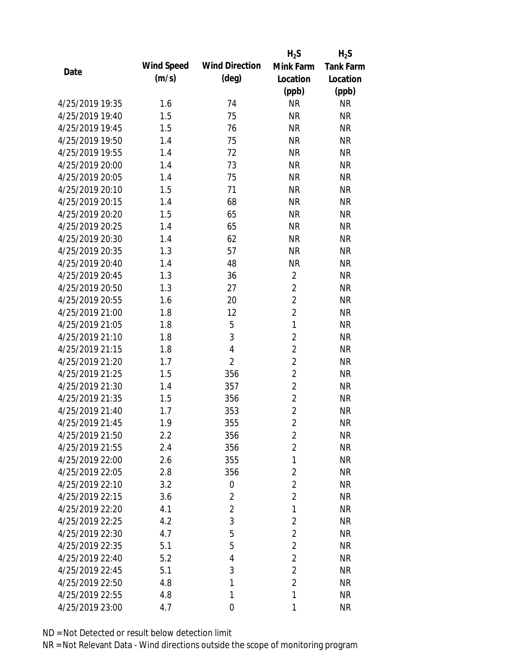|                 |            |                       | $H_2S$         | $H_2S$           |
|-----------------|------------|-----------------------|----------------|------------------|
| Date            | Wind Speed | <b>Wind Direction</b> | Mink Farm      | <b>Tank Farm</b> |
|                 | (m/s)      | $(\text{deg})$        | Location       | Location         |
|                 |            |                       | (ppb)          | (ppb)            |
| 4/25/2019 19:35 | 1.6        | 74                    | <b>NR</b>      | <b>NR</b>        |
| 4/25/2019 19:40 | 1.5        | 75                    | <b>NR</b>      | <b>NR</b>        |
| 4/25/2019 19:45 | 1.5        | 76                    | <b>NR</b>      | <b>NR</b>        |
| 4/25/2019 19:50 | 1.4        | 75                    | <b>NR</b>      | <b>NR</b>        |
| 4/25/2019 19:55 | 1.4        | 72                    | <b>NR</b>      | <b>NR</b>        |
| 4/25/2019 20:00 | 1.4        | 73                    | <b>NR</b>      | <b>NR</b>        |
| 4/25/2019 20:05 | 1.4        | 75                    | <b>NR</b>      | <b>NR</b>        |
| 4/25/2019 20:10 | 1.5        | 71                    | <b>NR</b>      | <b>NR</b>        |
| 4/25/2019 20:15 | 1.4        | 68                    | <b>NR</b>      | <b>NR</b>        |
| 4/25/2019 20:20 | 1.5        | 65                    | <b>NR</b>      | <b>NR</b>        |
| 4/25/2019 20:25 | 1.4        | 65                    | <b>NR</b>      | <b>NR</b>        |
| 4/25/2019 20:30 | 1.4        | 62                    | <b>NR</b>      | <b>NR</b>        |
| 4/25/2019 20:35 | 1.3        | 57                    | <b>NR</b>      | <b>NR</b>        |
| 4/25/2019 20:40 | 1.4        | 48                    | <b>NR</b>      | <b>NR</b>        |
| 4/25/2019 20:45 | 1.3        | 36                    | $\overline{2}$ | <b>NR</b>        |
| 4/25/2019 20:50 | 1.3        | 27                    | $\overline{2}$ | <b>NR</b>        |
| 4/25/2019 20:55 | 1.6        | 20                    | $\overline{2}$ | <b>NR</b>        |
| 4/25/2019 21:00 | 1.8        | 12                    | $\overline{2}$ | <b>NR</b>        |
| 4/25/2019 21:05 | 1.8        | 5                     | $\mathbf{1}$   | <b>NR</b>        |
| 4/25/2019 21:10 | 1.8        | 3                     | $\overline{2}$ | <b>NR</b>        |
| 4/25/2019 21:15 | 1.8        | $\overline{4}$        | $\overline{2}$ | <b>NR</b>        |
| 4/25/2019 21:20 | 1.7        | $\overline{2}$        | $\overline{2}$ | <b>NR</b>        |
| 4/25/2019 21:25 | 1.5        | 356                   | $\overline{2}$ | <b>NR</b>        |
| 4/25/2019 21:30 | 1.4        | 357                   | $\overline{2}$ | <b>NR</b>        |
| 4/25/2019 21:35 | 1.5        | 356                   | $\overline{2}$ | <b>NR</b>        |
| 4/25/2019 21:40 | 1.7        | 353                   | $\overline{2}$ | <b>NR</b>        |
| 4/25/2019 21:45 | 1.9        | 355                   | $\overline{2}$ | <b>NR</b>        |
| 4/25/2019 21:50 | 2.2        | 356                   | $\overline{2}$ | <b>NR</b>        |
| 4/25/2019 21:55 | 2.4        | 356                   | $\overline{2}$ | <b>NR</b>        |
| 4/25/2019 22:00 | 2.6        | 355                   | 1              | <b>NR</b>        |
| 4/25/2019 22:05 | 2.8        | 356                   | $\overline{2}$ | <b>NR</b>        |
| 4/25/2019 22:10 | 3.2        | $\boldsymbol{0}$      | $\overline{2}$ | <b>NR</b>        |
| 4/25/2019 22:15 | 3.6        | 2                     | $\overline{2}$ | <b>NR</b>        |
| 4/25/2019 22:20 | 4.1        | $\overline{2}$        | 1              | <b>NR</b>        |
| 4/25/2019 22:25 | 4.2        | 3                     | $\overline{2}$ | <b>NR</b>        |
| 4/25/2019 22:30 | 4.7        | 5                     | $\overline{2}$ | <b>NR</b>        |
| 4/25/2019 22:35 | 5.1        | 5                     | $\overline{2}$ | <b>NR</b>        |
| 4/25/2019 22:40 | 5.2        | 4                     | $\overline{2}$ | <b>NR</b>        |
| 4/25/2019 22:45 | 5.1        | 3                     | $\overline{2}$ | <b>NR</b>        |
| 4/25/2019 22:50 | 4.8        | 1                     | $\overline{2}$ | <b>NR</b>        |
| 4/25/2019 22:55 | 4.8        | 1                     | 1              | <b>NR</b>        |
| 4/25/2019 23:00 | 4.7        | $\overline{0}$        | 1              | <b>NR</b>        |
|                 |            |                       |                |                  |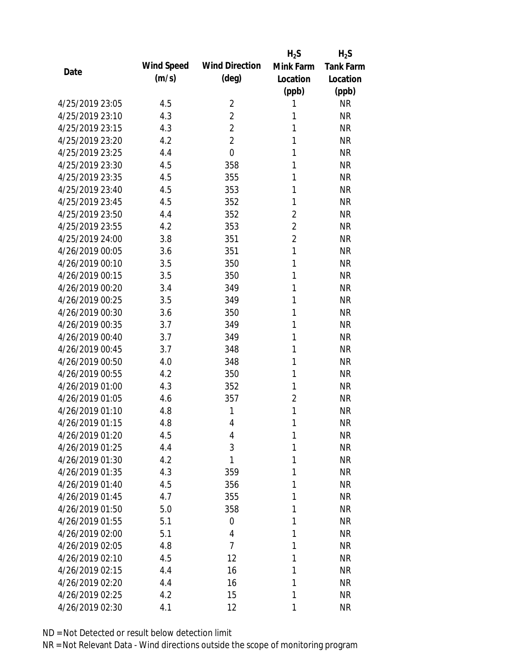|                 |            |                       | $H_2S$         | $H_2S$           |
|-----------------|------------|-----------------------|----------------|------------------|
| Date            | Wind Speed | <b>Wind Direction</b> | Mink Farm      | <b>Tank Farm</b> |
|                 | (m/s)      | $(\text{deg})$        | Location       | Location         |
|                 |            |                       | (ppb)          | (ppb)            |
| 4/25/2019 23:05 | 4.5        | $\overline{2}$        | 1              | <b>NR</b>        |
| 4/25/2019 23:10 | 4.3        | $\overline{2}$        | 1              | <b>NR</b>        |
| 4/25/2019 23:15 | 4.3        | $\overline{2}$        | 1              | <b>NR</b>        |
| 4/25/2019 23:20 | 4.2        | $\overline{2}$        | 1              | <b>NR</b>        |
| 4/25/2019 23:25 | 4.4        | $\overline{0}$        | 1              | <b>NR</b>        |
| 4/25/2019 23:30 | 4.5        | 358                   | 1              | <b>NR</b>        |
| 4/25/2019 23:35 | 4.5        | 355                   | 1              | <b>NR</b>        |
| 4/25/2019 23:40 | 4.5        | 353                   | 1              | <b>NR</b>        |
| 4/25/2019 23:45 | 4.5        | 352                   | 1              | <b>NR</b>        |
| 4/25/2019 23:50 | 4.4        | 352                   | $\overline{2}$ | <b>NR</b>        |
| 4/25/2019 23:55 | 4.2        | 353                   | $\overline{2}$ | <b>NR</b>        |
| 4/25/2019 24:00 | 3.8        | 351                   | $\overline{2}$ | <b>NR</b>        |
| 4/26/2019 00:05 | 3.6        | 351                   | 1              | <b>NR</b>        |
| 4/26/2019 00:10 | 3.5        | 350                   | 1              | <b>NR</b>        |
| 4/26/2019 00:15 | 3.5        | 350                   | 1              | <b>NR</b>        |
| 4/26/2019 00:20 | 3.4        | 349                   | 1              | <b>NR</b>        |
| 4/26/2019 00:25 | 3.5        | 349                   | 1              | <b>NR</b>        |
| 4/26/2019 00:30 | 3.6        | 350                   | 1              | <b>NR</b>        |
| 4/26/2019 00:35 | 3.7        | 349                   | 1              | <b>NR</b>        |
| 4/26/2019 00:40 | 3.7        | 349                   | 1              | <b>NR</b>        |
| 4/26/2019 00:45 | 3.7        | 348                   | 1              | <b>NR</b>        |
| 4/26/2019 00:50 | 4.0        | 348                   | 1              | <b>NR</b>        |
| 4/26/2019 00:55 | 4.2        | 350                   | 1              | <b>NR</b>        |
| 4/26/2019 01:00 | 4.3        | 352                   | 1              | <b>NR</b>        |
| 4/26/2019 01:05 | 4.6        | 357                   | 2              | <b>NR</b>        |
| 4/26/2019 01:10 | 4.8        | 1                     | 1              | <b>NR</b>        |
| 4/26/2019 01:15 | 4.8        | $\overline{4}$        | 1              | <b>NR</b>        |
| 4/26/2019 01:20 | 4.5        | 4                     | 1              | <b>NR</b>        |
| 4/26/2019 01:25 | 4.4        | 3                     | 1              | <b>NR</b>        |
| 4/26/2019 01:30 | 4.2        | 1                     | 1              | <b>NR</b>        |
| 4/26/2019 01:35 | 4.3        | 359                   | 1              | <b>NR</b>        |
| 4/26/2019 01:40 | 4.5        | 356                   | 1              | <b>NR</b>        |
| 4/26/2019 01:45 | 4.7        | 355                   | 1              | <b>NR</b>        |
| 4/26/2019 01:50 | 5.0        | 358                   | 1              | <b>NR</b>        |
| 4/26/2019 01:55 | 5.1        | 0                     | 1              | <b>NR</b>        |
| 4/26/2019 02:00 | 5.1        | 4                     | 1              | <b>NR</b>        |
| 4/26/2019 02:05 | 4.8        | $\overline{7}$        | 1              | <b>NR</b>        |
| 4/26/2019 02:10 | 4.5        | 12                    | 1              | <b>NR</b>        |
| 4/26/2019 02:15 | 4.4        | 16                    | 1              | <b>NR</b>        |
| 4/26/2019 02:20 | 4.4        | 16                    | 1              | <b>NR</b>        |
|                 |            |                       |                |                  |
| 4/26/2019 02:25 | 4.2        | 15                    | 1              | <b>NR</b>        |
| 4/26/2019 02:30 | 4.1        | 12                    | 1              | <b>NR</b>        |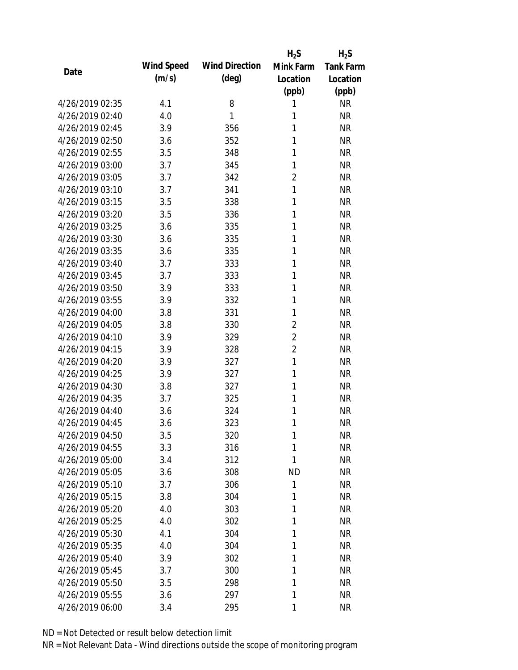|                 |            |                       | $H_2S$         | $H_2S$           |
|-----------------|------------|-----------------------|----------------|------------------|
| Date            | Wind Speed | <b>Wind Direction</b> | Mink Farm      | <b>Tank Farm</b> |
|                 | (m/s)      | (deg)                 | Location       | Location         |
|                 |            |                       | (ppb)          | (ppb)            |
| 4/26/2019 02:35 | 4.1        | 8                     | 1              | <b>NR</b>        |
| 4/26/2019 02:40 | 4.0        | 1                     | 1              | <b>NR</b>        |
| 4/26/2019 02:45 | 3.9        | 356                   | 1              | <b>NR</b>        |
| 4/26/2019 02:50 | 3.6        | 352                   | 1              | <b>NR</b>        |
| 4/26/2019 02:55 | 3.5        | 348                   | 1              | <b>NR</b>        |
| 4/26/2019 03:00 | 3.7        | 345                   | 1              | <b>NR</b>        |
| 4/26/2019 03:05 | 3.7        | 342                   | $\overline{2}$ | <b>NR</b>        |
| 4/26/2019 03:10 | 3.7        | 341                   | 1              | <b>NR</b>        |
| 4/26/2019 03:15 | 3.5        | 338                   | 1              | <b>NR</b>        |
| 4/26/2019 03:20 | 3.5        | 336                   | 1              | <b>NR</b>        |
| 4/26/2019 03:25 | 3.6        | 335                   | 1              | <b>NR</b>        |
| 4/26/2019 03:30 | 3.6        | 335                   | 1              | <b>NR</b>        |
| 4/26/2019 03:35 | 3.6        | 335                   | 1              | <b>NR</b>        |
| 4/26/2019 03:40 | 3.7        | 333                   | 1              | <b>NR</b>        |
| 4/26/2019 03:45 | 3.7        | 333                   | 1              | <b>NR</b>        |
| 4/26/2019 03:50 | 3.9        | 333                   | 1              | <b>NR</b>        |
| 4/26/2019 03:55 | 3.9        | 332                   | 1              | <b>NR</b>        |
| 4/26/2019 04:00 | 3.8        | 331                   | 1              | <b>NR</b>        |
| 4/26/2019 04:05 | 3.8        | 330                   | $\overline{2}$ | <b>NR</b>        |
| 4/26/2019 04:10 | 3.9        | 329                   | $\overline{2}$ | <b>NR</b>        |
| 4/26/2019 04:15 | 3.9        | 328                   | $\overline{2}$ | <b>NR</b>        |
| 4/26/2019 04:20 | 3.9        | 327                   | $\mathbf{1}$   | <b>NR</b>        |
| 4/26/2019 04:25 | 3.9        | 327                   | 1              | <b>NR</b>        |
| 4/26/2019 04:30 | 3.8        | 327                   | 1              | <b>NR</b>        |
| 4/26/2019 04:35 | 3.7        | 325                   | 1              | <b>NR</b>        |
| 4/26/2019 04:40 | 3.6        | 324                   | 1              | <b>NR</b>        |
| 4/26/2019 04:45 | 3.6        | 323                   | 1              | <b>NR</b>        |
| 4/26/2019 04:50 | 3.5        | 320                   | 1              | <b>NR</b>        |
| 4/26/2019 04:55 | 3.3        | 316                   | 1              | <b>NR</b>        |
| 4/26/2019 05:00 | 3.4        | 312                   | 1              | <b>NR</b>        |
| 4/26/2019 05:05 | 3.6        | 308                   | <b>ND</b>      | <b>NR</b>        |
| 4/26/2019 05:10 | 3.7        | 306                   | 1              | <b>NR</b>        |
| 4/26/2019 05:15 | 3.8        | 304                   | 1              | <b>NR</b>        |
| 4/26/2019 05:20 | 4.0        | 303                   | 1              | <b>NR</b>        |
| 4/26/2019 05:25 | 4.0        | 302                   | 1              | <b>NR</b>        |
| 4/26/2019 05:30 | 4.1        | 304                   | 1              | <b>NR</b>        |
| 4/26/2019 05:35 | 4.0        | 304                   | 1              | <b>NR</b>        |
| 4/26/2019 05:40 | 3.9        | 302                   | 1              | <b>NR</b>        |
| 4/26/2019 05:45 | 3.7        | 300                   | 1              | <b>NR</b>        |
| 4/26/2019 05:50 | 3.5        | 298                   | 1              | <b>NR</b>        |
| 4/26/2019 05:55 | 3.6        | 297                   | 1              | <b>NR</b>        |
| 4/26/2019 06:00 | 3.4        | 295                   | 1              | <b>NR</b>        |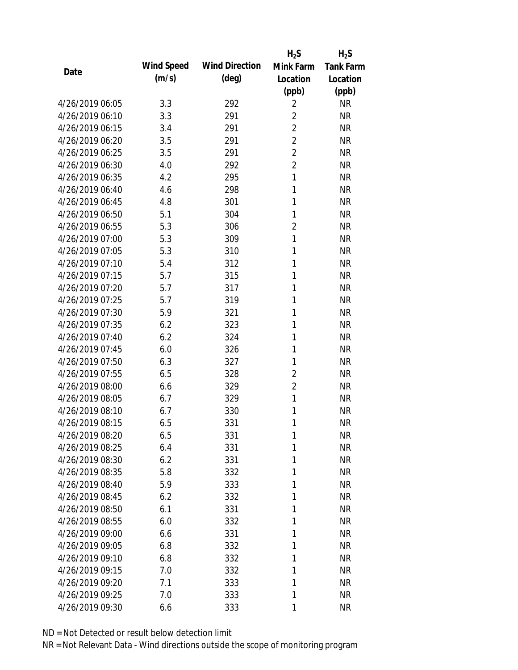|                 |            |                       | $H_2S$         | $H_2S$           |
|-----------------|------------|-----------------------|----------------|------------------|
| Date            | Wind Speed | <b>Wind Direction</b> | Mink Farm      | <b>Tank Farm</b> |
|                 | (m/s)      | $(\text{deg})$        | Location       | Location         |
|                 |            |                       | (ppb)          | (ppb)            |
| 4/26/2019 06:05 | 3.3        | 292                   | $\overline{2}$ | <b>NR</b>        |
| 4/26/2019 06:10 | 3.3        | 291                   | $\overline{2}$ | <b>NR</b>        |
| 4/26/2019 06:15 | 3.4        | 291                   | $\overline{2}$ | <b>NR</b>        |
| 4/26/2019 06:20 | 3.5        | 291                   | $\overline{2}$ | <b>NR</b>        |
| 4/26/2019 06:25 | 3.5        | 291                   | $\overline{2}$ | <b>NR</b>        |
| 4/26/2019 06:30 | 4.0        | 292                   | $\overline{2}$ | <b>NR</b>        |
| 4/26/2019 06:35 | 4.2        | 295                   | 1              | <b>NR</b>        |
| 4/26/2019 06:40 | 4.6        | 298                   | 1              | <b>NR</b>        |
| 4/26/2019 06:45 | 4.8        | 301                   | 1              | <b>NR</b>        |
| 4/26/2019 06:50 | 5.1        | 304                   | 1              | <b>NR</b>        |
| 4/26/2019 06:55 | 5.3        | 306                   | $\overline{2}$ | <b>NR</b>        |
| 4/26/2019 07:00 | 5.3        | 309                   | 1              | <b>NR</b>        |
| 4/26/2019 07:05 | 5.3        | 310                   | 1              | <b>NR</b>        |
| 4/26/2019 07:10 | 5.4        | 312                   | 1              | <b>NR</b>        |
| 4/26/2019 07:15 | 5.7        | 315                   | 1              | <b>NR</b>        |
| 4/26/2019 07:20 | 5.7        | 317                   | 1              | <b>NR</b>        |
| 4/26/2019 07:25 | 5.7        | 319                   | 1              | <b>NR</b>        |
| 4/26/2019 07:30 | 5.9        | 321                   | 1              | <b>NR</b>        |
| 4/26/2019 07:35 | 6.2        | 323                   | 1              | <b>NR</b>        |
| 4/26/2019 07:40 | 6.2        | 324                   | 1              | <b>NR</b>        |
| 4/26/2019 07:45 | 6.0        | 326                   | 1              | <b>NR</b>        |
| 4/26/2019 07:50 | 6.3        | 327                   | 1              | <b>NR</b>        |
| 4/26/2019 07:55 | 6.5        | 328                   | 2              | <b>NR</b>        |
| 4/26/2019 08:00 | 6.6        | 329                   | $\overline{2}$ | <b>NR</b>        |
| 4/26/2019 08:05 | 6.7        | 329                   | 1              | <b>NR</b>        |
| 4/26/2019 08:10 | 6.7        | 330                   | 1              | <b>NR</b>        |
| 4/26/2019 08:15 | 6.5        | 331                   | 1              | <b>NR</b>        |
| 4/26/2019 08:20 | 6.5        | 331                   | 1              | <b>NR</b>        |
| 4/26/2019 08:25 | 6.4        | 331                   | 1              | <b>NR</b>        |
| 4/26/2019 08:30 | 6.2        | 331                   | 1              | <b>NR</b>        |
| 4/26/2019 08:35 | 5.8        | 332                   | 1              | <b>NR</b>        |
| 4/26/2019 08:40 | 5.9        | 333                   | 1              | <b>NR</b>        |
| 4/26/2019 08:45 | 6.2        | 332                   | 1              | <b>NR</b>        |
| 4/26/2019 08:50 | 6.1        | 331                   | 1              | <b>NR</b>        |
| 4/26/2019 08:55 | 6.0        | 332                   | 1              | <b>NR</b>        |
| 4/26/2019 09:00 | 6.6        | 331                   | 1              | <b>NR</b>        |
| 4/26/2019 09:05 | 6.8        | 332                   | 1              | <b>NR</b>        |
| 4/26/2019 09:10 | 6.8        | 332                   | 1              | <b>NR</b>        |
| 4/26/2019 09:15 | 7.0        | 332                   | 1              | <b>NR</b>        |
| 4/26/2019 09:20 | 7.1        | 333                   | 1              | <b>NR</b>        |
| 4/26/2019 09:25 | 7.0        | 333                   | 1              | <b>NR</b>        |
| 4/26/2019 09:30 | 6.6        | 333                   | 1              | <b>NR</b>        |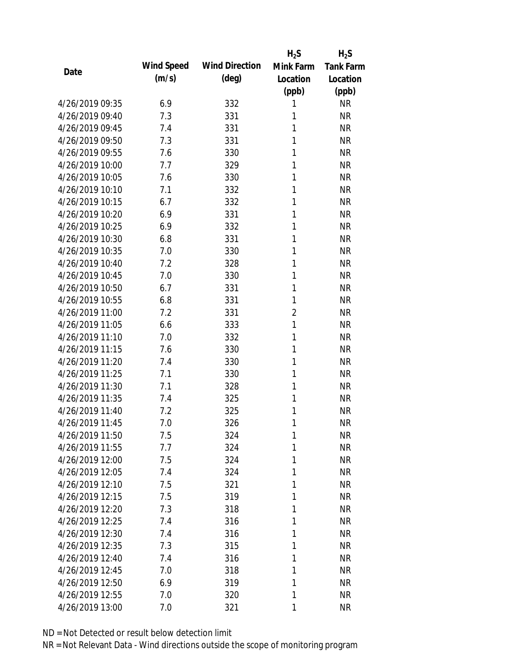|                 |            |                       | $H_2S$         | $H_2S$           |
|-----------------|------------|-----------------------|----------------|------------------|
| Date            | Wind Speed | <b>Wind Direction</b> | Mink Farm      | <b>Tank Farm</b> |
|                 | (m/s)      | $(\text{deg})$        | Location       | Location         |
|                 |            |                       | (ppb)          | (ppb)            |
| 4/26/2019 09:35 | 6.9        | 332                   | 1              | <b>NR</b>        |
| 4/26/2019 09:40 | 7.3        | 331                   | 1              | <b>NR</b>        |
| 4/26/2019 09:45 | 7.4        | 331                   | 1              | <b>NR</b>        |
| 4/26/2019 09:50 | 7.3        | 331                   | 1              | <b>NR</b>        |
| 4/26/2019 09:55 | 7.6        | 330                   | 1              | <b>NR</b>        |
| 4/26/2019 10:00 | 7.7        | 329                   | 1              | <b>NR</b>        |
| 4/26/2019 10:05 | 7.6        | 330                   | 1              | <b>NR</b>        |
| 4/26/2019 10:10 | 7.1        | 332                   | 1              | <b>NR</b>        |
| 4/26/2019 10:15 | 6.7        | 332                   | 1              | <b>NR</b>        |
| 4/26/2019 10:20 | 6.9        | 331                   | 1              | <b>NR</b>        |
| 4/26/2019 10:25 | 6.9        | 332                   | 1              | <b>NR</b>        |
| 4/26/2019 10:30 | 6.8        | 331                   | 1              | <b>NR</b>        |
| 4/26/2019 10:35 | 7.0        | 330                   | 1              | <b>NR</b>        |
| 4/26/2019 10:40 | 7.2        | 328                   | 1              | <b>NR</b>        |
| 4/26/2019 10:45 | 7.0        | 330                   | 1              | <b>NR</b>        |
| 4/26/2019 10:50 | 6.7        | 331                   | 1              | <b>NR</b>        |
| 4/26/2019 10:55 | 6.8        | 331                   | 1              | <b>NR</b>        |
| 4/26/2019 11:00 | 7.2        | 331                   | $\overline{2}$ | <b>NR</b>        |
| 4/26/2019 11:05 | 6.6        | 333                   | 1              | <b>NR</b>        |
| 4/26/2019 11:10 | 7.0        | 332                   | 1              | <b>NR</b>        |
| 4/26/2019 11:15 | 7.6        | 330                   | 1              | <b>NR</b>        |
| 4/26/2019 11:20 | 7.4        | 330                   | 1              | <b>NR</b>        |
| 4/26/2019 11:25 | 7.1        | 330                   | 1              | <b>NR</b>        |
| 4/26/2019 11:30 | 7.1        | 328                   | 1              | <b>NR</b>        |
| 4/26/2019 11:35 | 7.4        | 325                   | 1              | <b>NR</b>        |
| 4/26/2019 11:40 | 7.2        | 325                   | 1              | <b>NR</b>        |
| 4/26/2019 11:45 | 7.0        | 326                   | 1              | <b>NR</b>        |
| 4/26/2019 11:50 | 7.5        | 324                   | 1              | <b>NR</b>        |
| 4/26/2019 11:55 | 7.7        | 324                   | 1              | <b>NR</b>        |
| 4/26/2019 12:00 | 7.5        | 324                   | 1              | <b>NR</b>        |
| 4/26/2019 12:05 | 7.4        | 324                   | 1              | <b>NR</b>        |
| 4/26/2019 12:10 | 7.5        | 321                   | 1              | <b>NR</b>        |
| 4/26/2019 12:15 | 7.5        | 319                   | 1              | <b>NR</b>        |
| 4/26/2019 12:20 | 7.3        | 318                   | 1              | <b>NR</b>        |
| 4/26/2019 12:25 | 7.4        | 316                   | 1              | <b>NR</b>        |
| 4/26/2019 12:30 | 7.4        | 316                   | 1              | <b>NR</b>        |
| 4/26/2019 12:35 | 7.3        |                       | 1              | <b>NR</b>        |
| 4/26/2019 12:40 | 7.4        | 315<br>316            | 1              | <b>NR</b>        |
| 4/26/2019 12:45 | 7.0        |                       | 1              | <b>NR</b>        |
| 4/26/2019 12:50 |            | 318                   | 1              | <b>NR</b>        |
|                 | 6.9        | 319                   |                |                  |
| 4/26/2019 12:55 | 7.0        | 320                   | 1              | <b>NR</b>        |
| 4/26/2019 13:00 | 7.0        | 321                   | 1              | <b>NR</b>        |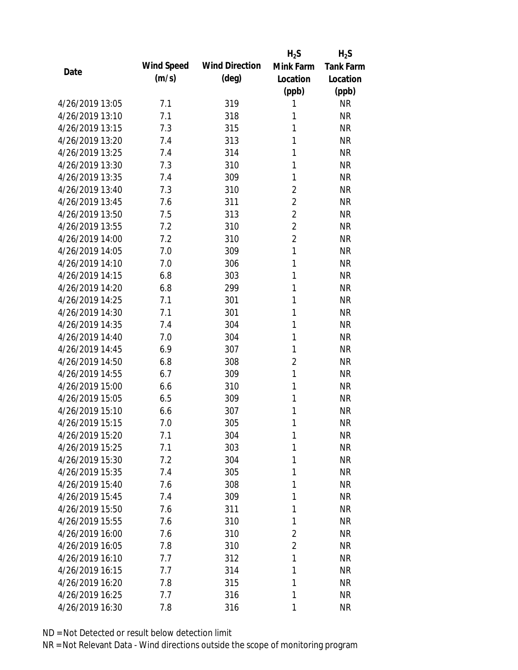|                 |            |                       | $H_2S$         | $H_2S$           |
|-----------------|------------|-----------------------|----------------|------------------|
| Date            | Wind Speed | <b>Wind Direction</b> | Mink Farm      | <b>Tank Farm</b> |
|                 | (m/s)      | $(\text{deg})$        | Location       | Location         |
|                 |            |                       | (ppb)          | (ppb)            |
| 4/26/2019 13:05 | 7.1        | 319                   | 1              | <b>NR</b>        |
| 4/26/2019 13:10 | 7.1        | 318                   | 1              | <b>NR</b>        |
| 4/26/2019 13:15 | 7.3        | 315                   | 1              | <b>NR</b>        |
| 4/26/2019 13:20 | 7.4        | 313                   | 1              | <b>NR</b>        |
| 4/26/2019 13:25 | 7.4        | 314                   | 1              | <b>NR</b>        |
| 4/26/2019 13:30 | 7.3        | 310                   | 1              | <b>NR</b>        |
| 4/26/2019 13:35 | 7.4        | 309                   | 1              | <b>NR</b>        |
| 4/26/2019 13:40 | 7.3        | 310                   | $\overline{2}$ | <b>NR</b>        |
| 4/26/2019 13:45 | 7.6        | 311                   | $\overline{2}$ | <b>NR</b>        |
| 4/26/2019 13:50 | 7.5        | 313                   | $\overline{2}$ | <b>NR</b>        |
| 4/26/2019 13:55 | 7.2        | 310                   | $\overline{2}$ | <b>NR</b>        |
| 4/26/2019 14:00 | 7.2        | 310                   | $\overline{2}$ | <b>NR</b>        |
| 4/26/2019 14:05 | 7.0        | 309                   | 1              | <b>NR</b>        |
| 4/26/2019 14:10 | 7.0        | 306                   | 1              | <b>NR</b>        |
| 4/26/2019 14:15 | 6.8        | 303                   | 1              | <b>NR</b>        |
| 4/26/2019 14:20 | 6.8        | 299                   | 1              | <b>NR</b>        |
| 4/26/2019 14:25 | 7.1        | 301                   | 1              | <b>NR</b>        |
| 4/26/2019 14:30 | 7.1        | 301                   | 1              | <b>NR</b>        |
| 4/26/2019 14:35 | 7.4        | 304                   | 1              | <b>NR</b>        |
| 4/26/2019 14:40 | 7.0        | 304                   | 1              | <b>NR</b>        |
| 4/26/2019 14:45 | 6.9        | 307                   | 1              | <b>NR</b>        |
| 4/26/2019 14:50 | 6.8        | 308                   | $\overline{2}$ | <b>NR</b>        |
| 4/26/2019 14:55 | 6.7        | 309                   | $\mathbf{1}$   | <b>NR</b>        |
| 4/26/2019 15:00 | 6.6        | 310                   | 1              | <b>NR</b>        |
| 4/26/2019 15:05 | 6.5        | 309                   | 1              | <b>NR</b>        |
| 4/26/2019 15:10 | 6.6        | 307                   | 1              | <b>NR</b>        |
| 4/26/2019 15:15 | 7.0        | 305                   | 1              | <b>NR</b>        |
| 4/26/2019 15:20 | 7.1        | 304                   | 1              | <b>NR</b>        |
| 4/26/2019 15:25 | 7.1        | 303                   | 1              | <b>NR</b>        |
| 4/26/2019 15:30 | 7.2        | 304                   | 1              | <b>NR</b>        |
| 4/26/2019 15:35 | 7.4        | 305                   | 1              | <b>NR</b>        |
| 4/26/2019 15:40 | 7.6        | 308                   | 1              | <b>NR</b>        |
| 4/26/2019 15:45 | 7.4        | 309                   | 1              | <b>NR</b>        |
| 4/26/2019 15:50 | 7.6        | 311                   | 1              | <b>NR</b>        |
| 4/26/2019 15:55 | 7.6        | 310                   | 1              | <b>NR</b>        |
| 4/26/2019 16:00 | 7.6        | 310                   | 2              | <b>NR</b>        |
| 4/26/2019 16:05 | 7.8        | 310                   | $\overline{2}$ | <b>NR</b>        |
| 4/26/2019 16:10 | 7.7        | 312                   | 1              | <b>NR</b>        |
| 4/26/2019 16:15 | 7.7        | 314                   | 1              | <b>NR</b>        |
| 4/26/2019 16:20 | 7.8        | 315                   | 1              | <b>NR</b>        |
| 4/26/2019 16:25 | 7.7        | 316                   | 1              | <b>NR</b>        |
| 4/26/2019 16:30 | 7.8        | 316                   | 1              | <b>NR</b>        |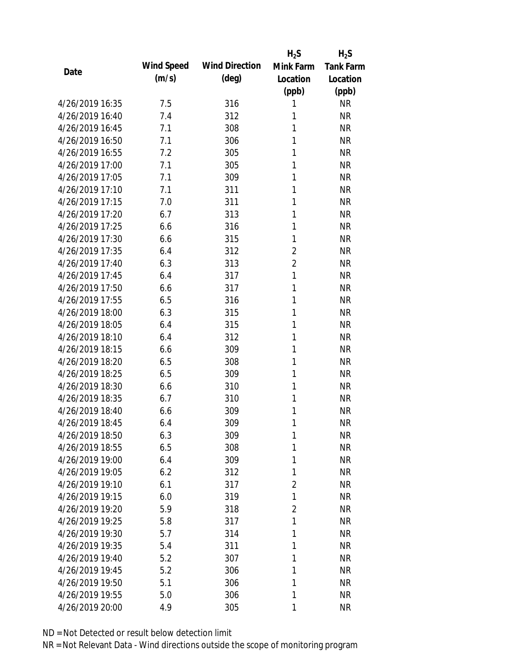|                 |            |                       | $H_2S$       | $H_2S$           |
|-----------------|------------|-----------------------|--------------|------------------|
| Date            | Wind Speed | <b>Wind Direction</b> | Mink Farm    | <b>Tank Farm</b> |
|                 | (m/s)      | $(\text{deg})$        | Location     | Location         |
|                 |            |                       | (ppb)        | (ppb)            |
| 4/26/2019 16:35 | 7.5        | 316                   | 1            | <b>NR</b>        |
| 4/26/2019 16:40 | 7.4        | 312                   | 1            | <b>NR</b>        |
| 4/26/2019 16:45 | 7.1        | 308                   | 1            | <b>NR</b>        |
| 4/26/2019 16:50 | 7.1        | 306                   | 1            | <b>NR</b>        |
| 4/26/2019 16:55 | 7.2        | 305                   | 1            | <b>NR</b>        |
| 4/26/2019 17:00 | 7.1        | 305                   | 1            | <b>NR</b>        |
| 4/26/2019 17:05 | 7.1        | 309                   | 1            | <b>NR</b>        |
| 4/26/2019 17:10 | 7.1        | 311                   | 1            | <b>NR</b>        |
| 4/26/2019 17:15 | 7.0        | 311                   | 1            | <b>NR</b>        |
| 4/26/2019 17:20 | 6.7        | 313                   | 1            | <b>NR</b>        |
| 4/26/2019 17:25 | 6.6        | 316                   | 1            | <b>NR</b>        |
| 4/26/2019 17:30 | 6.6        | 315                   | 1            | <b>NR</b>        |
| 4/26/2019 17:35 | 6.4        | 312                   | 2            | <b>NR</b>        |
| 4/26/2019 17:40 | 6.3        | 313                   | 2            | <b>NR</b>        |
| 4/26/2019 17:45 | 6.4        | 317                   | $\mathbf{1}$ | <b>NR</b>        |
| 4/26/2019 17:50 | 6.6        | 317                   | 1            | <b>NR</b>        |
| 4/26/2019 17:55 | 6.5        | 316                   | 1            | <b>NR</b>        |
| 4/26/2019 18:00 | 6.3        | 315                   | 1            | <b>NR</b>        |
| 4/26/2019 18:05 | 6.4        | 315                   | 1            | <b>NR</b>        |
| 4/26/2019 18:10 | 6.4        | 312                   | 1            | <b>NR</b>        |
| 4/26/2019 18:15 | 6.6        | 309                   | 1            | <b>NR</b>        |
| 4/26/2019 18:20 | 6.5        | 308                   | 1            | <b>NR</b>        |
| 4/26/2019 18:25 | 6.5        | 309                   | 1            | <b>NR</b>        |
| 4/26/2019 18:30 | 6.6        | 310                   | 1            | <b>NR</b>        |
| 4/26/2019 18:35 | 6.7        | 310                   | 1            | <b>NR</b>        |
| 4/26/2019 18:40 | 6.6        | 309                   | 1            | <b>NR</b>        |
| 4/26/2019 18:45 | 6.4        | 309                   | 1            | <b>NR</b>        |
| 4/26/2019 18:50 | 6.3        | 309                   | 1            | <b>NR</b>        |
| 4/26/2019 18:55 | 6.5        | 308                   | 1            | <b>NR</b>        |
| 4/26/2019 19:00 | 6.4        | 309                   | 1            | <b>NR</b>        |
| 4/26/2019 19:05 | 6.2        | 312                   | 1            | <b>NR</b>        |
| 4/26/2019 19:10 | 6.1        | 317                   | 2            | <b>NR</b>        |
| 4/26/2019 19:15 | 6.0        | 319                   | 1            | <b>NR</b>        |
| 4/26/2019 19:20 | 5.9        | 318                   | 2            | <b>NR</b>        |
| 4/26/2019 19:25 | 5.8        | 317                   | 1            | <b>NR</b>        |
| 4/26/2019 19:30 | 5.7        | 314                   | 1            | <b>NR</b>        |
| 4/26/2019 19:35 | 5.4        | 311                   | 1            | <b>NR</b>        |
| 4/26/2019 19:40 | 5.2        | 307                   | 1            | <b>NR</b>        |
| 4/26/2019 19:45 | 5.2        | 306                   | 1            | <b>NR</b>        |
| 4/26/2019 19:50 | 5.1        | 306                   | 1            | <b>NR</b>        |
| 4/26/2019 19:55 | 5.0        | 306                   | 1            | <b>NR</b>        |
| 4/26/2019 20:00 | 4.9        | 305                   | 1            | <b>NR</b>        |
|                 |            |                       |              |                  |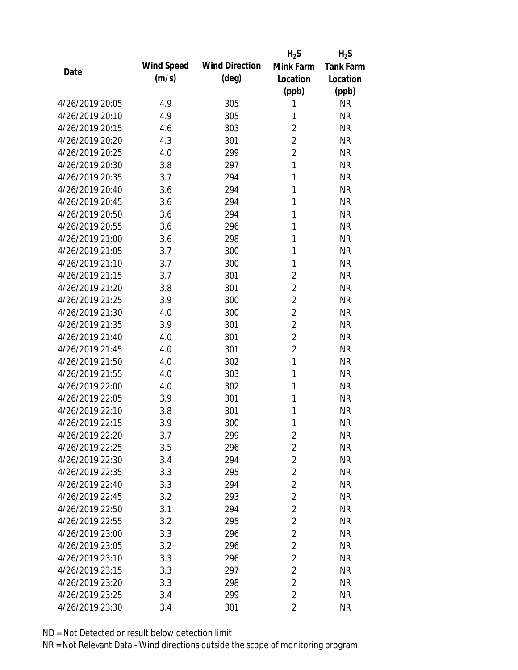|                 |            |                       | $H_2S$         | $H_2S$           |
|-----------------|------------|-----------------------|----------------|------------------|
| Date            | Wind Speed | <b>Wind Direction</b> | Mink Farm      | <b>Tank Farm</b> |
|                 | (m/s)      | $(\text{deg})$        | Location       | Location         |
|                 |            |                       | (ppb)          | (ppb)            |
| 4/26/2019 20:05 | 4.9        | 305                   | 1              | <b>NR</b>        |
| 4/26/2019 20:10 | 4.9        | 305                   | 1              | <b>NR</b>        |
| 4/26/2019 20:15 | 4.6        | 303                   | $\overline{2}$ | <b>NR</b>        |
| 4/26/2019 20:20 | 4.3        | 301                   | $\overline{2}$ | <b>NR</b>        |
| 4/26/2019 20:25 | 4.0        | 299                   | $\overline{2}$ | <b>NR</b>        |
| 4/26/2019 20:30 | 3.8        | 297                   | 1              | <b>NR</b>        |
| 4/26/2019 20:35 | 3.7        | 294                   | 1              | <b>NR</b>        |
| 4/26/2019 20:40 | 3.6        | 294                   | 1              | <b>NR</b>        |
| 4/26/2019 20:45 | 3.6        | 294                   | 1              | <b>NR</b>        |
| 4/26/2019 20:50 | 3.6        | 294                   | 1              | <b>NR</b>        |
| 4/26/2019 20:55 | 3.6        | 296                   | 1              | <b>NR</b>        |
| 4/26/2019 21:00 | 3.6        | 298                   | 1              | <b>NR</b>        |
| 4/26/2019 21:05 | 3.7        | 300                   | 1              | <b>NR</b>        |
| 4/26/2019 21:10 | 3.7        | 300                   | 1              | <b>NR</b>        |
| 4/26/2019 21:15 | 3.7        | 301                   | $\overline{2}$ | <b>NR</b>        |
| 4/26/2019 21:20 | 3.8        | 301                   | 2              | <b>NR</b>        |
| 4/26/2019 21:25 | 3.9        | 300                   | $\overline{2}$ | <b>NR</b>        |
| 4/26/2019 21:30 | 4.0        | 300                   | $\overline{2}$ | <b>NR</b>        |
| 4/26/2019 21:35 | 3.9        | 301                   | $\overline{2}$ | <b>NR</b>        |
| 4/26/2019 21:40 | 4.0        | 301                   | $\overline{2}$ | <b>NR</b>        |
| 4/26/2019 21:45 | 4.0        | 301                   | $\overline{2}$ | <b>NR</b>        |
| 4/26/2019 21:50 | 4.0        | 302                   | 1              | <b>NR</b>        |
| 4/26/2019 21:55 | 4.0        | 303                   | 1              | <b>NR</b>        |
| 4/26/2019 22:00 | 4.0        | 302                   | 1              | <b>NR</b>        |
| 4/26/2019 22:05 | 3.9        | 301                   | 1              | <b>NR</b>        |
| 4/26/2019 22:10 | 3.8        | 301                   | 1              | <b>NR</b>        |
| 4/26/2019 22:15 | 3.9        | 300                   | 1              | <b>NR</b>        |
| 4/26/2019 22:20 | 3.7        | 299                   | 2              | <b>NR</b>        |
| 4/26/2019 22:25 | 3.5        | 296                   | $\overline{2}$ | <b>NR</b>        |
| 4/26/2019 22:30 | 3.4        | 294                   | 2              | <b>NR</b>        |
| 4/26/2019 22:35 | 3.3        | 295                   | $\overline{2}$ | <b>NR</b>        |
| 4/26/2019 22:40 | 3.3        | 294                   | 2              | <b>NR</b>        |
| 4/26/2019 22:45 | 3.2        | 293                   | $\overline{2}$ | <b>NR</b>        |
| 4/26/2019 22:50 | 3.1        | 294                   | $\overline{2}$ | <b>NR</b>        |
| 4/26/2019 22:55 | 3.2        | 295                   | $\overline{2}$ | <b>NR</b>        |
| 4/26/2019 23:00 | 3.3        | 296                   | $\overline{2}$ | <b>NR</b>        |
| 4/26/2019 23:05 | 3.2        | 296                   | $\overline{2}$ | <b>NR</b>        |
| 4/26/2019 23:10 | 3.3        | 296                   | $\overline{2}$ | <b>NR</b>        |
| 4/26/2019 23:15 | 3.3        | 297                   | $\overline{2}$ | <b>NR</b>        |
| 4/26/2019 23:20 | 3.3        | 298                   | $\overline{2}$ | <b>NR</b>        |
| 4/26/2019 23:25 | 3.4        | 299                   | $\overline{2}$ | <b>NR</b>        |
| 4/26/2019 23:30 | 3.4        | 301                   | $\overline{2}$ | <b>NR</b>        |
|                 |            |                       |                |                  |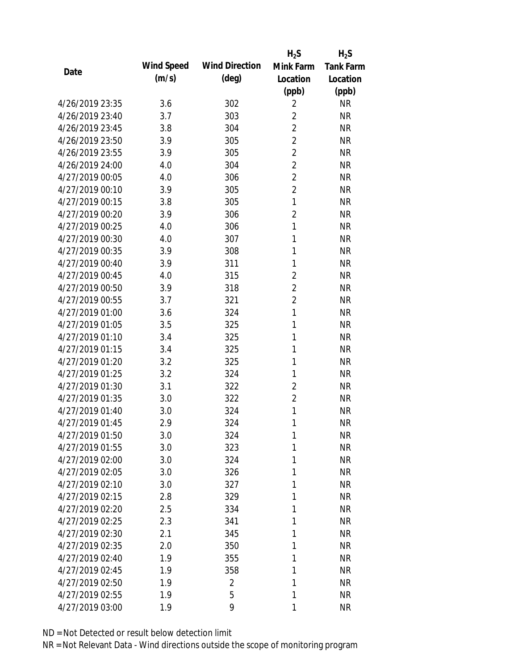|                 |            |                       | $H_2S$         | $H_2S$           |
|-----------------|------------|-----------------------|----------------|------------------|
| Date            | Wind Speed | <b>Wind Direction</b> | Mink Farm      | <b>Tank Farm</b> |
|                 | (m/s)      | $(\text{deg})$        | Location       | Location         |
|                 |            |                       | (ppb)          | (ppb)            |
| 4/26/2019 23:35 | 3.6        | 302                   | 2              | <b>NR</b>        |
| 4/26/2019 23:40 | 3.7        | 303                   | $\overline{2}$ | <b>NR</b>        |
| 4/26/2019 23:45 | 3.8        | 304                   | $\overline{2}$ | <b>NR</b>        |
| 4/26/2019 23:50 | 3.9        | 305                   | $\overline{2}$ | <b>NR</b>        |
| 4/26/2019 23:55 | 3.9        | 305                   | $\overline{2}$ | <b>NR</b>        |
| 4/26/2019 24:00 | 4.0        | 304                   | $\overline{2}$ | <b>NR</b>        |
| 4/27/2019 00:05 | 4.0        | 306                   | $\overline{2}$ | <b>NR</b>        |
| 4/27/2019 00:10 | 3.9        | 305                   | $\overline{2}$ | <b>NR</b>        |
| 4/27/2019 00:15 | 3.8        | 305                   | $\mathbf{1}$   | <b>NR</b>        |
| 4/27/2019 00:20 | 3.9        | 306                   | $\overline{2}$ | <b>NR</b>        |
| 4/27/2019 00:25 | 4.0        | 306                   | $\mathbf{1}$   | <b>NR</b>        |
| 4/27/2019 00:30 | 4.0        | 307                   | 1              | <b>NR</b>        |
| 4/27/2019 00:35 | 3.9        | 308                   | 1              | <b>NR</b>        |
| 4/27/2019 00:40 | 3.9        | 311                   | 1              | <b>NR</b>        |
| 4/27/2019 00:45 | 4.0        | 315                   | $\overline{2}$ | <b>NR</b>        |
| 4/27/2019 00:50 | 3.9        | 318                   | $\overline{2}$ | <b>NR</b>        |
| 4/27/2019 00:55 | 3.7        | 321                   | $\overline{2}$ | <b>NR</b>        |
| 4/27/2019 01:00 | 3.6        | 324                   | $\mathbf{1}$   | <b>NR</b>        |
| 4/27/2019 01:05 | 3.5        | 325                   | $\mathbf{1}$   | <b>NR</b>        |
| 4/27/2019 01:10 | 3.4        | 325                   | 1              | <b>NR</b>        |
| 4/27/2019 01:15 | 3.4        | 325                   | 1              | <b>NR</b>        |
| 4/27/2019 01:20 | 3.2        | 325                   | 1              | <b>NR</b>        |
| 4/27/2019 01:25 | 3.2        | 324                   | 1              | <b>NR</b>        |
| 4/27/2019 01:30 | 3.1        | 322                   | $\overline{2}$ | <b>NR</b>        |
| 4/27/2019 01:35 | 3.0        | 322                   | $\overline{2}$ | <b>NR</b>        |
| 4/27/2019 01:40 | 3.0        | 324                   | 1              | <b>NR</b>        |
| 4/27/2019 01:45 | 2.9        | 324                   | 1              | <b>NR</b>        |
| 4/27/2019 01:50 | 3.0        | 324                   | 1              | <b>NR</b>        |
| 4/27/2019 01:55 | 3.0        | 323                   | 1              | <b>NR</b>        |
| 4/27/2019 02:00 | 3.0        | 324                   | 1              | <b>NR</b>        |
| 4/27/2019 02:05 | 3.0        | 326                   | 1              | <b>NR</b>        |
| 4/27/2019 02:10 | 3.0        | 327                   | 1              | <b>NR</b>        |
| 4/27/2019 02:15 | 2.8        | 329                   | 1              | <b>NR</b>        |
| 4/27/2019 02:20 | 2.5        | 334                   | 1              | <b>NR</b>        |
| 4/27/2019 02:25 | 2.3        | 341                   | 1              | <b>NR</b>        |
| 4/27/2019 02:30 | 2.1        | 345                   | 1              | <b>NR</b>        |
| 4/27/2019 02:35 | 2.0        | 350                   | 1              | <b>NR</b>        |
| 4/27/2019 02:40 | 1.9        | 355                   | 1              | <b>NR</b>        |
| 4/27/2019 02:45 | 1.9        | 358                   | 1              | <b>NR</b>        |
| 4/27/2019 02:50 | 1.9        | 2                     | 1              | <b>NR</b>        |
| 4/27/2019 02:55 | 1.9        | 5                     | 1              | <b>NR</b>        |
| 4/27/2019 03:00 | 1.9        | 9                     | 1              | <b>NR</b>        |
|                 |            |                       |                |                  |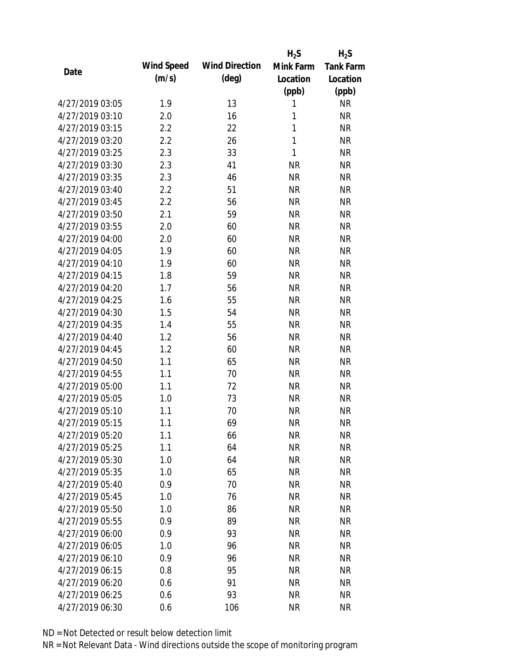|                 |            |                       | $H_2S$       | $H_2S$           |
|-----------------|------------|-----------------------|--------------|------------------|
| Date            | Wind Speed | <b>Wind Direction</b> | Mink Farm    | <b>Tank Farm</b> |
|                 | (m/s)      | $(\text{deg})$        | Location     | Location         |
|                 |            |                       | (ppb)        | (ppb)            |
| 4/27/2019 03:05 | 1.9        | 13                    | 1            | <b>NR</b>        |
| 4/27/2019 03:10 | 2.0        | 16                    | 1            | <b>NR</b>        |
| 4/27/2019 03:15 | 2.2        | 22                    | 1            | <b>NR</b>        |
| 4/27/2019 03:20 | 2.2        | 26                    | $\mathbf{1}$ | <b>NR</b>        |
| 4/27/2019 03:25 | 2.3        | 33                    | 1            | <b>NR</b>        |
| 4/27/2019 03:30 | 2.3        | 41                    | <b>NR</b>    | <b>NR</b>        |
| 4/27/2019 03:35 | 2.3        | 46                    | <b>NR</b>    | <b>NR</b>        |
| 4/27/2019 03:40 | 2.2        | 51                    | <b>NR</b>    | <b>NR</b>        |
| 4/27/2019 03:45 | 2.2        | 56                    | <b>NR</b>    | <b>NR</b>        |
| 4/27/2019 03:50 | 2.1        | 59                    | <b>NR</b>    | <b>NR</b>        |
| 4/27/2019 03:55 | 2.0        | 60                    | <b>NR</b>    | <b>NR</b>        |
| 4/27/2019 04:00 | 2.0        | 60                    | <b>NR</b>    | <b>NR</b>        |
| 4/27/2019 04:05 | 1.9        | 60                    | <b>NR</b>    | <b>NR</b>        |
| 4/27/2019 04:10 | 1.9        | 60                    | <b>NR</b>    | <b>NR</b>        |
| 4/27/2019 04:15 | 1.8        | 59                    | <b>NR</b>    | <b>NR</b>        |
| 4/27/2019 04:20 | 1.7        | 56                    | <b>NR</b>    | <b>NR</b>        |
| 4/27/2019 04:25 | 1.6        | 55                    | <b>NR</b>    | <b>NR</b>        |
| 4/27/2019 04:30 | 1.5        | 54                    | <b>NR</b>    | <b>NR</b>        |
| 4/27/2019 04:35 | 1.4        | 55                    | <b>NR</b>    | <b>NR</b>        |
| 4/27/2019 04:40 | 1.2        | 56                    | <b>NR</b>    | <b>NR</b>        |
| 4/27/2019 04:45 | 1.2        | 60                    | <b>NR</b>    | <b>NR</b>        |
| 4/27/2019 04:50 | 1.1        | 65                    | <b>NR</b>    | <b>NR</b>        |
| 4/27/2019 04:55 | 1.1        | 70                    | <b>NR</b>    | <b>NR</b>        |
| 4/27/2019 05:00 | 1.1        | 72                    | <b>NR</b>    | <b>NR</b>        |
| 4/27/2019 05:05 | 1.0        | 73                    | <b>NR</b>    | <b>NR</b>        |
| 4/27/2019 05:10 | 1.1        | 70                    | <b>NR</b>    | <b>NR</b>        |
| 4/27/2019 05:15 | 1.1        | 69                    | <b>NR</b>    | <b>NR</b>        |
| 4/27/2019 05:20 | 1.1        | 66                    | <b>NR</b>    | <b>NR</b>        |
| 4/27/2019 05:25 | 1.1        | 64                    | <b>NR</b>    | <b>NR</b>        |
| 4/27/2019 05:30 | 1.0        | 64                    | NR           | <b>NR</b>        |
| 4/27/2019 05:35 | 1.0        | 65                    | <b>NR</b>    | <b>NR</b>        |
| 4/27/2019 05:40 | 0.9        | 70                    | <b>NR</b>    | <b>NR</b>        |
| 4/27/2019 05:45 | 1.0        | 76                    | <b>NR</b>    | <b>NR</b>        |
| 4/27/2019 05:50 | 1.0        | 86                    | <b>NR</b>    | <b>NR</b>        |
| 4/27/2019 05:55 | 0.9        | 89                    | <b>NR</b>    | <b>NR</b>        |
| 4/27/2019 06:00 | 0.9        | 93                    | <b>NR</b>    | <b>NR</b>        |
| 4/27/2019 06:05 | 1.0        | 96                    | <b>NR</b>    | <b>NR</b>        |
| 4/27/2019 06:10 | 0.9        | 96                    | <b>NR</b>    | <b>NR</b>        |
| 4/27/2019 06:15 | 0.8        | 95                    | <b>NR</b>    | <b>NR</b>        |
| 4/27/2019 06:20 | 0.6        | 91                    | <b>NR</b>    | <b>NR</b>        |
| 4/27/2019 06:25 | 0.6        | 93                    | <b>NR</b>    | <b>NR</b>        |
| 4/27/2019 06:30 | 0.6        | 106                   | <b>NR</b>    | <b>NR</b>        |
|                 |            |                       |              |                  |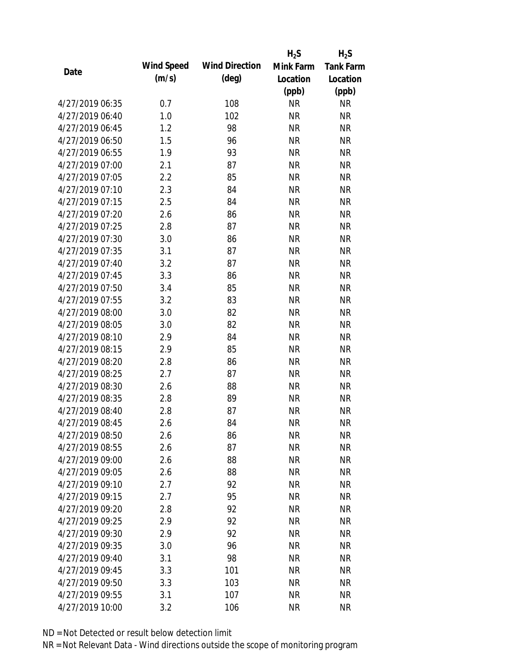|                 |            |                       | $H_2S$    | $H_2S$           |
|-----------------|------------|-----------------------|-----------|------------------|
|                 | Wind Speed | <b>Wind Direction</b> | Mink Farm | <b>Tank Farm</b> |
| Date            | (m/s)      | $(\text{deg})$        | Location  | Location         |
|                 |            |                       | (ppb)     | (ppb)            |
| 4/27/2019 06:35 | 0.7        | 108                   | <b>NR</b> | <b>NR</b>        |
| 4/27/2019 06:40 | 1.0        | 102                   | <b>NR</b> | <b>NR</b>        |
| 4/27/2019 06:45 | 1.2        | 98                    | <b>NR</b> | <b>NR</b>        |
| 4/27/2019 06:50 | 1.5        | 96                    | <b>NR</b> | <b>NR</b>        |
| 4/27/2019 06:55 | 1.9        | 93                    | <b>NR</b> | <b>NR</b>        |
| 4/27/2019 07:00 | 2.1        | 87                    | <b>NR</b> | <b>NR</b>        |
| 4/27/2019 07:05 | 2.2        | 85                    | <b>NR</b> | <b>NR</b>        |
| 4/27/2019 07:10 | 2.3        | 84                    | <b>NR</b> | <b>NR</b>        |
| 4/27/2019 07:15 | 2.5        | 84                    | <b>NR</b> | <b>NR</b>        |
| 4/27/2019 07:20 | 2.6        | 86                    | <b>NR</b> | <b>NR</b>        |
| 4/27/2019 07:25 | 2.8        | 87                    | <b>NR</b> | <b>NR</b>        |
| 4/27/2019 07:30 | 3.0        | 86                    | <b>NR</b> | <b>NR</b>        |
| 4/27/2019 07:35 | 3.1        | 87                    | <b>NR</b> | <b>NR</b>        |
| 4/27/2019 07:40 | 3.2        | 87                    | <b>NR</b> | <b>NR</b>        |
| 4/27/2019 07:45 | 3.3        | 86                    | <b>NR</b> | <b>NR</b>        |
| 4/27/2019 07:50 | 3.4        | 85                    | <b>NR</b> | <b>NR</b>        |
| 4/27/2019 07:55 | 3.2        | 83                    | <b>NR</b> | <b>NR</b>        |
| 4/27/2019 08:00 | 3.0        | 82                    | <b>NR</b> | <b>NR</b>        |
| 4/27/2019 08:05 | 3.0        | 82                    | <b>NR</b> | <b>NR</b>        |
| 4/27/2019 08:10 | 2.9        | 84                    | <b>NR</b> | <b>NR</b>        |
| 4/27/2019 08:15 | 2.9        | 85                    | <b>NR</b> | <b>NR</b>        |
| 4/27/2019 08:20 | 2.8        | 86                    | <b>NR</b> | <b>NR</b>        |
| 4/27/2019 08:25 | 2.7        | 87                    | <b>NR</b> | <b>NR</b>        |
| 4/27/2019 08:30 | 2.6        | 88                    | <b>NR</b> | <b>NR</b>        |
| 4/27/2019 08:35 | 2.8        | 89                    | <b>NR</b> | <b>NR</b>        |
| 4/27/2019 08:40 | 2.8        | 87                    | <b>NR</b> | <b>NR</b>        |
| 4/27/2019 08:45 | 2.6        | 84                    | <b>NR</b> | <b>NR</b>        |
| 4/27/2019 08:50 | 2.6        | 86                    | <b>NR</b> | <b>NR</b>        |
| 4/27/2019 08:55 | 2.6        | 87                    | <b>NR</b> | <b>NR</b>        |
| 4/27/2019 09:00 | 2.6        | 88                    | <b>NR</b> | <b>NR</b>        |
| 4/27/2019 09:05 | 2.6        | 88                    | <b>NR</b> | <b>NR</b>        |
| 4/27/2019 09:10 | 2.7        | 92                    | <b>NR</b> | <b>NR</b>        |
| 4/27/2019 09:15 | 2.7        | 95                    | <b>NR</b> | <b>NR</b>        |
| 4/27/2019 09:20 | 2.8        | 92                    | <b>NR</b> | <b>NR</b>        |
| 4/27/2019 09:25 | 2.9        | 92                    | <b>NR</b> | <b>NR</b>        |
| 4/27/2019 09:30 | 2.9        | 92                    | <b>NR</b> | <b>NR</b>        |
| 4/27/2019 09:35 | 3.0        | 96                    | <b>NR</b> | <b>NR</b>        |
| 4/27/2019 09:40 | 3.1        | 98                    | <b>NR</b> | <b>NR</b>        |
| 4/27/2019 09:45 | 3.3        | 101                   | <b>NR</b> | NR               |
| 4/27/2019 09:50 | 3.3        | 103                   | <b>NR</b> | NR               |
| 4/27/2019 09:55 | 3.1        | 107                   | <b>NR</b> | <b>NR</b>        |
| 4/27/2019 10:00 | 3.2        | 106                   | <b>NR</b> | <b>NR</b>        |
|                 |            |                       |           |                  |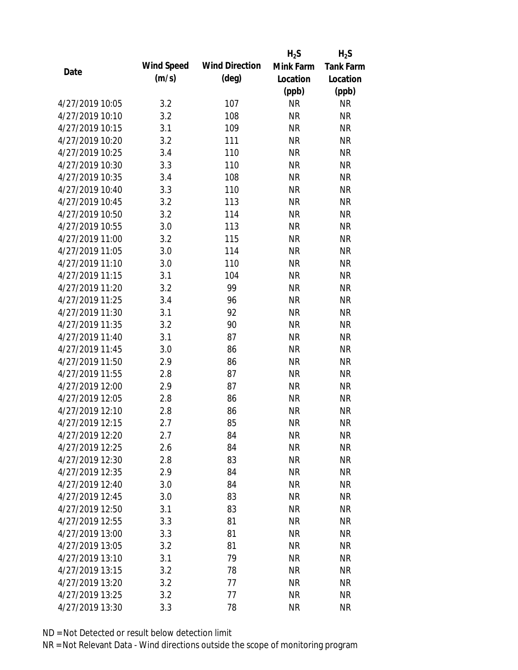|                 |            |                       | $H_2S$    | $H_2S$           |
|-----------------|------------|-----------------------|-----------|------------------|
| Date            | Wind Speed | <b>Wind Direction</b> | Mink Farm | <b>Tank Farm</b> |
|                 | (m/s)      | $(\text{deg})$        | Location  | Location         |
|                 |            |                       | (ppb)     | (ppb)            |
| 4/27/2019 10:05 | 3.2        | 107                   | <b>NR</b> | <b>NR</b>        |
| 4/27/2019 10:10 | 3.2        | 108                   | <b>NR</b> | <b>NR</b>        |
| 4/27/2019 10:15 | 3.1        | 109                   | <b>NR</b> | <b>NR</b>        |
| 4/27/2019 10:20 | 3.2        | 111                   | <b>NR</b> | <b>NR</b>        |
| 4/27/2019 10:25 | 3.4        | 110                   | <b>NR</b> | <b>NR</b>        |
| 4/27/2019 10:30 | 3.3        | 110                   | <b>NR</b> | <b>NR</b>        |
| 4/27/2019 10:35 | 3.4        | 108                   | <b>NR</b> | <b>NR</b>        |
| 4/27/2019 10:40 | 3.3        | 110                   | <b>NR</b> | <b>NR</b>        |
| 4/27/2019 10:45 | 3.2        | 113                   | <b>NR</b> | <b>NR</b>        |
| 4/27/2019 10:50 | 3.2        | 114                   | <b>NR</b> | <b>NR</b>        |
| 4/27/2019 10:55 | 3.0        | 113                   | <b>NR</b> | <b>NR</b>        |
| 4/27/2019 11:00 | 3.2        | 115                   | <b>NR</b> | <b>NR</b>        |
| 4/27/2019 11:05 | 3.0        | 114                   | <b>NR</b> | <b>NR</b>        |
| 4/27/2019 11:10 | 3.0        | 110                   | <b>NR</b> | <b>NR</b>        |
| 4/27/2019 11:15 | 3.1        | 104                   | <b>NR</b> | <b>NR</b>        |
| 4/27/2019 11:20 | 3.2        | 99                    | <b>NR</b> | <b>NR</b>        |
| 4/27/2019 11:25 | 3.4        | 96                    | <b>NR</b> | <b>NR</b>        |
| 4/27/2019 11:30 | 3.1        | 92                    | <b>NR</b> | <b>NR</b>        |
| 4/27/2019 11:35 | 3.2        | 90                    | <b>NR</b> | <b>NR</b>        |
| 4/27/2019 11:40 | 3.1        | 87                    | <b>NR</b> | <b>NR</b>        |
| 4/27/2019 11:45 | 3.0        | 86                    | <b>NR</b> | <b>NR</b>        |
| 4/27/2019 11:50 | 2.9        | 86                    | <b>NR</b> | <b>NR</b>        |
| 4/27/2019 11:55 | 2.8        | 87                    | <b>NR</b> | <b>NR</b>        |
| 4/27/2019 12:00 | 2.9        | 87                    | <b>NR</b> | <b>NR</b>        |
| 4/27/2019 12:05 | 2.8        | 86                    | <b>NR</b> | <b>NR</b>        |
| 4/27/2019 12:10 | 2.8        | 86                    | <b>NR</b> | <b>NR</b>        |
| 4/27/2019 12:15 | 2.7        | 85                    | <b>NR</b> | <b>NR</b>        |
| 4/27/2019 12:20 | 2.7        | 84                    | <b>NR</b> | <b>NR</b>        |
| 4/27/2019 12:25 | 2.6        | 84                    | <b>NR</b> | <b>NR</b>        |
| 4/27/2019 12:30 | 2.8        | 83                    | <b>NR</b> | <b>NR</b>        |
| 4/27/2019 12:35 | 2.9        | 84                    | <b>NR</b> | <b>NR</b>        |
| 4/27/2019 12:40 | 3.0        | 84                    | <b>NR</b> | NR               |
| 4/27/2019 12:45 | 3.0        | 83                    | <b>NR</b> | <b>NR</b>        |
| 4/27/2019 12:50 | 3.1        | 83                    | <b>NR</b> | <b>NR</b>        |
| 4/27/2019 12:55 | 3.3        | 81                    | <b>NR</b> | <b>NR</b>        |
| 4/27/2019 13:00 | 3.3        | 81                    | <b>NR</b> | <b>NR</b>        |
| 4/27/2019 13:05 | 3.2        | 81                    | <b>NR</b> | <b>NR</b>        |
| 4/27/2019 13:10 | 3.1        | 79                    | <b>NR</b> | <b>NR</b>        |
| 4/27/2019 13:15 | 3.2        | 78                    | <b>NR</b> | <b>NR</b>        |
| 4/27/2019 13:20 | 3.2        | 77                    | <b>NR</b> | <b>NR</b>        |
| 4/27/2019 13:25 | 3.2        | 77                    | <b>NR</b> | <b>NR</b>        |
| 4/27/2019 13:30 | 3.3        | 78                    | <b>NR</b> | <b>NR</b>        |
|                 |            |                       |           |                  |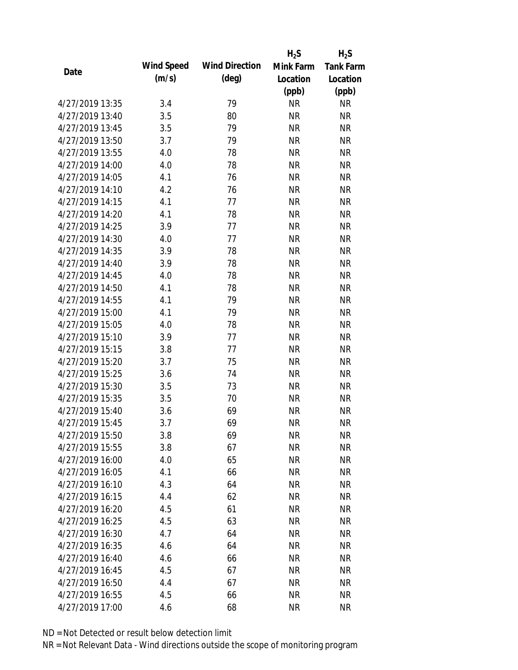|                 |            |                       | $H_2S$    | $H_2S$           |
|-----------------|------------|-----------------------|-----------|------------------|
| Date            | Wind Speed | <b>Wind Direction</b> | Mink Farm | <b>Tank Farm</b> |
|                 | (m/s)      | $(\text{deg})$        | Location  | Location         |
|                 |            |                       | (ppb)     | (ppb)            |
| 4/27/2019 13:35 | 3.4        | 79                    | <b>NR</b> | <b>NR</b>        |
| 4/27/2019 13:40 | 3.5        | 80                    | <b>NR</b> | <b>NR</b>        |
| 4/27/2019 13:45 | 3.5        | 79                    | <b>NR</b> | <b>NR</b>        |
| 4/27/2019 13:50 | 3.7        | 79                    | <b>NR</b> | <b>NR</b>        |
| 4/27/2019 13:55 | 4.0        | 78                    | <b>NR</b> | <b>NR</b>        |
| 4/27/2019 14:00 | 4.0        | 78                    | <b>NR</b> | <b>NR</b>        |
| 4/27/2019 14:05 | 4.1        | 76                    | <b>NR</b> | <b>NR</b>        |
| 4/27/2019 14:10 | 4.2        | 76                    | <b>NR</b> | <b>NR</b>        |
| 4/27/2019 14:15 | 4.1        | 77                    | <b>NR</b> | <b>NR</b>        |
| 4/27/2019 14:20 | 4.1        | 78                    | <b>NR</b> | <b>NR</b>        |
| 4/27/2019 14:25 | 3.9        | 77                    | <b>NR</b> | <b>NR</b>        |
| 4/27/2019 14:30 | 4.0        | 77                    | <b>NR</b> | <b>NR</b>        |
| 4/27/2019 14:35 | 3.9        | 78                    | <b>NR</b> | <b>NR</b>        |
| 4/27/2019 14:40 | 3.9        | 78                    | <b>NR</b> | <b>NR</b>        |
| 4/27/2019 14:45 | 4.0        | 78                    | <b>NR</b> | <b>NR</b>        |
| 4/27/2019 14:50 | 4.1        | 78                    | <b>NR</b> | <b>NR</b>        |
| 4/27/2019 14:55 | 4.1        | 79                    | <b>NR</b> | <b>NR</b>        |
| 4/27/2019 15:00 | 4.1        | 79                    | <b>NR</b> | <b>NR</b>        |
| 4/27/2019 15:05 | 4.0        | 78                    | <b>NR</b> | <b>NR</b>        |
| 4/27/2019 15:10 | 3.9        | 77                    | <b>NR</b> | <b>NR</b>        |
| 4/27/2019 15:15 | 3.8        | 77                    | <b>NR</b> | <b>NR</b>        |
| 4/27/2019 15:20 | 3.7        | 75                    | <b>NR</b> | <b>NR</b>        |
| 4/27/2019 15:25 | 3.6        | 74                    | <b>NR</b> | <b>NR</b>        |
| 4/27/2019 15:30 | 3.5        | 73                    | <b>NR</b> | <b>NR</b>        |
| 4/27/2019 15:35 | 3.5        | 70                    | <b>NR</b> | <b>NR</b>        |
| 4/27/2019 15:40 | 3.6        | 69                    | <b>NR</b> | <b>NR</b>        |
| 4/27/2019 15:45 | 3.7        | 69                    | <b>NR</b> | <b>NR</b>        |
| 4/27/2019 15:50 | 3.8        | 69                    | <b>NR</b> | <b>NR</b>        |
| 4/27/2019 15:55 | 3.8        | 67                    | <b>NR</b> | <b>NR</b>        |
| 4/27/2019 16:00 | 4.0        | 65                    | <b>NR</b> | <b>NR</b>        |
| 4/27/2019 16:05 | 4.1        | 66                    | <b>NR</b> | <b>NR</b>        |
| 4/27/2019 16:10 | 4.3        | 64                    | <b>NR</b> | NR               |
| 4/27/2019 16:15 | 4.4        | 62                    | <b>NR</b> | <b>NR</b>        |
| 4/27/2019 16:20 | 4.5        | 61                    | <b>NR</b> | <b>NR</b>        |
| 4/27/2019 16:25 | 4.5        | 63                    | <b>NR</b> | NR               |
| 4/27/2019 16:30 | 4.7        | 64                    | <b>NR</b> | <b>NR</b>        |
| 4/27/2019 16:35 | 4.6        | 64                    | <b>NR</b> | <b>NR</b>        |
| 4/27/2019 16:40 | 4.6        | 66                    | NR        | <b>NR</b>        |
| 4/27/2019 16:45 | 4.5        | 67                    | <b>NR</b> | NR               |
| 4/27/2019 16:50 | 4.4        | 67                    | <b>NR</b> | NR               |
| 4/27/2019 16:55 | 4.5        | 66                    | <b>NR</b> | <b>NR</b>        |
| 4/27/2019 17:00 | 4.6        | 68                    | <b>NR</b> | <b>NR</b>        |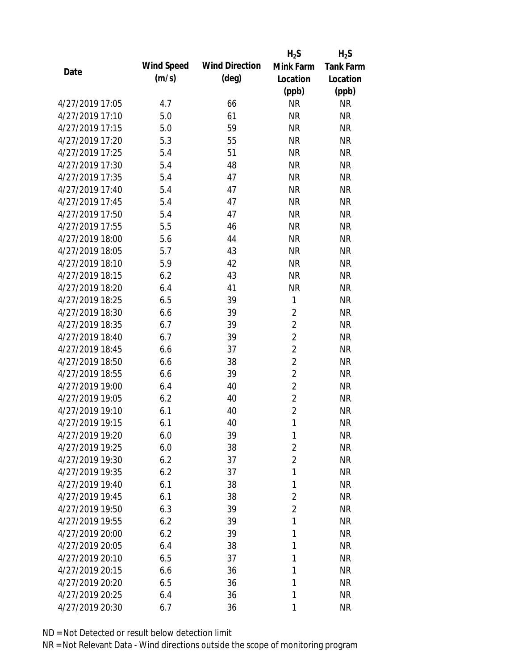|                 |            |                       | $H_2S$         | $H_2S$           |
|-----------------|------------|-----------------------|----------------|------------------|
| Date            | Wind Speed | <b>Wind Direction</b> | Mink Farm      | <b>Tank Farm</b> |
|                 | (m/s)      | $(\text{deg})$        | Location       | Location         |
|                 |            |                       | (ppb)          | (ppb)            |
| 4/27/2019 17:05 | 4.7        | 66                    | <b>NR</b>      | <b>NR</b>        |
| 4/27/2019 17:10 | 5.0        | 61                    | <b>NR</b>      | <b>NR</b>        |
| 4/27/2019 17:15 | 5.0        | 59                    | <b>NR</b>      | <b>NR</b>        |
| 4/27/2019 17:20 | 5.3        | 55                    | <b>NR</b>      | <b>NR</b>        |
| 4/27/2019 17:25 | 5.4        | 51                    | <b>NR</b>      | <b>NR</b>        |
| 4/27/2019 17:30 | 5.4        | 48                    | <b>NR</b>      | <b>NR</b>        |
| 4/27/2019 17:35 | 5.4        | 47                    | <b>NR</b>      | <b>NR</b>        |
| 4/27/2019 17:40 | 5.4        | 47                    | <b>NR</b>      | <b>NR</b>        |
| 4/27/2019 17:45 | 5.4        | 47                    | <b>NR</b>      | <b>NR</b>        |
| 4/27/2019 17:50 | 5.4        | 47                    | <b>NR</b>      | <b>NR</b>        |
| 4/27/2019 17:55 | 5.5        | 46                    | <b>NR</b>      | <b>NR</b>        |
| 4/27/2019 18:00 | 5.6        | 44                    | <b>NR</b>      | <b>NR</b>        |
| 4/27/2019 18:05 | 5.7        | 43                    | <b>NR</b>      | <b>NR</b>        |
| 4/27/2019 18:10 | 5.9        | 42                    | <b>NR</b>      | <b>NR</b>        |
| 4/27/2019 18:15 | 6.2        | 43                    | <b>NR</b>      | <b>NR</b>        |
| 4/27/2019 18:20 | 6.4        | 41                    | <b>NR</b>      | <b>NR</b>        |
| 4/27/2019 18:25 | 6.5        | 39                    | 1              | <b>NR</b>        |
| 4/27/2019 18:30 | 6.6        | 39                    | $\overline{2}$ | <b>NR</b>        |
| 4/27/2019 18:35 | 6.7        | 39                    | $\overline{2}$ | <b>NR</b>        |
| 4/27/2019 18:40 | 6.7        | 39                    | $\overline{2}$ | <b>NR</b>        |
| 4/27/2019 18:45 | 6.6        | 37                    | $\overline{2}$ | <b>NR</b>        |
| 4/27/2019 18:50 | 6.6        | 38                    | $\overline{2}$ | <b>NR</b>        |
| 4/27/2019 18:55 | 6.6        | 39                    | $\overline{2}$ | <b>NR</b>        |
| 4/27/2019 19:00 | 6.4        | 40                    | $\overline{2}$ | <b>NR</b>        |
| 4/27/2019 19:05 | 6.2        | 40                    | $\overline{2}$ | <b>NR</b>        |
| 4/27/2019 19:10 | 6.1        | 40                    | $\overline{2}$ | <b>NR</b>        |
| 4/27/2019 19:15 | 6.1        | 40                    | 1              | <b>NR</b>        |
| 4/27/2019 19:20 | 6.0        | 39                    | 1              | <b>NR</b>        |
| 4/27/2019 19:25 | 6.0        | 38                    | $\overline{2}$ | <b>NR</b>        |
| 4/27/2019 19:30 | 6.2        | 37                    | $\overline{2}$ | <b>NR</b>        |
| 4/27/2019 19:35 | 6.2        | 37                    | 1              | <b>NR</b>        |
| 4/27/2019 19:40 | 6.1        | 38                    | 1              | <b>NR</b>        |
| 4/27/2019 19:45 | 6.1        | 38                    | $\overline{2}$ | <b>NR</b>        |
| 4/27/2019 19:50 | 6.3        | 39                    | $\overline{2}$ | <b>NR</b>        |
| 4/27/2019 19:55 | 6.2        | 39                    | 1              | <b>NR</b>        |
| 4/27/2019 20:00 | 6.2        | 39                    | 1              | <b>NR</b>        |
| 4/27/2019 20:05 | 6.4        | 38                    | 1              | <b>NR</b>        |
| 4/27/2019 20:10 | 6.5        | 37                    | 1              | <b>NR</b>        |
| 4/27/2019 20:15 | 6.6        | 36                    | 1              | <b>NR</b>        |
| 4/27/2019 20:20 | 6.5        | 36                    | 1              | <b>NR</b>        |
| 4/27/2019 20:25 | 6.4        | 36                    | 1              | <b>NR</b>        |
| 4/27/2019 20:30 | 6.7        | 36                    | 1              | <b>NR</b>        |
|                 |            |                       |                |                  |